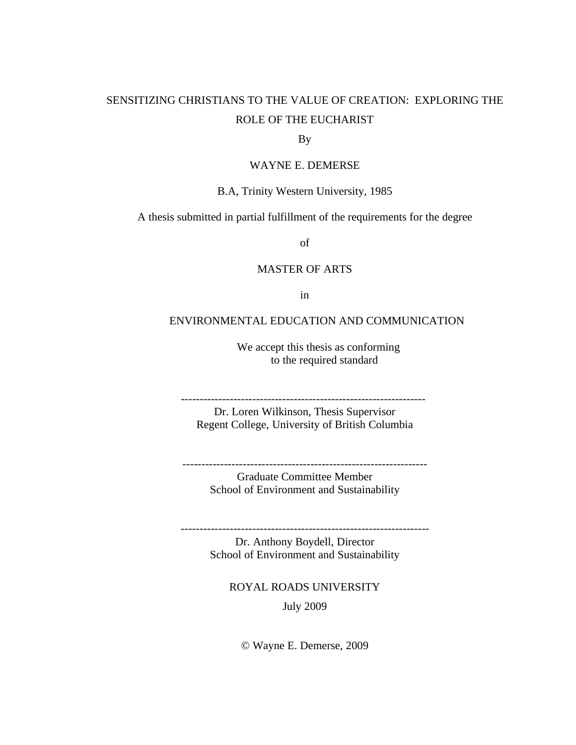# SENSITIZING CHRISTIANS TO THE VALUE OF CREATION: EXPLORING THE ROLE OF THE EUCHARIST

## By

## WAYNE E. DEMERSE

## B.A, Trinity Western University, 1985

A thesis submitted in partial fulfillment of the requirements for the degree

of

## MASTER OF ARTS

in

## ENVIRONMENTAL EDUCATION AND COMMUNICATION

We accept this thesis as conforming to the required standard

-----------------------------------------------------------------

Dr. Loren Wilkinson, Thesis Supervisor Regent College, University of British Columbia

Graduate Committee Member School of Environment and Sustainability

-----------------------------------------------------------------

------------------------------------------------------------------

Dr. Anthony Boydell, Director School of Environment and Sustainability

ROYAL ROADS UNIVERSITY July 2009

© Wayne E. Demerse, 2009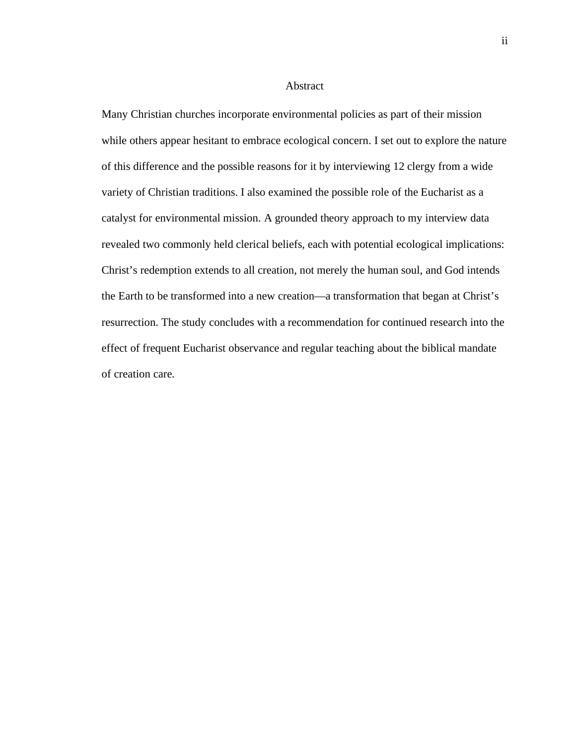#### Abstract

Many Christian churches incorporate environmental policies as part of their mission while others appear hesitant to embrace ecological concern. I set out to explore the nature of this difference and the possible reasons for it by interviewing 12 clergy from a wide variety of Christian traditions. I also examined the possible role of the Eucharist as a catalyst for environmental mission. A grounded theory approach to my interview data revealed two commonly held clerical beliefs, each with potential ecological implications: Christ's redemption extends to all creation, not merely the human soul, and God intends the Earth to be transformed into a new creation—a transformation that began at Christ's resurrection. The study concludes with a recommendation for continued research into the effect of frequent Eucharist observance and regular teaching about the biblical mandate of creation care.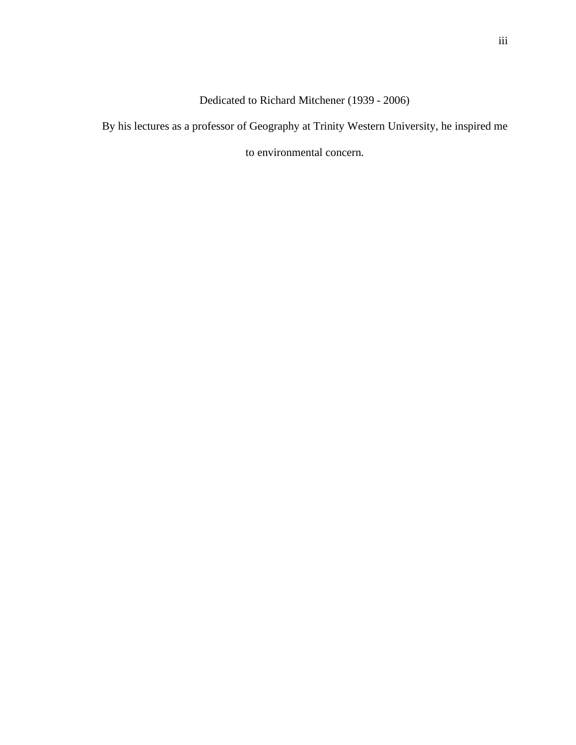Dedicated to Richard Mitchener (1939 - 2006)

By his lectures as a professor of Geography at Trinity Western University, he inspired me

to environmental concern.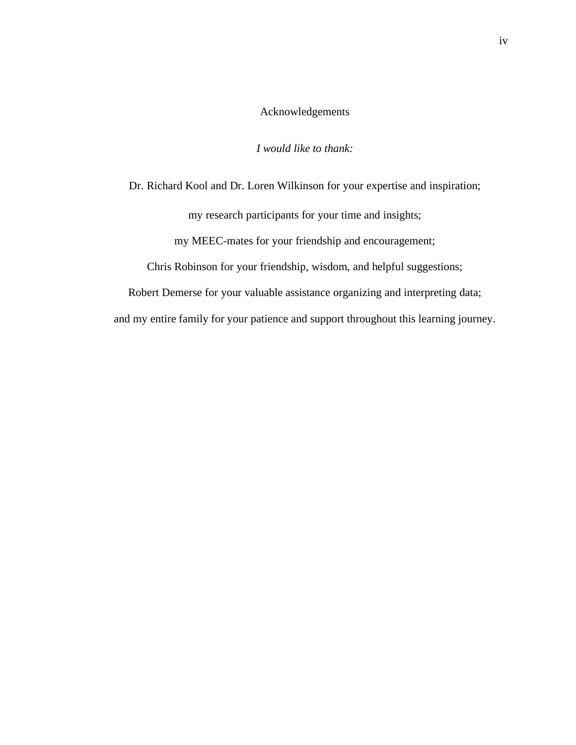## Acknowledgements

## *I would like to thank:*

Dr. Richard Kool and Dr. Loren Wilkinson for your expertise and inspiration;

my research participants for your time and insights;

my MEEC-mates for your friendship and encouragement;

Chris Robinson for your friendship, wisdom, and helpful suggestions;

Robert Demerse for your valuable assistance organizing and interpreting data; and my entire family for your patience and support throughout this learning journey.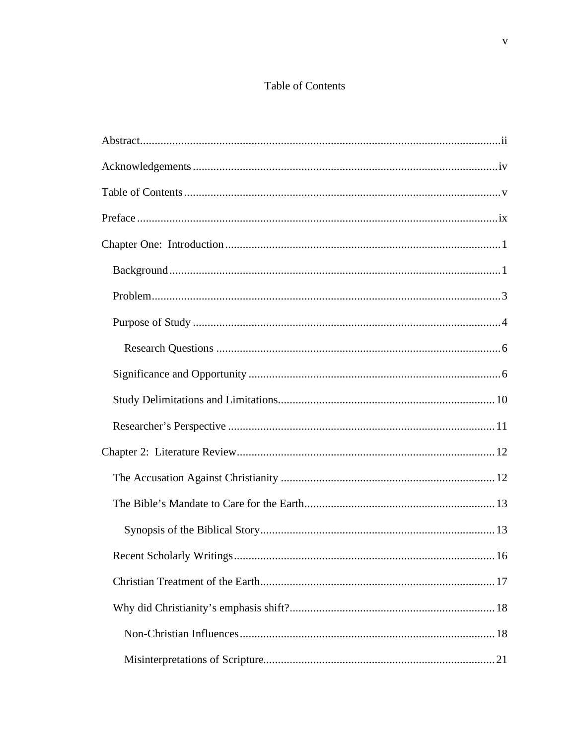## Table of Contents

| 16 |
|----|
|    |
|    |
|    |
|    |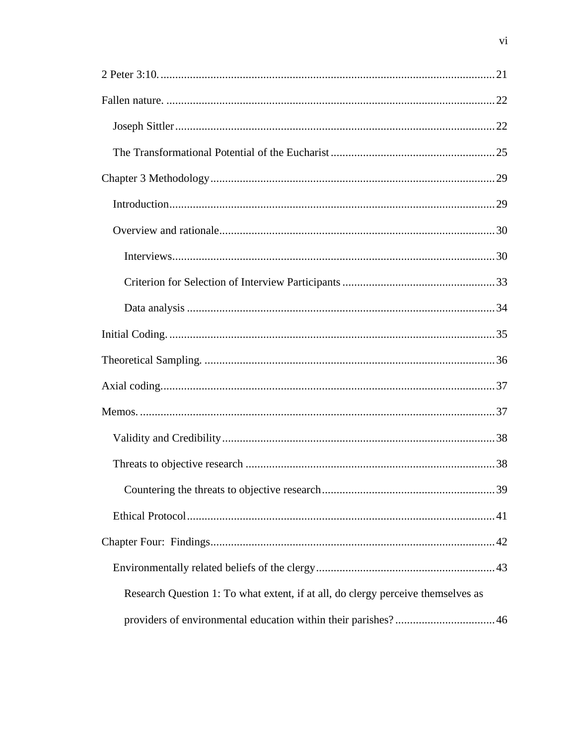| Research Question 1: To what extent, if at all, do clergy perceive themselves as |
|----------------------------------------------------------------------------------|
|                                                                                  |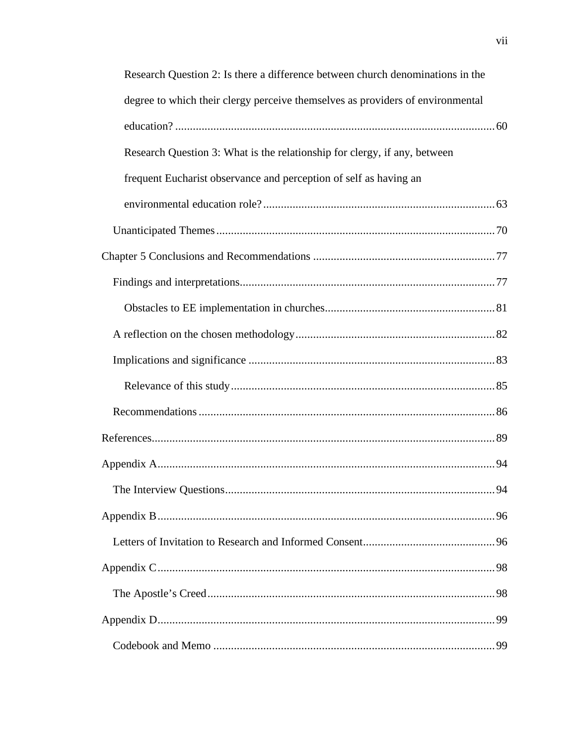| Research Question 2: Is there a difference between church denominations in the |    |
|--------------------------------------------------------------------------------|----|
| degree to which their clergy perceive themselves as providers of environmental |    |
|                                                                                |    |
| Research Question 3: What is the relationship for clergy, if any, between      |    |
| frequent Eucharist observance and perception of self as having an              |    |
|                                                                                |    |
|                                                                                |    |
|                                                                                |    |
|                                                                                |    |
|                                                                                |    |
|                                                                                |    |
|                                                                                |    |
|                                                                                |    |
|                                                                                |    |
|                                                                                |    |
|                                                                                |    |
| The Interview Questions                                                        | 94 |
|                                                                                |    |
|                                                                                |    |
|                                                                                |    |
|                                                                                |    |
|                                                                                |    |
|                                                                                |    |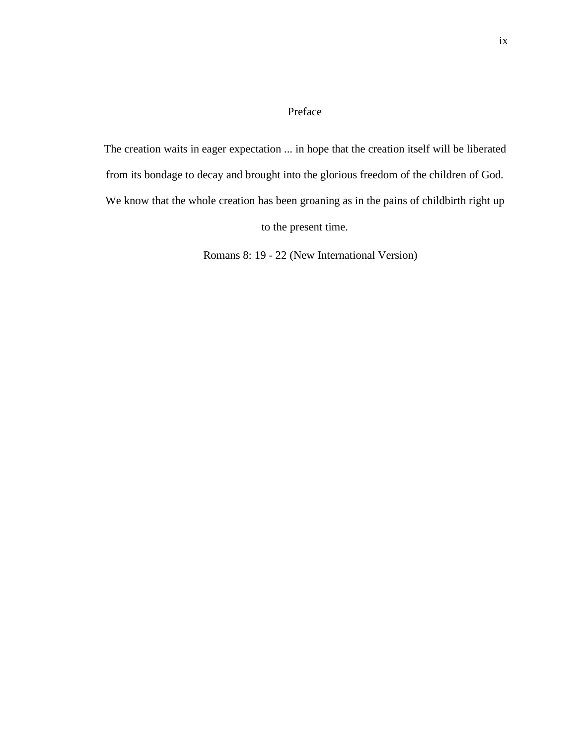## Preface

The creation waits in eager expectation ... in hope that the creation itself will be liberated from its bondage to decay and brought into the glorious freedom of the children of God. We know that the whole creation has been groaning as in the pains of childbirth right up to the present time.

Romans 8: 19 - 22 (New International Version)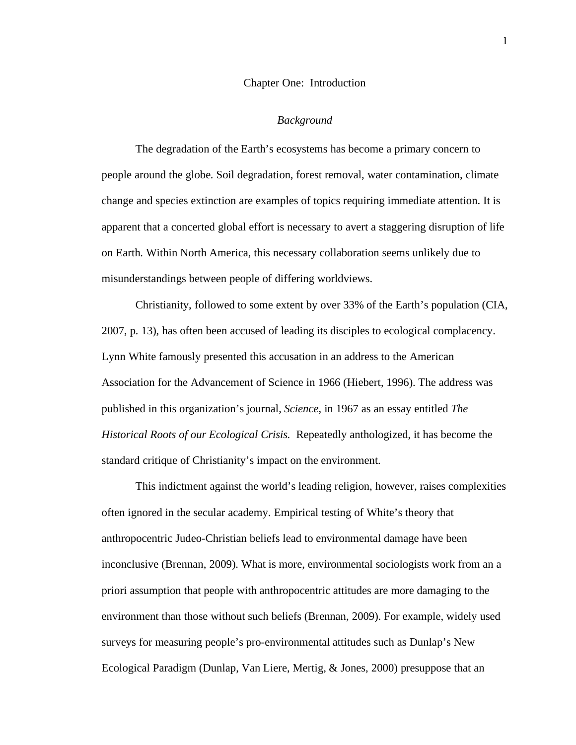#### Chapter One: Introduction

#### *Background*

The degradation of the Earth's ecosystems has become a primary concern to people around the globe. Soil degradation, forest removal, water contamination, climate change and species extinction are examples of topics requiring immediate attention. It is apparent that a concerted global effort is necessary to avert a staggering disruption of life on Earth. Within North America, this necessary collaboration seems unlikely due to misunderstandings between people of differing worldviews.

Christianity, followed to some extent by over 33% of the Earth's population (CIA, 2007, p. 13), has often been accused of leading its disciples to ecological complacency. Lynn White famously presented this accusation in an address to the American Association for the Advancement of Science in 1966 (Hiebert, 1996). The address was published in this organization's journal, *Science*, in 1967 as an essay entitled *The Historical Roots of our Ecological Crisis.* Repeatedly anthologized, it has become the standard critique of Christianity's impact on the environment.

This indictment against the world's leading religion, however, raises complexities often ignored in the secular academy. Empirical testing of White's theory that anthropocentric Judeo-Christian beliefs lead to environmental damage have been inconclusive (Brennan, 2009). What is more, environmental sociologists work from an a priori assumption that people with anthropocentric attitudes are more damaging to the environment than those without such beliefs (Brennan, 2009). For example, widely used surveys for measuring people's pro-environmental attitudes such as Dunlap's New Ecological Paradigm (Dunlap, Van Liere, Mertig, & Jones, 2000) presuppose that an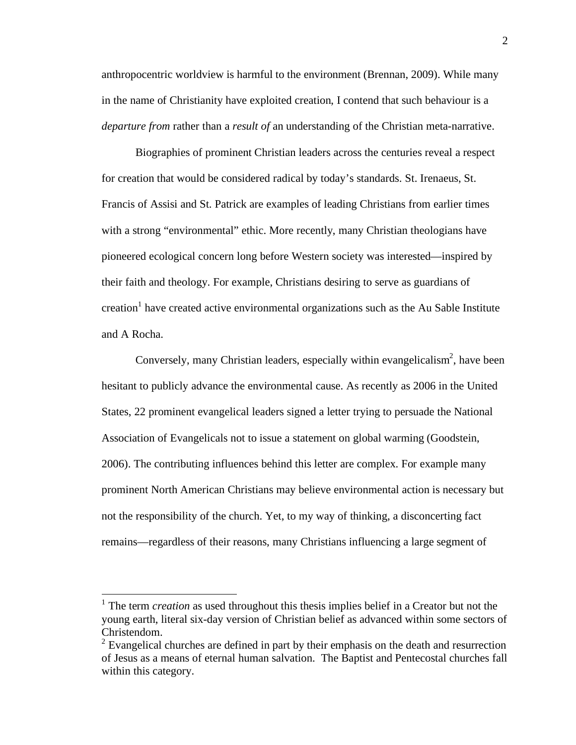anthropocentric worldview is harmful to the environment (Brennan, 2009). While many in the name of Christianity have exploited creation, I contend that such behaviour is a *departure from* rather than a *result of* an understanding of the Christian meta-narrative.

Biographies of prominent Christian leaders across the centuries reveal a respect for creation that would be considered radical by today's standards. St. Irenaeus, St. Francis of Assisi and St. Patrick are examples of leading Christians from earlier times with a strong "environmental" ethic. More recently, many Christian theologians have pioneered ecological concern long before Western society was interested—inspired by their faith and theology. For example, Christians desiring to serve as guardians of creation<sup>1</sup> have created active environmental organizations such as the Au Sable Institute and A Rocha.

Conversely, many Christian leaders, especially within evangelicalism<sup>2</sup>, have been hesitant to publicly advance the environmental cause. As recently as 2006 in the United States, 22 prominent evangelical leaders signed a letter trying to persuade the National Association of Evangelicals not to issue a statement on global warming (Goodstein, 2006). The contributing influences behind this letter are complex. For example many prominent North American Christians may believe environmental action is necessary but not the responsibility of the church. Yet, to my way of thinking, a disconcerting fact remains—regardless of their reasons, many Christians influencing a large segment of

<sup>&</sup>lt;sup>1</sup> The term *creation* as used throughout this thesis implies belief in a Creator but not the young earth, literal six-day version of Christian belief as advanced within some sectors of Christendom.

 $2^{2}$  Evangelical churches are defined in part by their emphasis on the death and resurrection of Jesus as a means of eternal human salvation. The Baptist and Pentecostal churches fall within this category.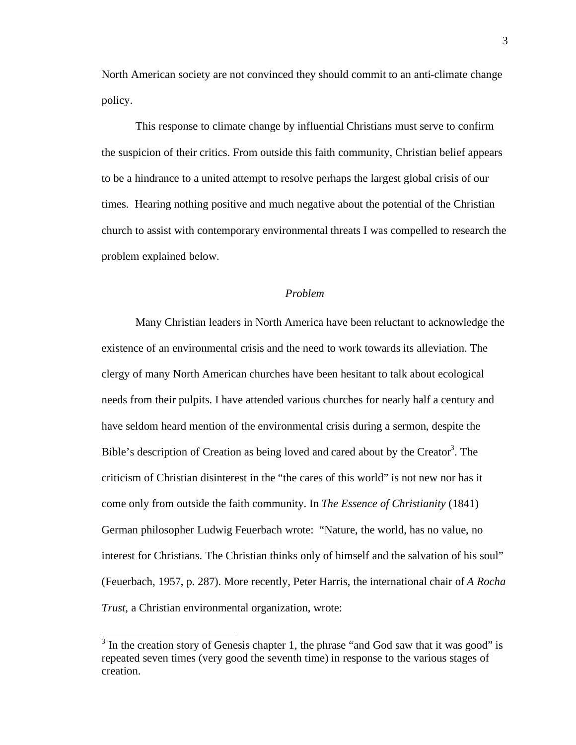North American society are not convinced they should commit to an anti-climate change policy.

This response to climate change by influential Christians must serve to confirm the suspicion of their critics. From outside this faith community, Christian belief appears to be a hindrance to a united attempt to resolve perhaps the largest global crisis of our times. Hearing nothing positive and much negative about the potential of the Christian church to assist with contemporary environmental threats I was compelled to research the problem explained below.

#### *Problem*

Many Christian leaders in North America have been reluctant to acknowledge the existence of an environmental crisis and the need to work towards its alleviation. The clergy of many North American churches have been hesitant to talk about ecological needs from their pulpits. I have attended various churches for nearly half a century and have seldom heard mention of the environmental crisis during a sermon, despite the Bible's description of Creation as being loved and cared about by the Creator<sup>3</sup>. The criticism of Christian disinterest in the "the cares of this world" is not new nor has it come only from outside the faith community. In *The Essence of Christianity* (1841) German philosopher Ludwig Feuerbach wrote: "Nature, the world, has no value, no interest for Christians. The Christian thinks only of himself and the salvation of his soul" (Feuerbach, 1957, p. 287). More recently, Peter Harris, the international chair of *A Rocha Trust,* a Christian environmental organization, wrote:

<sup>&</sup>lt;sup>3</sup> In the creation story of Genesis chapter 1, the phrase "and God saw that it was good" is repeated seven times (very good the seventh time) in response to the various stages of creation.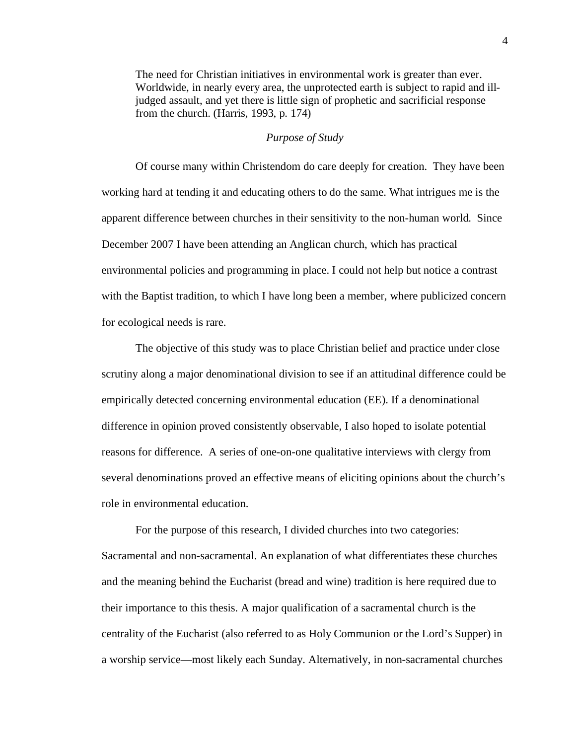The need for Christian initiatives in environmental work is greater than ever. Worldwide, in nearly every area, the unprotected earth is subject to rapid and illjudged assault, and yet there is little sign of prophetic and sacrificial response from the church. (Harris, 1993, p. 174)

## *Purpose of Study*

Of course many within Christendom do care deeply for creation. They have been working hard at tending it and educating others to do the same. What intrigues me is the apparent difference between churches in their sensitivity to the non-human world. Since December 2007 I have been attending an Anglican church, which has practical environmental policies and programming in place. I could not help but notice a contrast with the Baptist tradition, to which I have long been a member, where publicized concern for ecological needs is rare.

The objective of this study was to place Christian belief and practice under close scrutiny along a major denominational division to see if an attitudinal difference could be empirically detected concerning environmental education (EE). If a denominational difference in opinion proved consistently observable, I also hoped to isolate potential reasons for difference. A series of one-on-one qualitative interviews with clergy from several denominations proved an effective means of eliciting opinions about the church's role in environmental education.

For the purpose of this research, I divided churches into two categories: Sacramental and non-sacramental. An explanation of what differentiates these churches and the meaning behind the Eucharist (bread and wine) tradition is here required due to their importance to this thesis. A major qualification of a sacramental church is the centrality of the Eucharist (also referred to as Holy Communion or the Lord's Supper) in a worship service—most likely each Sunday. Alternatively, in non-sacramental churches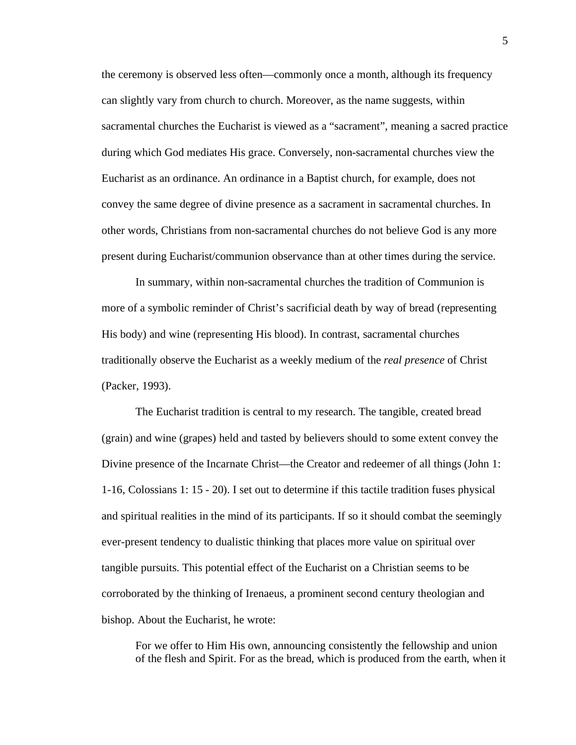the ceremony is observed less often—commonly once a month, although its frequency can slightly vary from church to church. Moreover, as the name suggests, within sacramental churches the Eucharist is viewed as a "sacrament", meaning a sacred practice during which God mediates His grace. Conversely, non-sacramental churches view the Eucharist as an ordinance. An ordinance in a Baptist church, for example, does not convey the same degree of divine presence as a sacrament in sacramental churches. In other words, Christians from non-sacramental churches do not believe God is any more present during Eucharist/communion observance than at other times during the service.

In summary, within non-sacramental churches the tradition of Communion is more of a symbolic reminder of Christ's sacrificial death by way of bread (representing His body) and wine (representing His blood). In contrast, sacramental churches traditionally observe the Eucharist as a weekly medium of the *real presence* of Christ (Packer, 1993).

The Eucharist tradition is central to my research. The tangible, created bread (grain) and wine (grapes) held and tasted by believers should to some extent convey the Divine presence of the Incarnate Christ—the Creator and redeemer of all things (John 1: 1-16, Colossians 1: 15 - 20). I set out to determine if this tactile tradition fuses physical and spiritual realities in the mind of its participants. If so it should combat the seemingly ever-present tendency to dualistic thinking that places more value on spiritual over tangible pursuits. This potential effect of the Eucharist on a Christian seems to be corroborated by the thinking of Irenaeus, a prominent second century theologian and bishop. About the Eucharist, he wrote:

For we offer to Him His own, announcing consistently the fellowship and union of the flesh and Spirit. For as the bread, which is produced from the earth, when it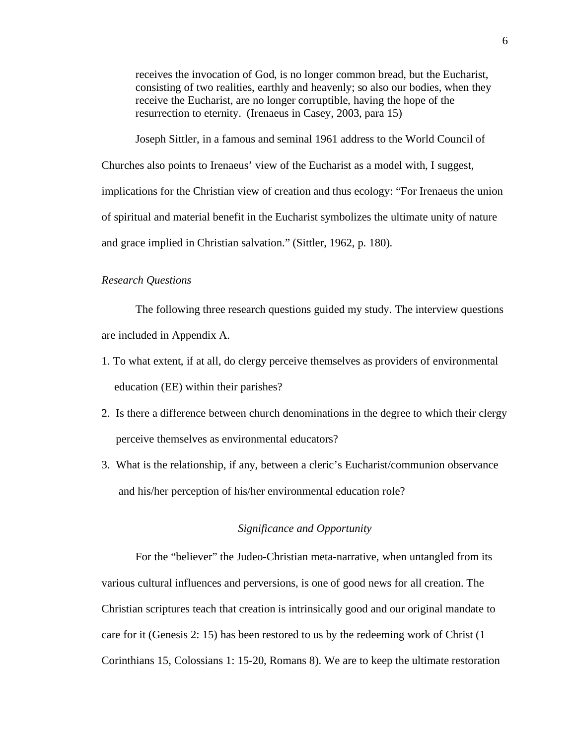receives the invocation of God, is no longer common bread, but the Eucharist, consisting of two realities, earthly and heavenly; so also our bodies, when they receive the Eucharist, are no longer corruptible, having the hope of the resurrection to eternity. (Irenaeus in Casey, 2003, para 15)

Joseph Sittler, in a famous and seminal 1961 address to the World Council of Churches also points to Irenaeus' view of the Eucharist as a model with, I suggest, implications for the Christian view of creation and thus ecology: "For Irenaeus the union of spiritual and material benefit in the Eucharist symbolizes the ultimate unity of nature and grace implied in Christian salvation." (Sittler, 1962, p. 180).

## *Research Questions*

The following three research questions guided my study. The interview questions are included in Appendix A.

- 1. To what extent, if at all, do clergy perceive themselves as providers of environmental education (EE) within their parishes?
- 2. Is there a difference between church denominations in the degree to which their clergy perceive themselves as environmental educators?
- 3. What is the relationship, if any, between a cleric's Eucharist/communion observance and his/her perception of his/her environmental education role?

## *Significance and Opportunity*

For the "believer" the Judeo-Christian meta-narrative, when untangled from its various cultural influences and perversions, is one of good news for all creation. The Christian scriptures teach that creation is intrinsically good and our original mandate to care for it (Genesis 2: 15) has been restored to us by the redeeming work of Christ (1 Corinthians 15, Colossians 1: 15-20, Romans 8). We are to keep the ultimate restoration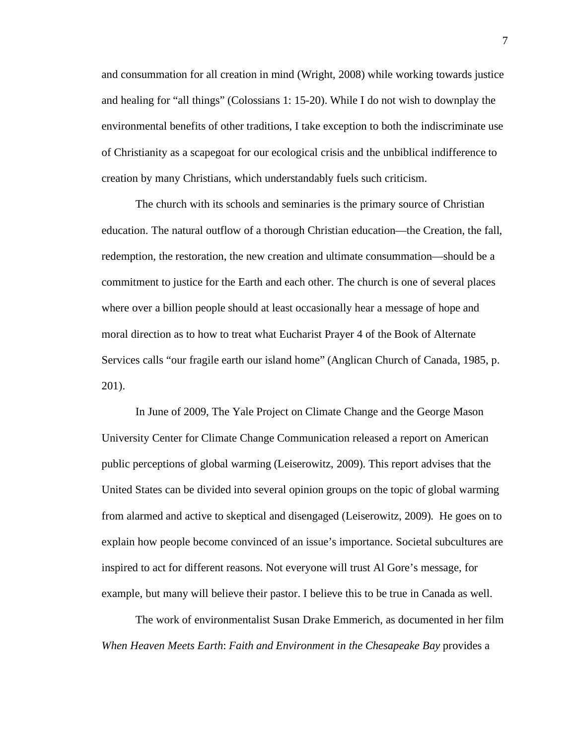and consummation for all creation in mind (Wright, 2008) while working towards justice and healing for "all things" (Colossians 1: 15-20). While I do not wish to downplay the environmental benefits of other traditions, I take exception to both the indiscriminate use of Christianity as a scapegoat for our ecological crisis and the unbiblical indifference to creation by many Christians, which understandably fuels such criticism.

The church with its schools and seminaries is the primary source of Christian education. The natural outflow of a thorough Christian education—the Creation, the fall, redemption, the restoration, the new creation and ultimate consummation—should be a commitment to justice for the Earth and each other. The church is one of several places where over a billion people should at least occasionally hear a message of hope and moral direction as to how to treat what Eucharist Prayer 4 of the Book of Alternate Services calls "our fragile earth our island home" (Anglican Church of Canada, 1985, p. 201).

In June of 2009, The Yale Project on Climate Change and the George Mason University Center for Climate Change Communication released a report on American public perceptions of global warming (Leiserowitz, 2009). This report advises that the United States can be divided into several opinion groups on the topic of global warming from alarmed and active to skeptical and disengaged (Leiserowitz, 2009). He goes on to explain how people become convinced of an issue's importance. Societal subcultures are inspired to act for different reasons. Not everyone will trust Al Gore's message, for example, but many will believe their pastor. I believe this to be true in Canada as well.

The work of environmentalist Susan Drake Emmerich, as documented in her film *When Heaven Meets Earth*: *Faith and Environment in the Chesapeake Bay* provides a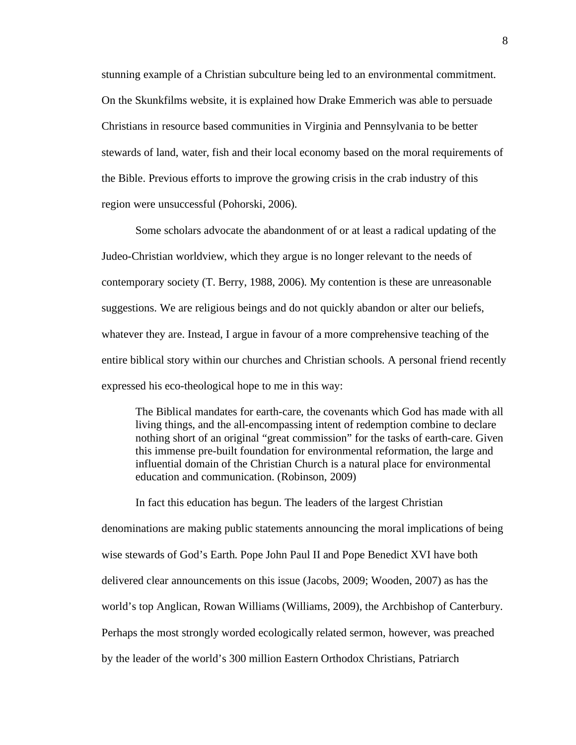stunning example of a Christian subculture being led to an environmental commitment. On the Skunkfilms website, it is explained how Drake Emmerich was able to persuade Christians in resource based communities in Virginia and Pennsylvania to be better stewards of land, water, fish and their local economy based on the moral requirements of the Bible. Previous efforts to improve the growing crisis in the crab industry of this region were unsuccessful (Pohorski, 2006).

Some scholars advocate the abandonment of or at least a radical updating of the Judeo-Christian worldview, which they argue is no longer relevant to the needs of contemporary society (T. Berry, 1988, 2006). My contention is these are unreasonable suggestions. We are religious beings and do not quickly abandon or alter our beliefs, whatever they are. Instead, I argue in favour of a more comprehensive teaching of the entire biblical story within our churches and Christian schools. A personal friend recently expressed his eco-theological hope to me in this way:

The Biblical mandates for earth-care, the covenants which God has made with all living things, and the all-encompassing intent of redemption combine to declare nothing short of an original "great commission" for the tasks of earth-care. Given this immense pre-built foundation for environmental reformation, the large and influential domain of the Christian Church is a natural place for environmental education and communication. (Robinson, 2009)

In fact this education has begun. The leaders of the largest Christian denominations are making public statements announcing the moral implications of being wise stewards of God's Earth. Pope John Paul II and Pope Benedict XVI have both delivered clear announcements on this issue (Jacobs, 2009; Wooden, 2007) as has the world's top Anglican, Rowan Williams (Williams, 2009), the Archbishop of Canterbury. Perhaps the most strongly worded ecologically related sermon, however, was preached by the leader of the world's 300 million Eastern Orthodox Christians, Patriarch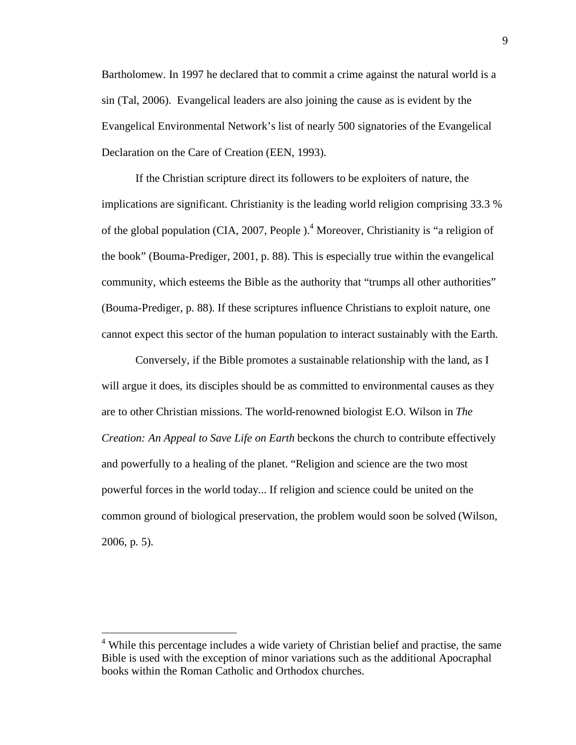Bartholomew. In 1997 he declared that to commit a crime against the natural world is a sin (Tal, 2006). Evangelical leaders are also joining the cause as is evident by the Evangelical Environmental Network's list of nearly 500 signatories of the Evangelical Declaration on the Care of Creation (EEN, 1993).

If the Christian scripture direct its followers to be exploiters of nature, the implications are significant. Christianity is the leading world religion comprising 33.3 % of the global population (CIA, 2007, People ). <sup>4</sup> Moreover, Christianity is "a religion of the book" (Bouma-Prediger, 2001, p. 88). This is especially true within the evangelical community, which esteems the Bible as the authority that "trumps all other authorities" (Bouma-Prediger, p. 88). If these scriptures influence Christians to exploit nature, one cannot expect this sector of the human population to interact sustainably with the Earth.

Conversely, if the Bible promotes a sustainable relationship with the land, as I will argue it does, its disciples should be as committed to environmental causes as they are to other Christian missions. The world-renowned biologist E.O. Wilson in *The Creation: An Appeal to Save Life on Earth* beckons the church to contribute effectively and powerfully to a healing of the planet. "Religion and science are the two most powerful forces in the world today... If religion and science could be united on the common ground of biological preservation, the problem would soon be solved (Wilson, 2006, p. 5).

 <sup>4</sup> While this percentage includes a wide variety of Christian belief and practise, the same Bible is used with the exception of minor variations such as the additional Apocraphal books within the Roman Catholic and Orthodox churches.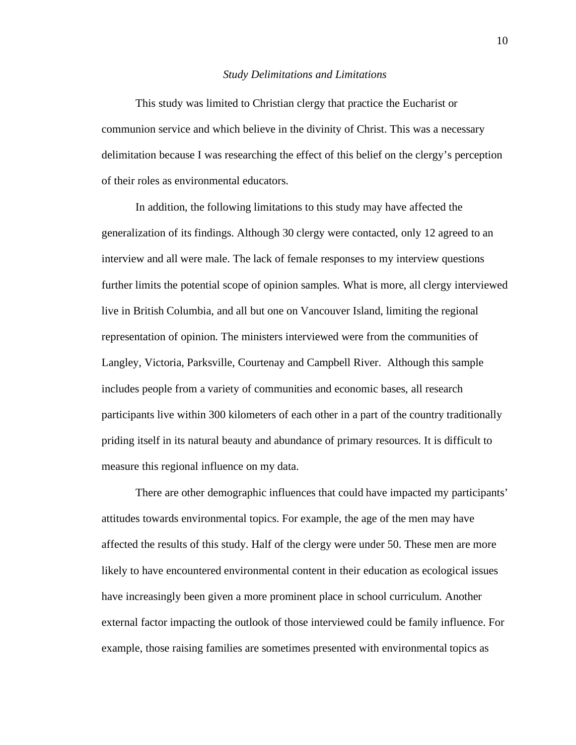#### *Study Delimitations and Limitations*

This study was limited to Christian clergy that practice the Eucharist or communion service and which believe in the divinity of Christ. This was a necessary delimitation because I was researching the effect of this belief on the clergy's perception of their roles as environmental educators.

In addition, the following limitations to this study may have affected the generalization of its findings. Although 30 clergy were contacted, only 12 agreed to an interview and all were male. The lack of female responses to my interview questions further limits the potential scope of opinion samples. What is more, all clergy interviewed live in British Columbia, and all but one on Vancouver Island, limiting the regional representation of opinion. The ministers interviewed were from the communities of Langley, Victoria, Parksville, Courtenay and Campbell River. Although this sample includes people from a variety of communities and economic bases, all research participants live within 300 kilometers of each other in a part of the country traditionally priding itself in its natural beauty and abundance of primary resources. It is difficult to measure this regional influence on my data.

There are other demographic influences that could have impacted my participants' attitudes towards environmental topics. For example, the age of the men may have affected the results of this study. Half of the clergy were under 50. These men are more likely to have encountered environmental content in their education as ecological issues have increasingly been given a more prominent place in school curriculum. Another external factor impacting the outlook of those interviewed could be family influence. For example, those raising families are sometimes presented with environmental topics as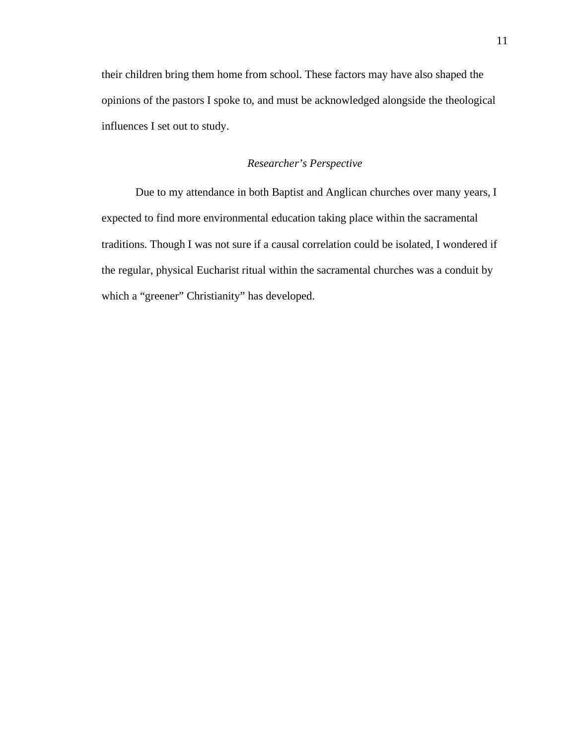their children bring them home from school. These factors may have also shaped the opinions of the pastors I spoke to, and must be acknowledged alongside the theological influences I set out to study.

## *Researcher's Perspective*

Due to my attendance in both Baptist and Anglican churches over many years, I expected to find more environmental education taking place within the sacramental traditions. Though I was not sure if a causal correlation could be isolated, I wondered if the regular, physical Eucharist ritual within the sacramental churches was a conduit by which a "greener" Christianity" has developed.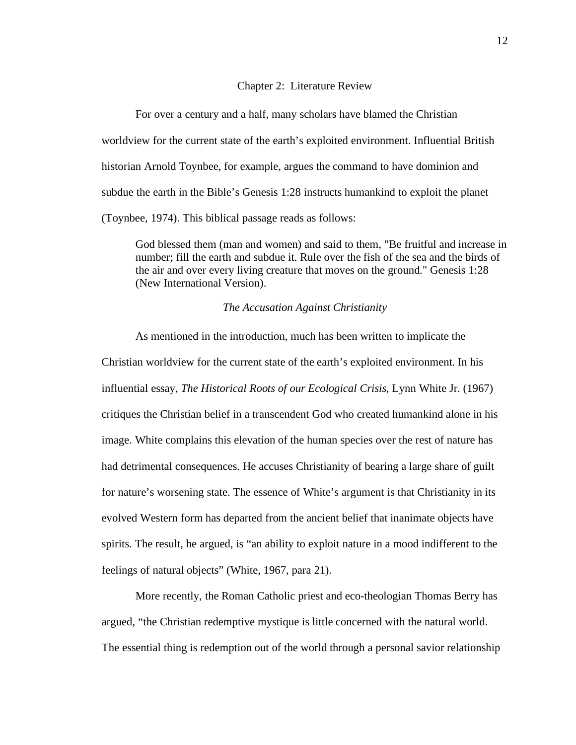#### Chapter 2: Literature Review

For over a century and a half, many scholars have blamed the Christian worldview for the current state of the earth's exploited environment. Influential British historian Arnold Toynbee, for example, argues the command to have dominion and subdue the earth in the Bible's Genesis 1:28 instructs humankind to exploit the planet (Toynbee, 1974). This biblical passage reads as follows:

God blessed them (man and women) and said to them, "Be fruitful and increase in number; fill the earth and subdue it. Rule over the fish of the sea and the birds of the air and over every living creature that moves on the ground." Genesis 1:28 (New International Version).

#### *The Accusation Against Christianity*

As mentioned in the introduction, much has been written to implicate the Christian worldview for the current state of the earth's exploited environment. In his influential essay, *The Historical Roots of our Ecological Crisis*, Lynn White Jr. (1967) critiques the Christian belief in a transcendent God who created humankind alone in his image. White complains this elevation of the human species over the rest of nature has had detrimental consequences. He accuses Christianity of bearing a large share of guilt for nature's worsening state. The essence of White's argument is that Christianity in its evolved Western form has departed from the ancient belief that inanimate objects have spirits. The result, he argued, is "an ability to exploit nature in a mood indifferent to the feelings of natural objects" (White, 1967, para 21).

More recently, the Roman Catholic priest and eco-theologian Thomas Berry has argued, "the Christian redemptive mystique is little concerned with the natural world. The essential thing is redemption out of the world through a personal savior relationship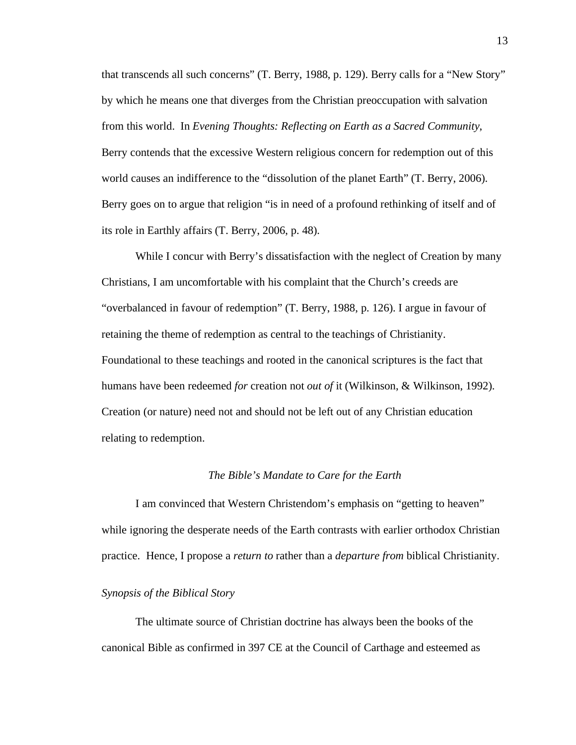that transcends all such concerns" (T. Berry, 1988, p. 129). Berry calls for a "New Story" by which he means one that diverges from the Christian preoccupation with salvation from this world. In *Evening Thoughts: Reflecting on Earth as a Sacred Community*, Berry contends that the excessive Western religious concern for redemption out of this world causes an indifference to the "dissolution of the planet Earth" (T. Berry, 2006). Berry goes on to argue that religion "is in need of a profound rethinking of itself and of its role in Earthly affairs (T. Berry, 2006, p. 48).

While I concur with Berry's dissatisfaction with the neglect of Creation by many Christians, I am uncomfortable with his complaint that the Church's creeds are "overbalanced in favour of redemption" (T. Berry, 1988, p. 126). I argue in favour of retaining the theme of redemption as central to the teachings of Christianity. Foundational to these teachings and rooted in the canonical scriptures is the fact that humans have been redeemed *for* creation not *out of* it (Wilkinson, & Wilkinson, 1992). Creation (or nature) need not and should not be left out of any Christian education relating to redemption.

### *The Bible's Mandate to Care for the Earth*

I am convinced that Western Christendom's emphasis on "getting to heaven" while ignoring the desperate needs of the Earth contrasts with earlier orthodox Christian practice. Hence, I propose a *return to* rather than a *departure from* biblical Christianity.

#### *Synopsis of the Biblical Story*

The ultimate source of Christian doctrine has always been the books of the canonical Bible as confirmed in 397 CE at the Council of Carthage and esteemed as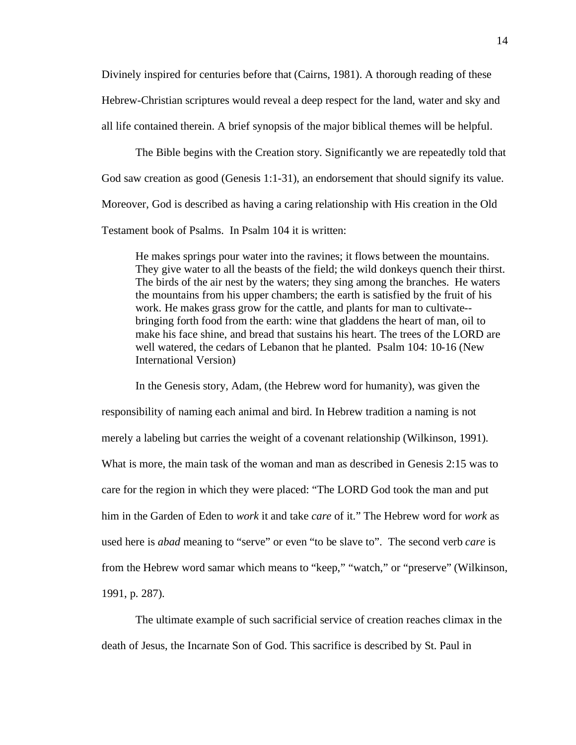Divinely inspired for centuries before that (Cairns, 1981). A thorough reading of these Hebrew-Christian scriptures would reveal a deep respect for the land, water and sky and all life contained therein. A brief synopsis of the major biblical themes will be helpful.

The Bible begins with the Creation story. Significantly we are repeatedly told that God saw creation as good (Genesis 1:1-31), an endorsement that should signify its value. Moreover, God is described as having a caring relationship with His creation in the Old Testament book of Psalms. In Psalm 104 it is written:

He makes springs pour water into the ravines; it flows between the mountains. They give water to all the beasts of the field; the wild donkeys quench their thirst. The birds of the air nest by the waters; they sing among the branches. He waters the mountains from his upper chambers; the earth is satisfied by the fruit of his work. He makes grass grow for the cattle, and plants for man to cultivate- bringing forth food from the earth: wine that gladdens the heart of man, oil to make his face shine, and bread that sustains his heart. The trees of the LORD are well watered, the cedars of Lebanon that he planted. Psalm 104: 10-16 (New International Version)

In the Genesis story, Adam, (the Hebrew word for humanity), was given the responsibility of naming each animal and bird. In Hebrew tradition a naming is not merely a labeling but carries the weight of a covenant relationship (Wilkinson, 1991). What is more, the main task of the woman and man as described in Genesis 2:15 was to care for the region in which they were placed: "The LORD God took the man and put him in the Garden of Eden to *work* it and take *care* of it." The Hebrew word for *work* as used here is *abad* meaning to "serve" or even "to be slave to". The second verb *care* is from the Hebrew word samar which means to "keep," "watch," or "preserve" (Wilkinson, 1991, p. 287).

The ultimate example of such sacrificial service of creation reaches climax in the death of Jesus, the Incarnate Son of God. This sacrifice is described by St. Paul in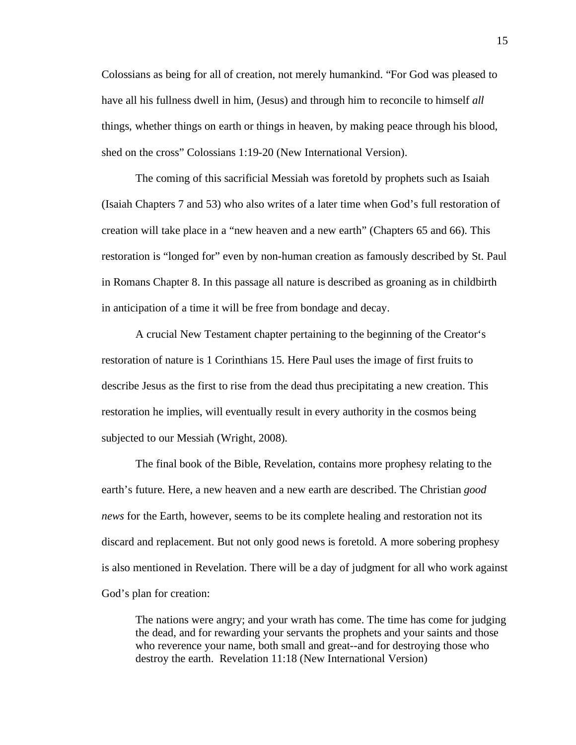Colossians as being for all of creation, not merely humankind. "For God was pleased to have all his fullness dwell in him, (Jesus) and through him to reconcile to himself *all* things, whether things on earth or things in heaven, by making peace through his blood, shed on the cross" Colossians 1:19-20 (New International Version).

The coming of this sacrificial Messiah was foretold by prophets such as Isaiah (Isaiah Chapters 7 and 53) who also writes of a later time when God's full restoration of creation will take place in a "new heaven and a new earth" (Chapters 65 and 66). This restoration is "longed for" even by non-human creation as famously described by St. Paul in Romans Chapter 8. In this passage all nature is described as groaning as in childbirth in anticipation of a time it will be free from bondage and decay.

A crucial New Testament chapter pertaining to the beginning of the Creator's restoration of nature is 1 Corinthians 15. Here Paul uses the image of first fruits to describe Jesus as the first to rise from the dead thus precipitating a new creation. This restoration he implies, will eventually result in every authority in the cosmos being subjected to our Messiah (Wright, 2008).

The final book of the Bible, Revelation, contains more prophesy relating to the earth's future. Here, a new heaven and a new earth are described. The Christian *good news* for the Earth, however, seems to be its complete healing and restoration not its discard and replacement. But not only good news is foretold. A more sobering prophesy is also mentioned in Revelation. There will be a day of judgment for all who work against God's plan for creation:

The nations were angry; and your wrath has come. The time has come for judging the dead, and for rewarding your servants the prophets and your saints and those who reverence your name, both small and great--and for destroying those who destroy the earth. Revelation 11:18 (New International Version)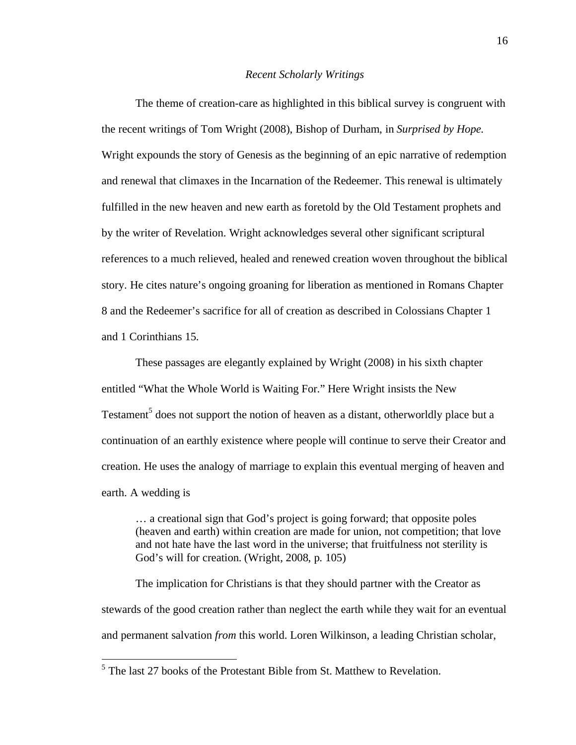#### *Recent Scholarly Writings*

The theme of creation-care as highlighted in this biblical survey is congruent with the recent writings of Tom Wright (2008), Bishop of Durham, in *Surprised by Hope.* Wright expounds the story of Genesis as the beginning of an epic narrative of redemption and renewal that climaxes in the Incarnation of the Redeemer. This renewal is ultimately fulfilled in the new heaven and new earth as foretold by the Old Testament prophets and by the writer of Revelation. Wright acknowledges several other significant scriptural references to a much relieved, healed and renewed creation woven throughout the biblical story. He cites nature's ongoing groaning for liberation as mentioned in Romans Chapter 8 and the Redeemer's sacrifice for all of creation as described in Colossians Chapter 1 and 1 Corinthians 15.

These passages are elegantly explained by Wright (2008) in his sixth chapter entitled "What the Whole World is Waiting For." Here Wright insists the New Testament<sup>5</sup> does not support the notion of heaven as a distant, otherworldly place but a continuation of an earthly existence where people will continue to serve their Creator and creation. He uses the analogy of marriage to explain this eventual merging of heaven and earth. A wedding is

… a creational sign that God's project is going forward; that opposite poles (heaven and earth) within creation are made for union, not competition; that love and not hate have the last word in the universe; that fruitfulness not sterility is God's will for creation. (Wright, 2008, p. 105)

The implication for Christians is that they should partner with the Creator as stewards of the good creation rather than neglect the earth while they wait for an eventual and permanent salvation *from* this world. Loren Wilkinson, a leading Christian scholar,

<sup>&</sup>lt;sup>5</sup> The last 27 books of the Protestant Bible from St. Matthew to Revelation.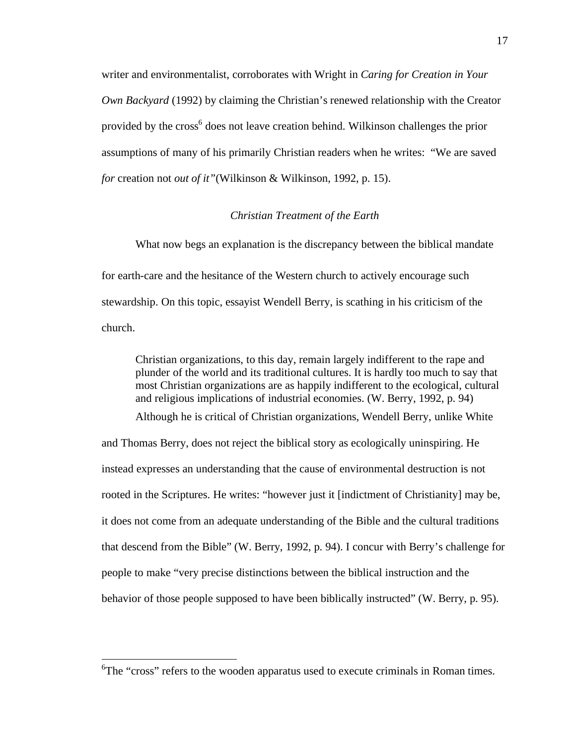writer and environmentalist, corroborates with Wright in *Caring for Creation in Your Own Backyard* (1992) by claiming the Christian's renewed relationship with the Creator provided by the cross<sup>6</sup> does not leave creation behind. Wilkinson challenges the prior assumptions of many of his primarily Christian readers when he writes: "We are saved *for* creation not *out of it"*(Wilkinson & Wilkinson, 1992, p. 15).

#### *Christian Treatment of the Earth*

What now begs an explanation is the discrepancy between the biblical mandate for earth-care and the hesitance of the Western church to actively encourage such stewardship. On this topic, essayist Wendell Berry, is scathing in his criticism of the church.

Christian organizations, to this day, remain largely indifferent to the rape and plunder of the world and its traditional cultures. It is hardly too much to say that most Christian organizations are as happily indifferent to the ecological, cultural and religious implications of industrial economies. (W. Berry, 1992, p. 94) Although he is critical of Christian organizations, Wendell Berry, unlike White and Thomas Berry, does not reject the biblical story as ecologically uninspiring. He instead expresses an understanding that the cause of environmental destruction is not rooted in the Scriptures. He writes: "however just it [indictment of Christianity] may be, it does not come from an adequate understanding of the Bible and the cultural traditions that descend from the Bible" (W. Berry, 1992, p. 94). I concur with Berry's challenge for

behavior of those people supposed to have been biblically instructed" (W. Berry, p. 95).

people to make "very precise distinctions between the biblical instruction and the

<sup>&</sup>lt;sup>6</sup>The "cross" refers to the wooden apparatus used to execute criminals in Roman times.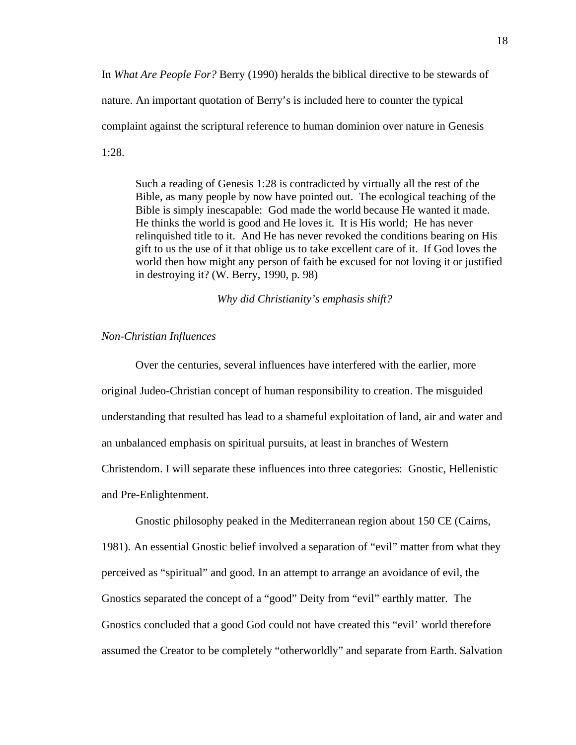In *What Are People For?* Berry (1990) heralds the biblical directive to be stewards of nature. An important quotation of Berry's is included here to counter the typical complaint against the scriptural reference to human dominion over nature in Genesis 1:28.

Such a reading of Genesis 1:28 is contradicted by virtually all the rest of the Bible, as many people by now have pointed out. The ecological teaching of the Bible is simply inescapable: God made the world because He wanted it made. He thinks the world is good and He loves it. It is His world; He has never relinquished title to it. And He has never revoked the conditions bearing on His gift to us the use of it that oblige us to take excellent care of it. If God loves the world then how might any person of faith be excused for not loving it or justified in destroying it? (W. Berry, 1990, p. 98)

*Why did Christianity's emphasis shift?*

## *Non-Christian Influences*

Over the centuries, several influences have interfered with the earlier, more original Judeo-Christian concept of human responsibility to creation. The misguided understanding that resulted has lead to a shameful exploitation of land, air and water and an unbalanced emphasis on spiritual pursuits, at least in branches of Western Christendom. I will separate these influences into three categories: Gnostic, Hellenistic and Pre-Enlightenment.

Gnostic philosophy peaked in the Mediterranean region about 150 CE (Cairns, 1981). An essential Gnostic belief involved a separation of "evil" matter from what they perceived as "spiritual" and good. In an attempt to arrange an avoidance of evil, the Gnostics separated the concept of a "good" Deity from "evil" earthly matter. The Gnostics concluded that a good God could not have created this "evil' world therefore assumed the Creator to be completely "otherworldly" and separate from Earth. Salvation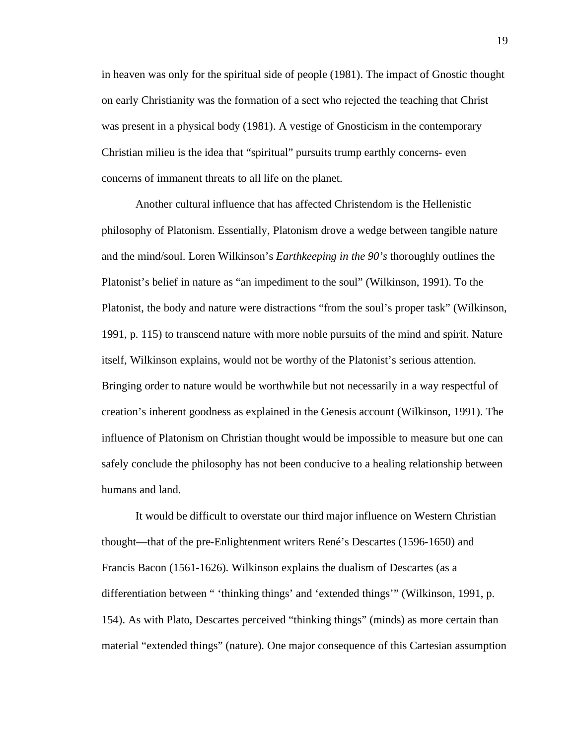in heaven was only for the spiritual side of people (1981). The impact of Gnostic thought on early Christianity was the formation of a sect who rejected the teaching that Christ was present in a physical body (1981). A vestige of Gnosticism in the contemporary Christian milieu is the idea that "spiritual" pursuits trump earthly concerns- even concerns of immanent threats to all life on the planet.

Another cultural influence that has affected Christendom is the Hellenistic philosophy of Platonism. Essentially, Platonism drove a wedge between tangible nature and the mind/soul. Loren Wilkinson's *Earthkeeping in the 90's* thoroughly outlines the Platonist's belief in nature as "an impediment to the soul" (Wilkinson, 1991). To the Platonist, the body and nature were distractions "from the soul's proper task" (Wilkinson, 1991, p. 115) to transcend nature with more noble pursuits of the mind and spirit. Nature itself, Wilkinson explains, would not be worthy of the Platonist's serious attention. Bringing order to nature would be worthwhile but not necessarily in a way respectful of creation's inherent goodness as explained in the Genesis account (Wilkinson, 1991). The influence of Platonism on Christian thought would be impossible to measure but one can safely conclude the philosophy has not been conducive to a healing relationship between humans and land.

It would be difficult to overstate our third major influence on Western Christian thought—that of the pre-Enlightenment writers René's Descartes (1596-1650) and Francis Bacon (1561-1626). Wilkinson explains the dualism of Descartes (as a differentiation between " 'thinking things' and 'extended things'" (Wilkinson, 1991, p. 154). As with Plato, Descartes perceived "thinking things" (minds) as more certain than material "extended things" (nature). One major consequence of this Cartesian assumption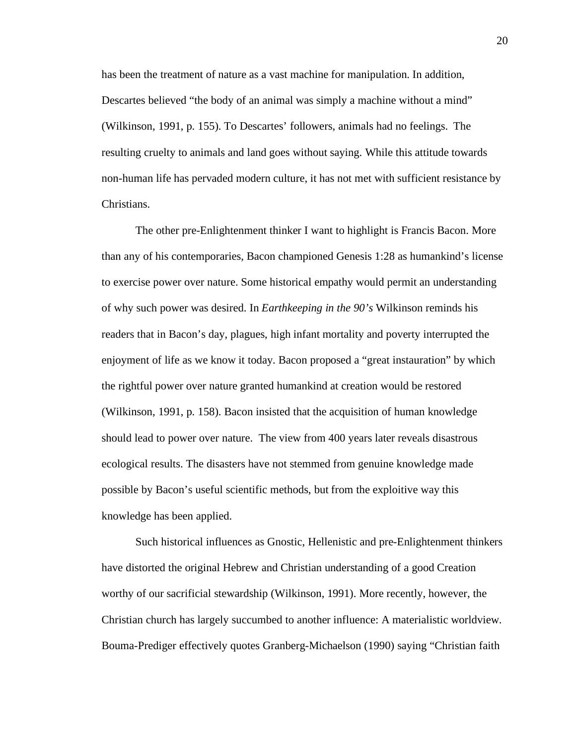has been the treatment of nature as a vast machine for manipulation. In addition, Descartes believed "the body of an animal was simply a machine without a mind" (Wilkinson, 1991, p. 155). To Descartes' followers, animals had no feelings. The resulting cruelty to animals and land goes without saying. While this attitude towards non-human life has pervaded modern culture, it has not met with sufficient resistance by Christians.

The other pre-Enlightenment thinker I want to highlight is Francis Bacon. More than any of his contemporaries, Bacon championed Genesis 1:28 as humankind's license to exercise power over nature. Some historical empathy would permit an understanding of why such power was desired. In *Earthkeeping in the 90's* Wilkinson reminds his readers that in Bacon's day, plagues, high infant mortality and poverty interrupted the enjoyment of life as we know it today. Bacon proposed a "great instauration" by which the rightful power over nature granted humankind at creation would be restored (Wilkinson, 1991, p. 158). Bacon insisted that the acquisition of human knowledge should lead to power over nature. The view from 400 years later reveals disastrous ecological results. The disasters have not stemmed from genuine knowledge made possible by Bacon's useful scientific methods, but from the exploitive way this knowledge has been applied.

Such historical influences as Gnostic, Hellenistic and pre-Enlightenment thinkers have distorted the original Hebrew and Christian understanding of a good Creation worthy of our sacrificial stewardship (Wilkinson, 1991). More recently, however, the Christian church has largely succumbed to another influence: A materialistic worldview. Bouma-Prediger effectively quotes Granberg-Michaelson (1990) saying "Christian faith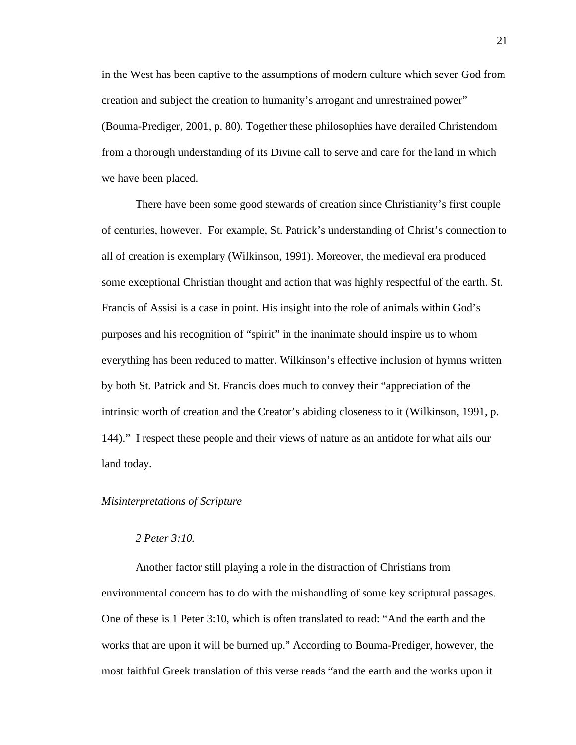in the West has been captive to the assumptions of modern culture which sever God from creation and subject the creation to humanity's arrogant and unrestrained power" (Bouma-Prediger, 2001, p. 80). Together these philosophies have derailed Christendom from a thorough understanding of its Divine call to serve and care for the land in which we have been placed.

There have been some good stewards of creation since Christianity's first couple of centuries, however. For example, St. Patrick's understanding of Christ's connection to all of creation is exemplary (Wilkinson, 1991). Moreover, the medieval era produced some exceptional Christian thought and action that was highly respectful of the earth. St. Francis of Assisi is a case in point. His insight into the role of animals within God's purposes and his recognition of "spirit" in the inanimate should inspire us to whom everything has been reduced to matter. Wilkinson's effective inclusion of hymns written by both St. Patrick and St. Francis does much to convey their "appreciation of the intrinsic worth of creation and the Creator's abiding closeness to it (Wilkinson, 1991, p. 144)." I respect these people and their views of nature as an antidote for what ails our land today.

## *Misinterpretations of Scripture*

## *2 Peter 3:10.*

Another factor still playing a role in the distraction of Christians from environmental concern has to do with the mishandling of some key scriptural passages. One of these is 1 Peter 3:10, which is often translated to read: "And the earth and the works that are upon it will be burned up." According to Bouma-Prediger, however, the most faithful Greek translation of this verse reads "and the earth and the works upon it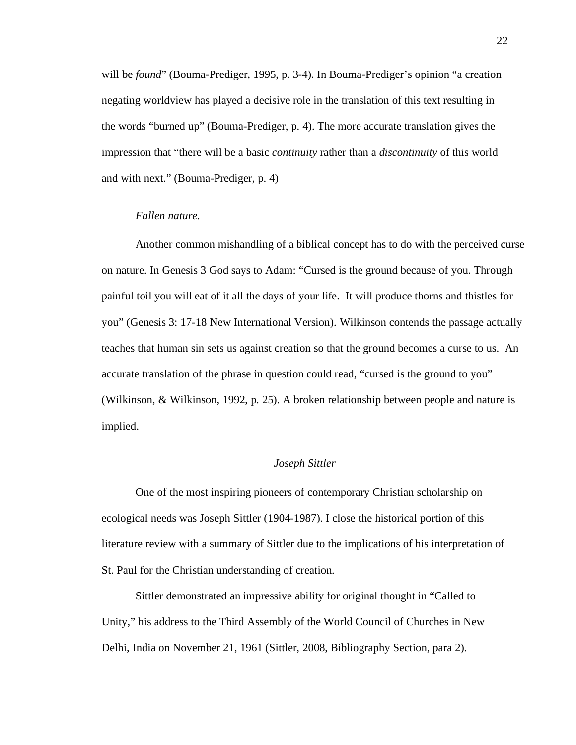will be *found*" (Bouma-Prediger, 1995, p. 3-4). In Bouma-Prediger's opinion "a creation negating worldview has played a decisive role in the translation of this text resulting in the words "burned up" (Bouma-Prediger, p. 4). The more accurate translation gives the impression that "there will be a basic *continuity* rather than a *discontinuity* of this world and with next." (Bouma-Prediger, p. 4)

#### *Fallen nature.*

Another common mishandling of a biblical concept has to do with the perceived curse on nature. In Genesis 3 God says to Adam: "Cursed is the ground because of you. Through painful toil you will eat of it all the days of your life. It will produce thorns and thistles for you" (Genesis 3: 17-18 New International Version). Wilkinson contends the passage actually teaches that human sin sets us against creation so that the ground becomes a curse to us. An accurate translation of the phrase in question could read, "cursed is the ground to you" (Wilkinson, & Wilkinson, 1992, p. 25). A broken relationship between people and nature is implied.

## *Joseph Sittler*

One of the most inspiring pioneers of contemporary Christian scholarship on ecological needs was Joseph Sittler (1904-1987). I close the historical portion of this literature review with a summary of Sittler due to the implications of his interpretation of St. Paul for the Christian understanding of creation.

Sittler demonstrated an impressive ability for original thought in "Called to Unity," his address to the Third Assembly of the World Council of Churches in New Delhi, India on November 21, 1961 (Sittler, 2008, Bibliography Section, para 2).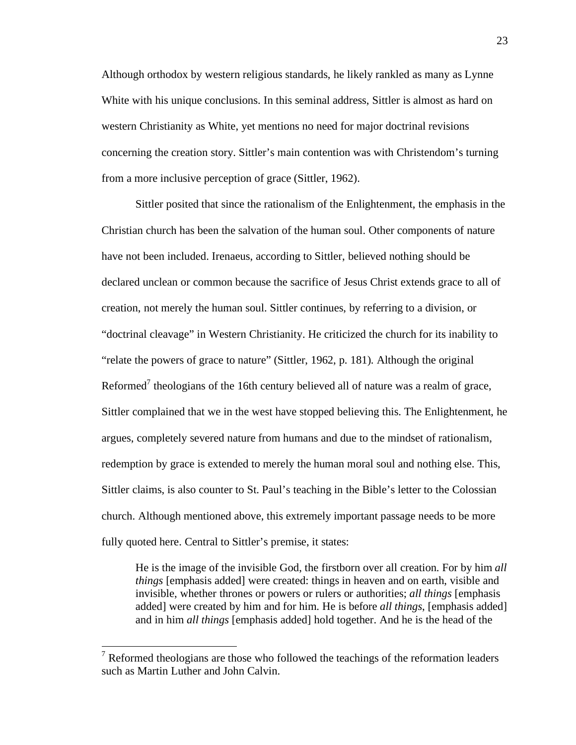Although orthodox by western religious standards, he likely rankled as many as Lynne White with his unique conclusions. In this seminal address, Sittler is almost as hard on western Christianity as White, yet mentions no need for major doctrinal revisions concerning the creation story. Sittler's main contention was with Christendom's turning from a more inclusive perception of grace (Sittler, 1962).

Sittler posited that since the rationalism of the Enlightenment, the emphasis in the Christian church has been the salvation of the human soul. Other components of nature have not been included. Irenaeus, according to Sittler, believed nothing should be declared unclean or common because the sacrifice of Jesus Christ extends grace to all of creation, not merely the human soul. Sittler continues, by referring to a division, or "doctrinal cleavage" in Western Christianity. He criticized the church for its inability to "relate the powers of grace to nature" (Sittler, 1962, p. 181). Although the original Reformed<sup>7</sup> theologians of the 16th century believed all of nature was a realm of grace, Sittler complained that we in the west have stopped believing this. The Enlightenment, he argues, completely severed nature from humans and due to the mindset of rationalism, redemption by grace is extended to merely the human moral soul and nothing else. This, Sittler claims, is also counter to St. Paul's teaching in the Bible's letter to the Colossian church. Although mentioned above, this extremely important passage needs to be more fully quoted here. Central to Sittler's premise, it states:

He is the image of the invisible God, the firstborn over all creation. For by him *all things* [emphasis added] were created: things in heaven and on earth, visible and invisible, whether thrones or powers or rulers or authorities; *all things* [emphasis added] were created by him and for him. He is before *all things*, [emphasis added] and in him *all things* [emphasis added] hold together. And he is the head of the

<sup>&</sup>lt;sup>7</sup> Reformed theologians are those who followed the teachings of the reformation leaders such as Martin Luther and John Calvin.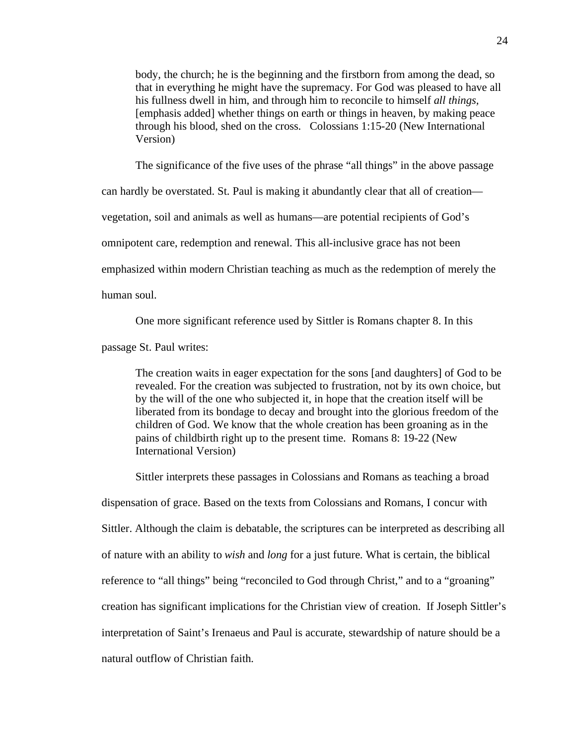body, the church; he is the beginning and the firstborn from among the dead, so that in everything he might have the supremacy. For God was pleased to have all his fullness dwell in him, and through him to reconcile to himself *all things,*  [emphasis added] whether things on earth or things in heaven, by making peace through his blood, shed on the cross. Colossians 1:15-20 (New International Version)

The significance of the five uses of the phrase "all things" in the above passage

can hardly be overstated. St. Paul is making it abundantly clear that all of creation—

vegetation, soil and animals as well as humans—are potential recipients of God's

omnipotent care, redemption and renewal. This all-inclusive grace has not been

emphasized within modern Christian teaching as much as the redemption of merely the

human soul.

One more significant reference used by Sittler is Romans chapter 8. In this

passage St. Paul writes:

The creation waits in eager expectation for the sons [and daughters] of God to be revealed. For the creation was subjected to frustration, not by its own choice, but by the will of the one who subjected it, in hope that the creation itself will be liberated from its bondage to decay and brought into the glorious freedom of the children of God. We know that the whole creation has been groaning as in the pains of childbirth right up to the present time. Romans 8: 19-22 (New International Version)

Sittler interprets these passages in Colossians and Romans as teaching a broad dispensation of grace. Based on the texts from Colossians and Romans, I concur with Sittler. Although the claim is debatable, the scriptures can be interpreted as describing all of nature with an ability to *wish* and *long* for a just future. What is certain, the biblical reference to "all things" being "reconciled to God through Christ," and to a "groaning" creation has significant implications for the Christian view of creation. If Joseph Sittler's interpretation of Saint's Irenaeus and Paul is accurate, stewardship of nature should be a natural outflow of Christian faith.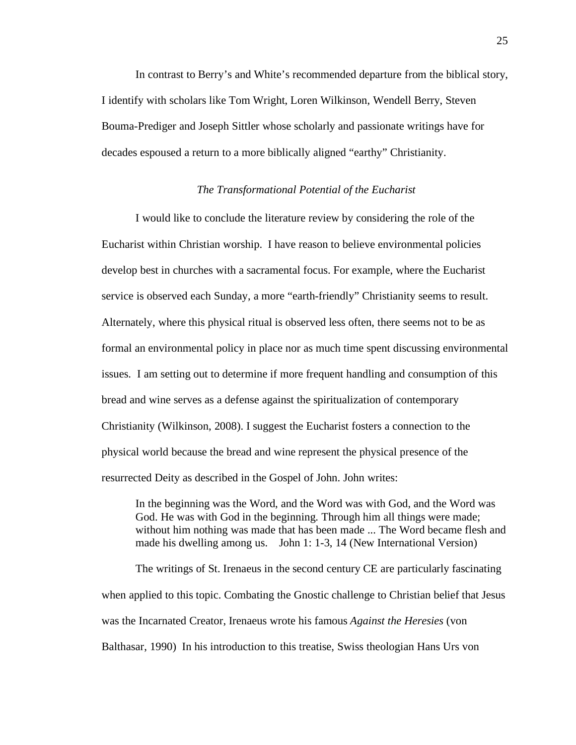In contrast to Berry's and White's recommended departure from the biblical story, I identify with scholars like Tom Wright, Loren Wilkinson, Wendell Berry, Steven Bouma-Prediger and Joseph Sittler whose scholarly and passionate writings have for decades espoused a return to a more biblically aligned "earthy" Christianity.

### *The Transformational Potential of the Eucharist*

I would like to conclude the literature review by considering the role of the Eucharist within Christian worship. I have reason to believe environmental policies develop best in churches with a sacramental focus. For example, where the Eucharist service is observed each Sunday, a more "earth-friendly" Christianity seems to result. Alternately, where this physical ritual is observed less often, there seems not to be as formal an environmental policy in place nor as much time spent discussing environmental issues. I am setting out to determine if more frequent handling and consumption of this bread and wine serves as a defense against the spiritualization of contemporary Christianity (Wilkinson, 2008). I suggest the Eucharist fosters a connection to the physical world because the bread and wine represent the physical presence of the resurrected Deity as described in the Gospel of John. John writes:

In the beginning was the Word, and the Word was with God, and the Word was God. He was with God in the beginning. Through him all things were made; without him nothing was made that has been made ... The Word became flesh and made his dwelling among us. John 1: 1-3, 14 (New International Version)

The writings of St. Irenaeus in the second century CE are particularly fascinating when applied to this topic. Combating the Gnostic challenge to Christian belief that Jesus was the Incarnated Creator, Irenaeus wrote his famous *Against the Heresies* (von Balthasar, 1990) In his introduction to this treatise, Swiss theologian Hans Urs von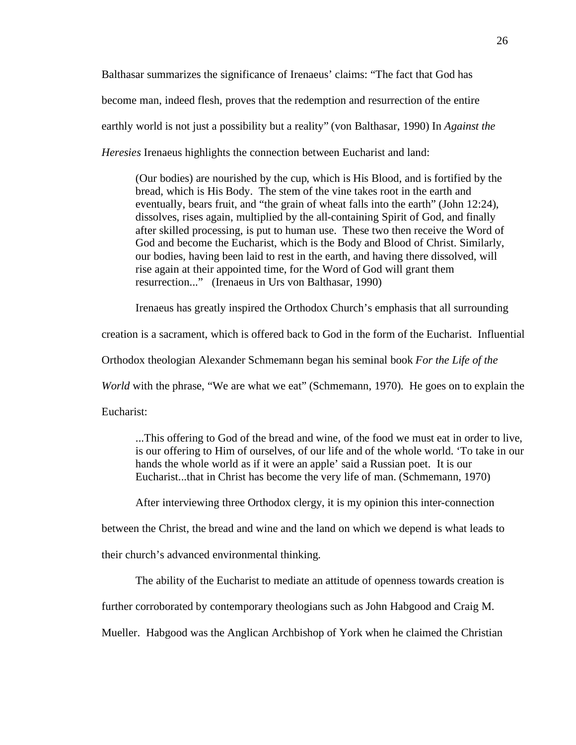Balthasar summarizes the significance of Irenaeus' claims: "The fact that God has become man, indeed flesh, proves that the redemption and resurrection of the entire earthly world is not just a possibility but a reality" (von Balthasar, 1990) In *Against the Heresies* Irenaeus highlights the connection between Eucharist and land:

(Our bodies) are nourished by the cup, which is His Blood, and is fortified by the bread, which is His Body. The stem of the vine takes root in the earth and eventually, bears fruit, and "the grain of wheat falls into the earth" (John 12:24), dissolves, rises again, multiplied by the all-containing Spirit of God, and finally after skilled processing, is put to human use. These two then receive the Word of God and become the Eucharist, which is the Body and Blood of Christ. Similarly, our bodies, having been laid to rest in the earth, and having there dissolved, will rise again at their appointed time, for the Word of God will grant them resurrection..." (Irenaeus in Urs von Balthasar, 1990)

Irenaeus has greatly inspired the Orthodox Church's emphasis that all surrounding

creation is a sacrament, which is offered back to God in the form of the Eucharist. Influential

Orthodox theologian Alexander Schmemann began his seminal book *For the Life of the* 

*World* with the phrase, "We are what we eat" (Schmemann, 1970). He goes on to explain the

Eucharist:

...This offering to God of the bread and wine, of the food we must eat in order to live, is our offering to Him of ourselves, of our life and of the whole world. 'To take in our hands the whole world as if it were an apple' said a Russian poet. It is our Eucharist...that in Christ has become the very life of man. (Schmemann, 1970)

After interviewing three Orthodox clergy, it is my opinion this inter-connection

between the Christ, the bread and wine and the land on which we depend is what leads to

their church's advanced environmental thinking.

The ability of the Eucharist to mediate an attitude of openness towards creation is

further corroborated by contemporary theologians such as John Habgood and Craig M.

Mueller. Habgood was the Anglican Archbishop of York when he claimed the Christian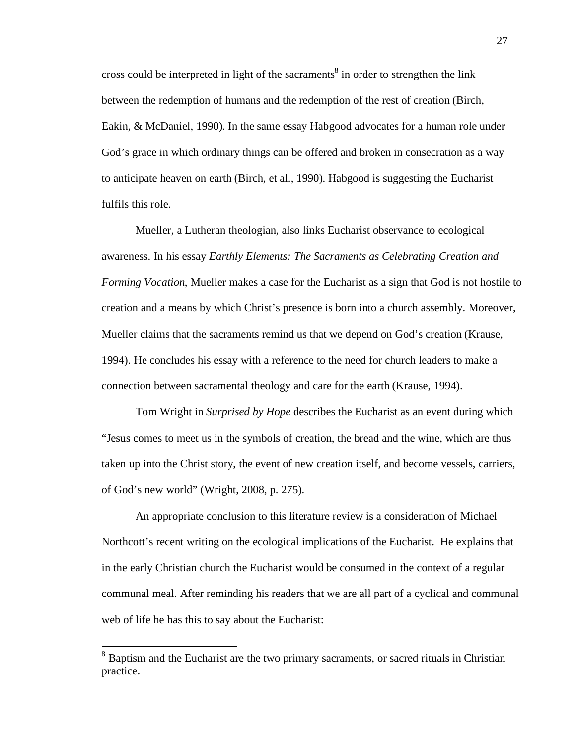cross could be interpreted in light of the sacraments<sup>8</sup> in order to strengthen the link between the redemption of humans and the redemption of the rest of creation (Birch, Eakin, & McDaniel, 1990). In the same essay Habgood advocates for a human role under God's grace in which ordinary things can be offered and broken in consecration as a way to anticipate heaven on earth (Birch, et al., 1990). Habgood is suggesting the Eucharist fulfils this role.

Mueller, a Lutheran theologian, also links Eucharist observance to ecological awareness. In his essay *Earthly Elements: The Sacraments as Celebrating Creation and Forming Vocation*, Mueller makes a case for the Eucharist as a sign that God is not hostile to creation and a means by which Christ's presence is born into a church assembly. Moreover, Mueller claims that the sacraments remind us that we depend on God's creation (Krause, 1994). He concludes his essay with a reference to the need for church leaders to make a connection between sacramental theology and care for the earth (Krause, 1994).

Tom Wright in *Surprised by Hope* describes the Eucharist as an event during which "Jesus comes to meet us in the symbols of creation, the bread and the wine, which are thus taken up into the Christ story, the event of new creation itself, and become vessels, carriers, of God's new world" (Wright, 2008, p. 275).

An appropriate conclusion to this literature review is a consideration of Michael Northcott's recent writing on the ecological implications of the Eucharist. He explains that in the early Christian church the Eucharist would be consumed in the context of a regular communal meal. After reminding his readers that we are all part of a cyclical and communal web of life he has this to say about the Eucharist:

<sup>&</sup>lt;sup>8</sup> Baptism and the Eucharist are the two primary sacraments, or sacred rituals in Christian practice.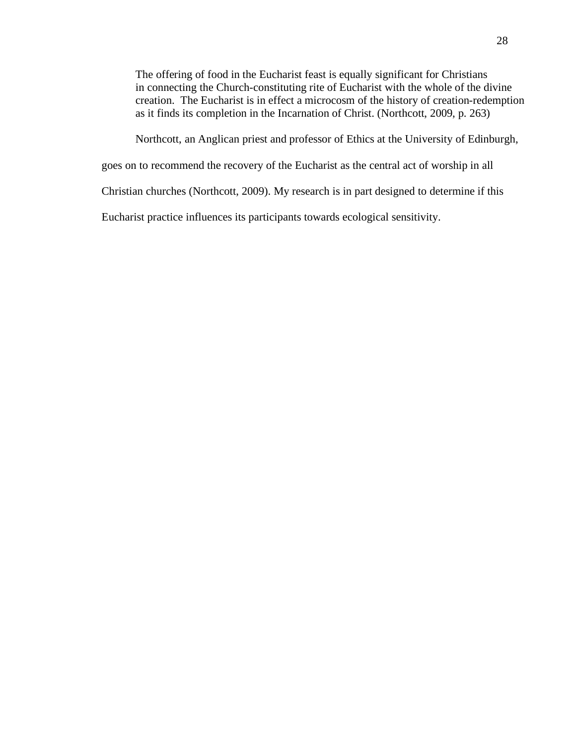The offering of food in the Eucharist feast is equally significant for Christians in connecting the Church-constituting rite of Eucharist with the whole of the divine creation. The Eucharist is in effect a microcosm of the history of creation-redemption as it finds its completion in the Incarnation of Christ. (Northcott, 2009, p. 263)

Northcott, an Anglican priest and professor of Ethics at the University of Edinburgh,

goes on to recommend the recovery of the Eucharist as the central act of worship in all

Christian churches (Northcott, 2009). My research is in part designed to determine if this

Eucharist practice influences its participants towards ecological sensitivity.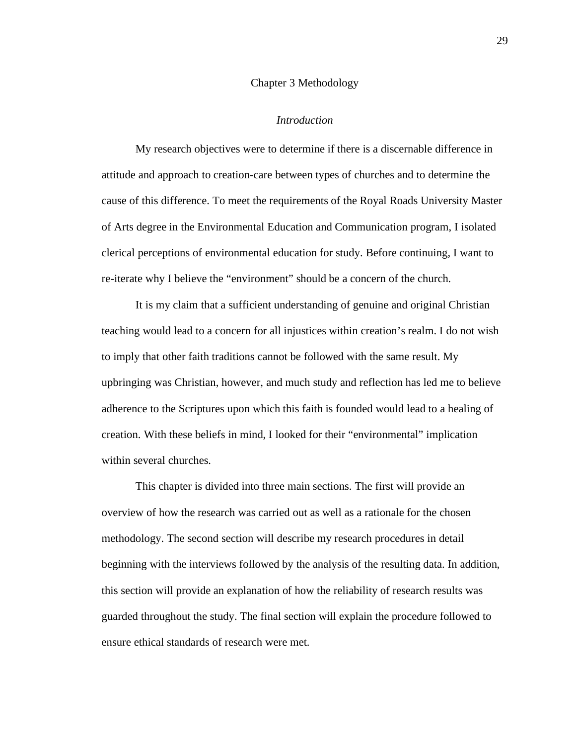#### Chapter 3 Methodology

#### *Introduction*

My research objectives were to determine if there is a discernable difference in attitude and approach to creation-care between types of churches and to determine the cause of this difference. To meet the requirements of the Royal Roads University Master of Arts degree in the Environmental Education and Communication program, I isolated clerical perceptions of environmental education for study. Before continuing, I want to re-iterate why I believe the "environment" should be a concern of the church.

It is my claim that a sufficient understanding of genuine and original Christian teaching would lead to a concern for all injustices within creation's realm. I do not wish to imply that other faith traditions cannot be followed with the same result. My upbringing was Christian, however, and much study and reflection has led me to believe adherence to the Scriptures upon which this faith is founded would lead to a healing of creation. With these beliefs in mind, I looked for their "environmental" implication within several churches.

This chapter is divided into three main sections. The first will provide an overview of how the research was carried out as well as a rationale for the chosen methodology. The second section will describe my research procedures in detail beginning with the interviews followed by the analysis of the resulting data. In addition, this section will provide an explanation of how the reliability of research results was guarded throughout the study. The final section will explain the procedure followed to ensure ethical standards of research were met.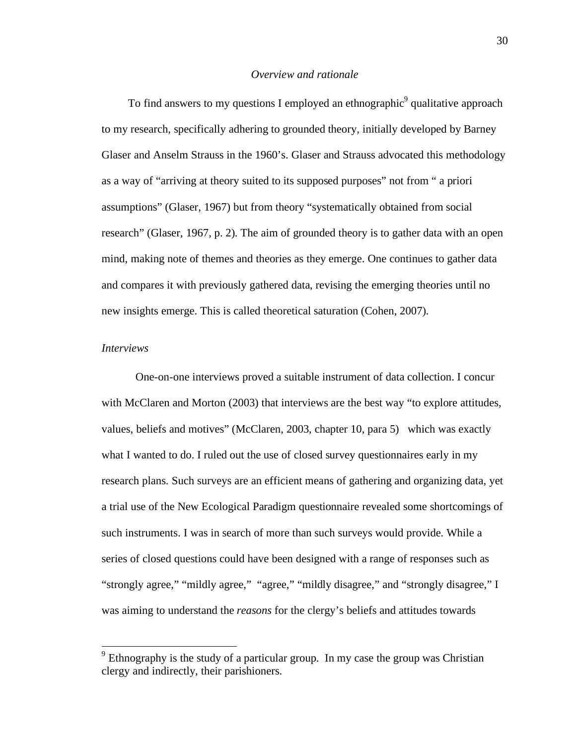# *Overview and rationale*

To find answers to my questions I employed an ethnographic<sup>9</sup> qualitative approach to my research, specifically adhering to grounded theory*,* initially developed by Barney Glaser and Anselm Strauss in the 1960's. Glaser and Strauss advocated this methodology as a way of "arriving at theory suited to its supposed purposes" not from " a priori assumptions" (Glaser, 1967) but from theory "systematically obtained from social research" (Glaser, 1967, p. 2). The aim of grounded theory is to gather data with an open mind, making note of themes and theories as they emerge. One continues to gather data and compares it with previously gathered data, revising the emerging theories until no new insights emerge. This is called theoretical saturation (Cohen, 2007).

# *Interviews*

One-on-one interviews proved a suitable instrument of data collection. I concur with McClaren and Morton (2003) that interviews are the best way "to explore attitudes, values, beliefs and motives" (McClaren, 2003, chapter 10, para 5) which was exactly what I wanted to do. I ruled out the use of closed survey questionnaires early in my research plans. Such surveys are an efficient means of gathering and organizing data, yet a trial use of the New Ecological Paradigm questionnaire revealed some shortcomings of such instruments. I was in search of more than such surveys would provide. While a series of closed questions could have been designed with a range of responses such as "strongly agree," "mildly agree," "agree," "mildly disagree," and "strongly disagree," I was aiming to understand the *reasons* for the clergy's beliefs and attitudes towards

<sup>&</sup>lt;sup>9</sup> Ethnography is the study of a particular group. In my case the group was Christian clergy and indirectly, their parishioners.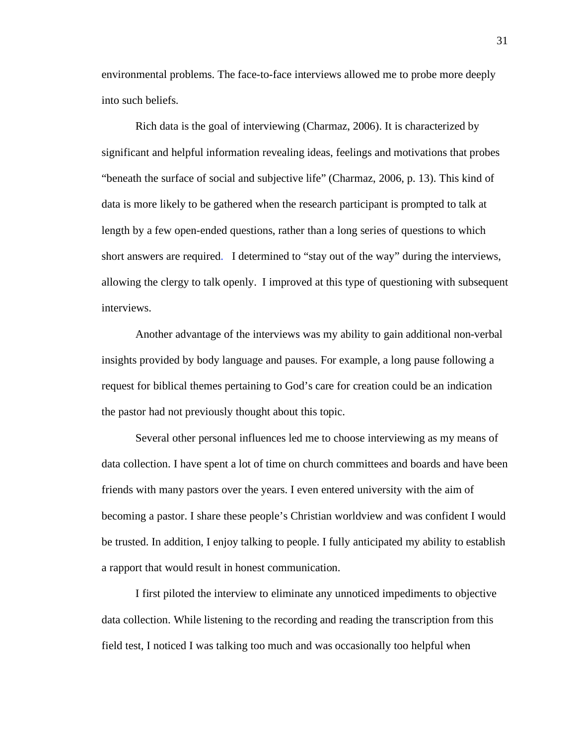environmental problems. The face-to-face interviews allowed me to probe more deeply into such beliefs.

Rich data is the goal of interviewing (Charmaz, 2006). It is characterized by significant and helpful information revealing ideas, feelings and motivations that probes "beneath the surface of social and subjective life" (Charmaz, 2006, p. 13). This kind of data is more likely to be gathered when the research participant is prompted to talk at length by a few open-ended questions, rather than a long series of questions to which short answers are required. I determined to "stay out of the way" during the interviews, allowing the clergy to talk openly. I improved at this type of questioning with subsequent interviews.

Another advantage of the interviews was my ability to gain additional non-verbal insights provided by body language and pauses. For example, a long pause following a request for biblical themes pertaining to God's care for creation could be an indication the pastor had not previously thought about this topic.

Several other personal influences led me to choose interviewing as my means of data collection. I have spent a lot of time on church committees and boards and have been friends with many pastors over the years. I even entered university with the aim of becoming a pastor. I share these people's Christian worldview and was confident I would be trusted. In addition, I enjoy talking to people. I fully anticipated my ability to establish a rapport that would result in honest communication.

I first piloted the interview to eliminate any unnoticed impediments to objective data collection. While listening to the recording and reading the transcription from this field test, I noticed I was talking too much and was occasionally too helpful when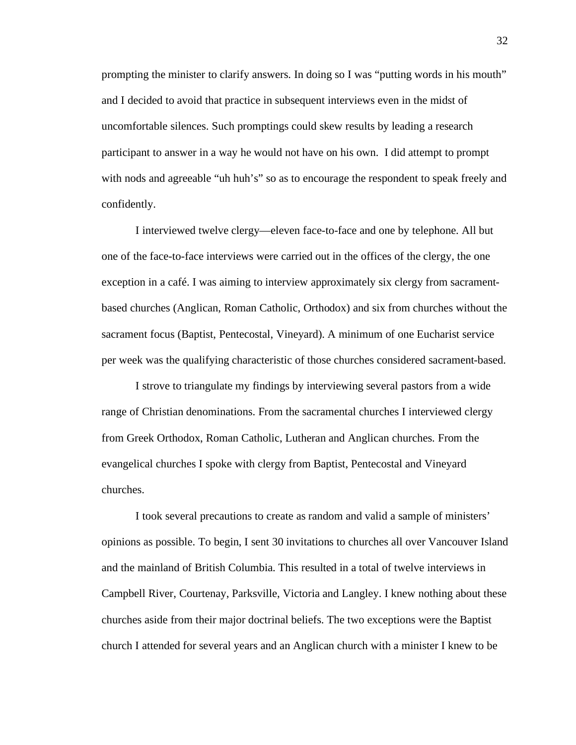prompting the minister to clarify answers. In doing so I was "putting words in his mouth" and I decided to avoid that practice in subsequent interviews even in the midst of uncomfortable silences. Such promptings could skew results by leading a research participant to answer in a way he would not have on his own. I did attempt to prompt with nods and agreeable "uh huh's" so as to encourage the respondent to speak freely and confidently.

I interviewed twelve clergy—eleven face-to-face and one by telephone. All but one of the face-to-face interviews were carried out in the offices of the clergy, the one exception in a café. I was aiming to interview approximately six clergy from sacramentbased churches (Anglican, Roman Catholic, Orthodox) and six from churches without the sacrament focus (Baptist, Pentecostal, Vineyard). A minimum of one Eucharist service per week was the qualifying characteristic of those churches considered sacrament-based.

I strove to triangulate my findings by interviewing several pastors from a wide range of Christian denominations. From the sacramental churches I interviewed clergy from Greek Orthodox, Roman Catholic, Lutheran and Anglican churches. From the evangelical churches I spoke with clergy from Baptist, Pentecostal and Vineyard churches.

I took several precautions to create as random and valid a sample of ministers' opinions as possible. To begin, I sent 30 invitations to churches all over Vancouver Island and the mainland of British Columbia. This resulted in a total of twelve interviews in Campbell River, Courtenay, Parksville, Victoria and Langley. I knew nothing about these churches aside from their major doctrinal beliefs. The two exceptions were the Baptist church I attended for several years and an Anglican church with a minister I knew to be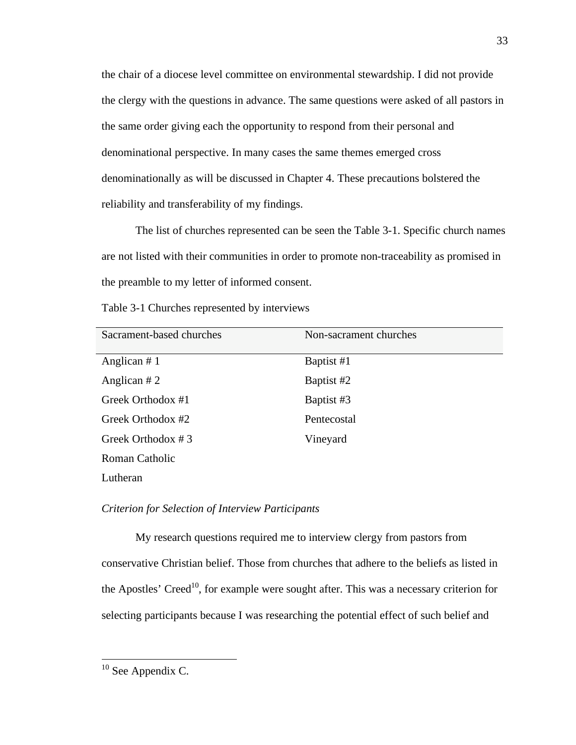the chair of a diocese level committee on environmental stewardship. I did not provide the clergy with the questions in advance. The same questions were asked of all pastors in the same order giving each the opportunity to respond from their personal and denominational perspective. In many cases the same themes emerged cross denominationally as will be discussed in Chapter 4. These precautions bolstered the reliability and transferability of my findings.

The list of churches represented can be seen the Table 3-1. Specific church names are not listed with their communities in order to promote non-traceability as promised in the preamble to my letter of informed consent.

Table 3-1 Churches represented by interviews

| Sacrament-based churches | Non-sacrament churches |
|--------------------------|------------------------|
|                          |                        |
| Anglican $# 1$           | Baptist #1             |
| Anglican $#2$            | Baptist #2             |
| Greek Orthodox #1        | Baptist #3             |
| Greek Orthodox #2        | Pentecostal            |
| Greek Orthodox #3        | Vineyard               |
| Roman Catholic           |                        |
| Lutheran                 |                        |

# *Criterion for Selection of Interview Participants*

My research questions required me to interview clergy from pastors from conservative Christian belief. Those from churches that adhere to the beliefs as listed in the Apostles' Creed<sup>10</sup>, for example were sought after. This was a necessary criterion for selecting participants because I was researching the potential effect of such belief and

<sup>&</sup>lt;sup>10</sup> See Appendix C.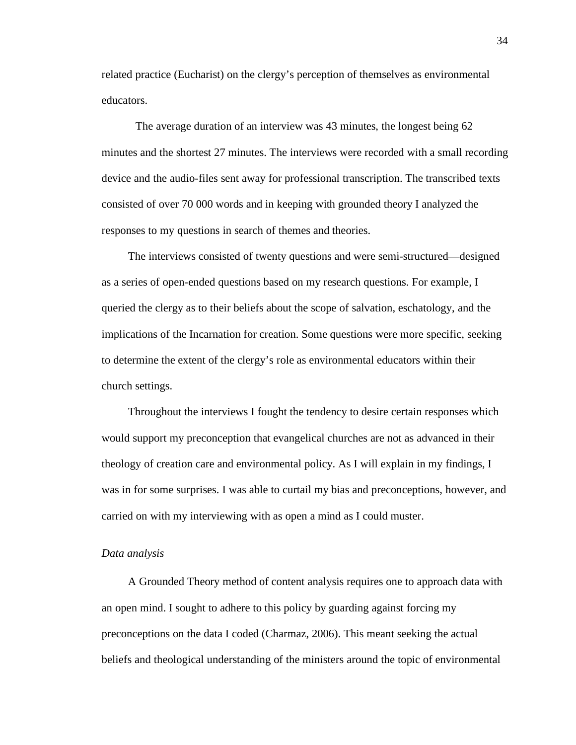related practice (Eucharist) on the clergy's perception of themselves as environmental educators.

The average duration of an interview was 43 minutes, the longest being 62 minutes and the shortest 27 minutes. The interviews were recorded with a small recording device and the audio-files sent away for professional transcription. The transcribed texts consisted of over 70 000 words and in keeping with grounded theory I analyzed the responses to my questions in search of themes and theories.

The interviews consisted of twenty questions and were semi-structured—designed as a series of open-ended questions based on my research questions. For example, I queried the clergy as to their beliefs about the scope of salvation, eschatology, and the implications of the Incarnation for creation. Some questions were more specific, seeking to determine the extent of the clergy's role as environmental educators within their church settings.

Throughout the interviews I fought the tendency to desire certain responses which would support my preconception that evangelical churches are not as advanced in their theology of creation care and environmental policy. As I will explain in my findings, I was in for some surprises. I was able to curtail my bias and preconceptions, however, and carried on with my interviewing with as open a mind as I could muster.

#### *Data analysis*

A Grounded Theory method of content analysis requires one to approach data with an open mind. I sought to adhere to this policy by guarding against forcing my preconceptions on the data I coded (Charmaz, 2006). This meant seeking the actual beliefs and theological understanding of the ministers around the topic of environmental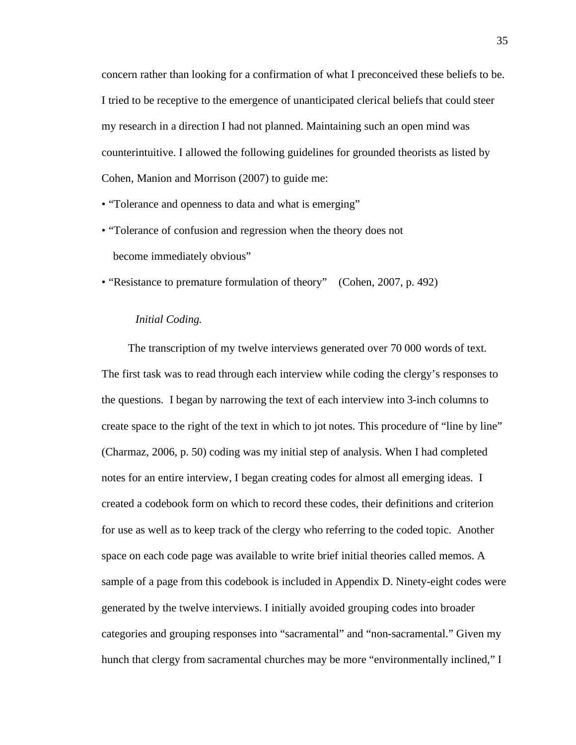concern rather than looking for a confirmation of what I preconceived these beliefs to be. I tried to be receptive to the emergence of unanticipated clerical beliefs that could steer my research in a direction I had not planned. Maintaining such an open mind was counterintuitive. I allowed the following guidelines for grounded theorists as listed by Cohen, Manion and Morrison (2007) to guide me:

• "Tolerance and openness to data and what is emerging"

• "Tolerance of confusion and regression when the theory does not become immediately obvious"

• "Resistance to premature formulation of theory" (Cohen, 2007, p. 492)

#### *Initial Coding.*

The transcription of my twelve interviews generated over 70 000 words of text. The first task was to read through each interview while coding the clergy's responses to the questions. I began by narrowing the text of each interview into 3-inch columns to create space to the right of the text in which to jot notes. This procedure of "line by line" (Charmaz, 2006, p. 50) coding was my initial step of analysis. When I had completed notes for an entire interview, I began creating codes for almost all emerging ideas. I created a codebook form on which to record these codes, their definitions and criterion for use as well as to keep track of the clergy who referring to the coded topic. Another space on each code page was available to write brief initial theories called memos. A sample of a page from this codebook is included in Appendix D. Ninety-eight codes were generated by the twelve interviews. I initially avoided grouping codes into broader categories and grouping responses into "sacramental" and "non-sacramental." Given my hunch that clergy from sacramental churches may be more "environmentally inclined," I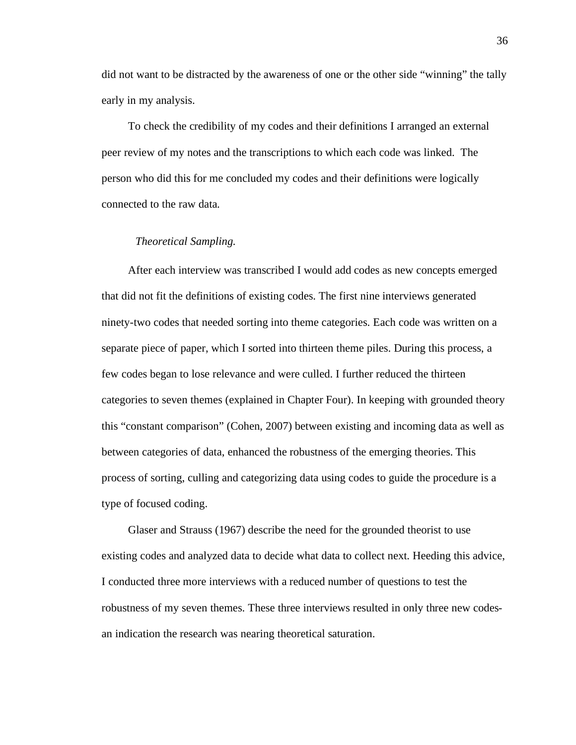did not want to be distracted by the awareness of one or the other side "winning" the tally early in my analysis.

To check the credibility of my codes and their definitions I arranged an external peer review of my notes and the transcriptions to which each code was linked. The person who did this for me concluded my codes and their definitions were logically connected to the raw data.

#### *Theoretical Sampling.*

After each interview was transcribed I would add codes as new concepts emerged that did not fit the definitions of existing codes. The first nine interviews generated ninety-two codes that needed sorting into theme categories. Each code was written on a separate piece of paper, which I sorted into thirteen theme piles. During this process, a few codes began to lose relevance and were culled. I further reduced the thirteen categories to seven themes (explained in Chapter Four). In keeping with grounded theory this "constant comparison" (Cohen, 2007) between existing and incoming data as well as between categories of data, enhanced the robustness of the emerging theories. This process of sorting, culling and categorizing data using codes to guide the procedure is a type of focused coding.

Glaser and Strauss (1967) describe the need for the grounded theorist to use existing codes and analyzed data to decide what data to collect next. Heeding this advice, I conducted three more interviews with a reduced number of questions to test the robustness of my seven themes. These three interviews resulted in only three new codesan indication the research was nearing theoretical saturation.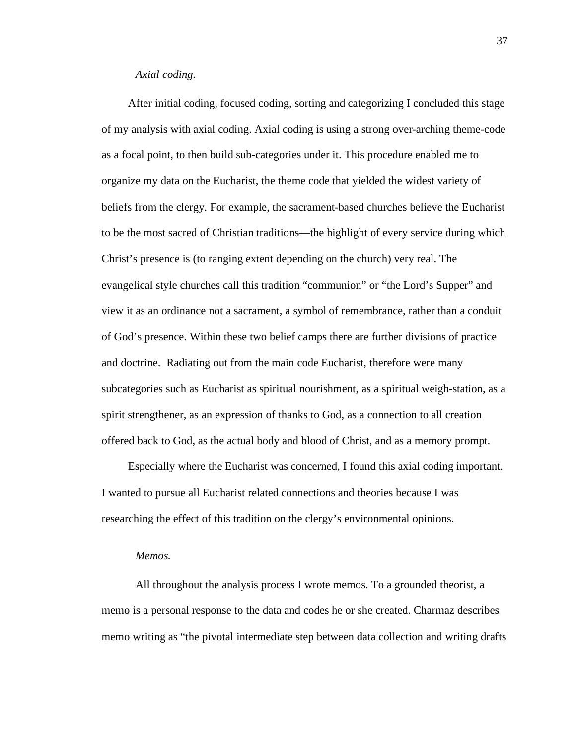#### *Axial coding.*

After initial coding, focused coding, sorting and categorizing I concluded this stage of my analysis with axial coding. Axial coding is using a strong over-arching theme-code as a focal point, to then build sub-categories under it. This procedure enabled me to organize my data on the Eucharist, the theme code that yielded the widest variety of beliefs from the clergy. For example, the sacrament-based churches believe the Eucharist to be the most sacred of Christian traditions—the highlight of every service during which Christ's presence is (to ranging extent depending on the church) very real. The evangelical style churches call this tradition "communion" or "the Lord's Supper" and view it as an ordinance not a sacrament, a symbol of remembrance, rather than a conduit of God's presence. Within these two belief camps there are further divisions of practice and doctrine. Radiating out from the main code Eucharist, therefore were many subcategories such as Eucharist as spiritual nourishment, as a spiritual weigh-station, as a spirit strengthener, as an expression of thanks to God, as a connection to all creation offered back to God, as the actual body and blood of Christ, and as a memory prompt.

Especially where the Eucharist was concerned, I found this axial coding important. I wanted to pursue all Eucharist related connections and theories because I was researching the effect of this tradition on the clergy's environmental opinions.

#### *Memos.*

All throughout the analysis process I wrote memos. To a grounded theorist, a memo is a personal response to the data and codes he or she created. Charmaz describes memo writing as "the pivotal intermediate step between data collection and writing drafts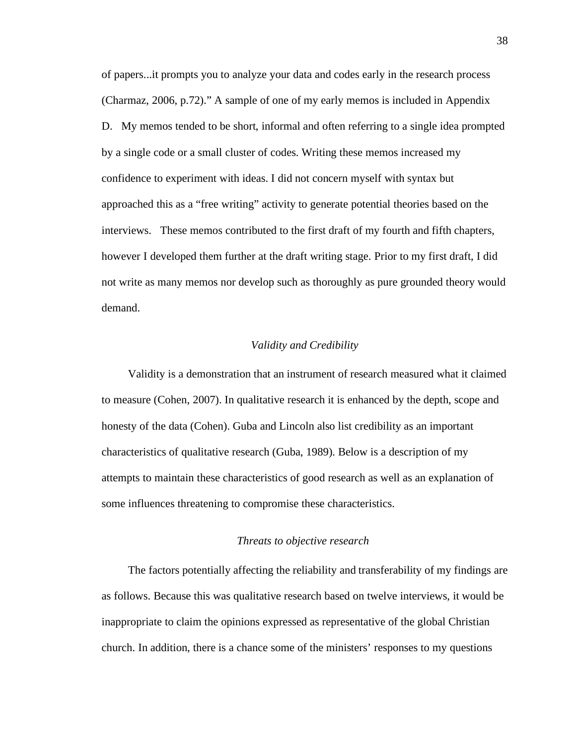of papers...it prompts you to analyze your data and codes early in the research process (Charmaz, 2006, p.72)." A sample of one of my early memos is included in Appendix D. My memos tended to be short, informal and often referring to a single idea prompted by a single code or a small cluster of codes. Writing these memos increased my confidence to experiment with ideas. I did not concern myself with syntax but approached this as a "free writing" activity to generate potential theories based on the interviews. These memos contributed to the first draft of my fourth and fifth chapters, however I developed them further at the draft writing stage. Prior to my first draft, I did not write as many memos nor develop such as thoroughly as pure grounded theory would demand.

# *Validity and Credibility*

Validity is a demonstration that an instrument of research measured what it claimed to measure (Cohen, 2007). In qualitative research it is enhanced by the depth, scope and honesty of the data (Cohen). Guba and Lincoln also list credibility as an important characteristics of qualitative research (Guba, 1989). Below is a description of my attempts to maintain these characteristics of good research as well as an explanation of some influences threatening to compromise these characteristics.

# *Threats to objective research*

The factors potentially affecting the reliability and transferability of my findings are as follows. Because this was qualitative research based on twelve interviews, it would be inappropriate to claim the opinions expressed as representative of the global Christian church. In addition, there is a chance some of the ministers' responses to my questions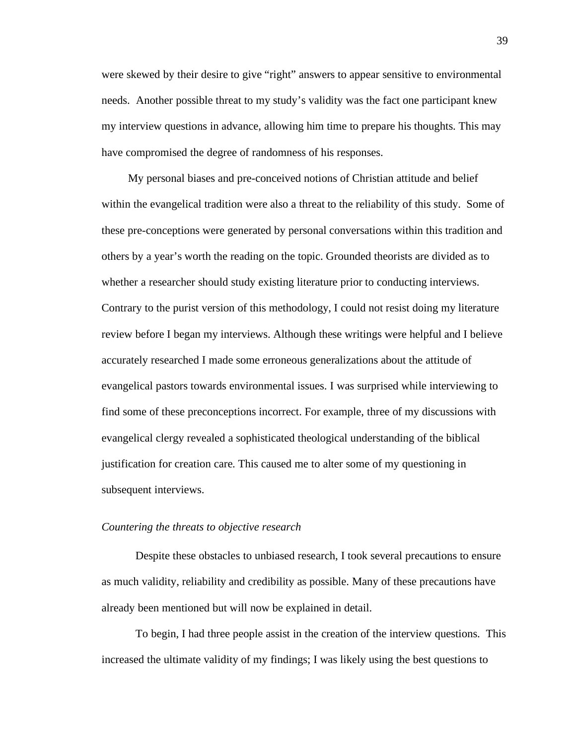were skewed by their desire to give "right" answers to appear sensitive to environmental needs. Another possible threat to my study's validity was the fact one participant knew my interview questions in advance, allowing him time to prepare his thoughts. This may have compromised the degree of randomness of his responses.

My personal biases and pre-conceived notions of Christian attitude and belief within the evangelical tradition were also a threat to the reliability of this study. Some of these pre-conceptions were generated by personal conversations within this tradition and others by a year's worth the reading on the topic. Grounded theorists are divided as to whether a researcher should study existing literature prior to conducting interviews. Contrary to the purist version of this methodology, I could not resist doing my literature review before I began my interviews. Although these writings were helpful and I believe accurately researched I made some erroneous generalizations about the attitude of evangelical pastors towards environmental issues. I was surprised while interviewing to find some of these preconceptions incorrect. For example, three of my discussions with evangelical clergy revealed a sophisticated theological understanding of the biblical justification for creation care. This caused me to alter some of my questioning in subsequent interviews.

# *Countering the threats to objective research*

Despite these obstacles to unbiased research, I took several precautions to ensure as much validity, reliability and credibility as possible. Many of these precautions have already been mentioned but will now be explained in detail.

To begin, I had three people assist in the creation of the interview questions. This increased the ultimate validity of my findings; I was likely using the best questions to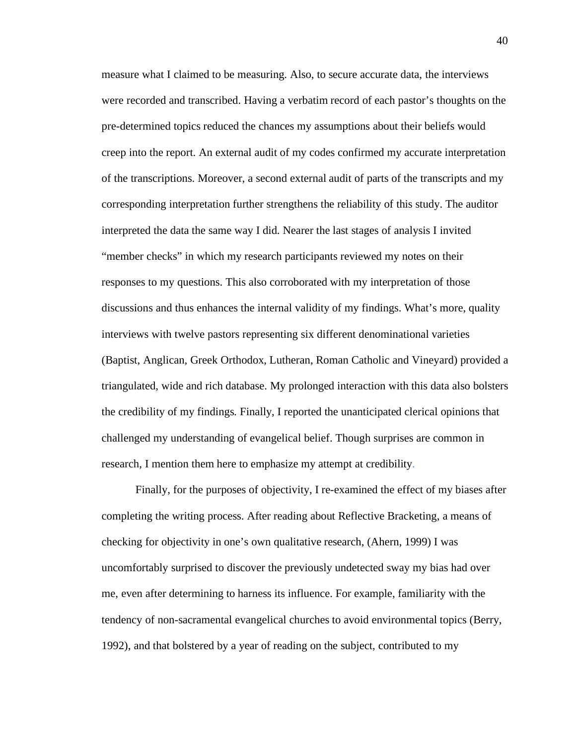measure what I claimed to be measuring. Also, to secure accurate data, the interviews were recorded and transcribed. Having a verbatim record of each pastor's thoughts on the pre-determined topics reduced the chances my assumptions about their beliefs would creep into the report. An external audit of my codes confirmed my accurate interpretation of the transcriptions. Moreover, a second external audit of parts of the transcripts and my corresponding interpretation further strengthens the reliability of this study. The auditor interpreted the data the same way I did. Nearer the last stages of analysis I invited "member checks" in which my research participants reviewed my notes on their responses to my questions. This also corroborated with my interpretation of those discussions and thus enhances the internal validity of my findings. What's more, quality interviews with twelve pastors representing six different denominational varieties (Baptist, Anglican, Greek Orthodox, Lutheran, Roman Catholic and Vineyard) provided a triangulated, wide and rich database. My prolonged interaction with this data also bolsters the credibility of my findings. Finally, I reported the unanticipated clerical opinions that challenged my understanding of evangelical belief. Though surprises are common in research, I mention them here to emphasize my attempt at credibility.

Finally, for the purposes of objectivity, I re-examined the effect of my biases after completing the writing process. After reading about Reflective Bracketing, a means of checking for objectivity in one's own qualitative research, (Ahern, 1999) I was uncomfortably surprised to discover the previously undetected sway my bias had over me, even after determining to harness its influence. For example, familiarity with the tendency of non-sacramental evangelical churches to avoid environmental topics (Berry, 1992), and that bolstered by a year of reading on the subject, contributed to my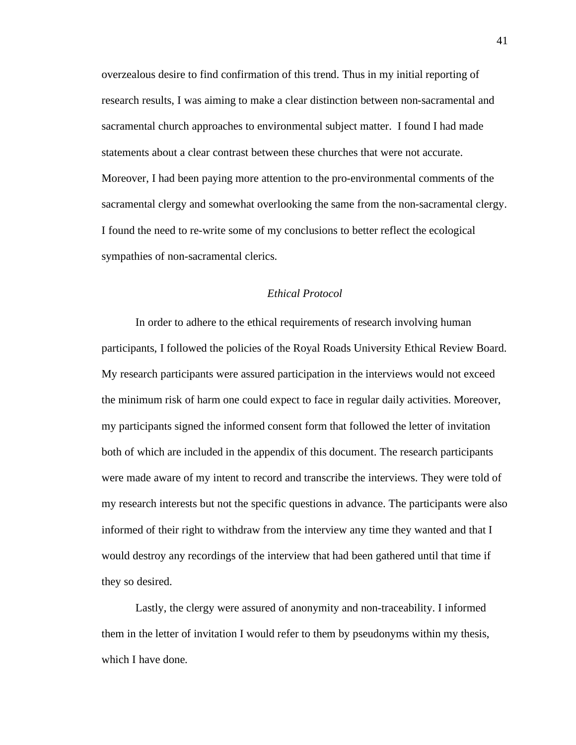overzealous desire to find confirmation of this trend. Thus in my initial reporting of research results, I was aiming to make a clear distinction between non-sacramental and sacramental church approaches to environmental subject matter. I found I had made statements about a clear contrast between these churches that were not accurate. Moreover, I had been paying more attention to the pro-environmental comments of the sacramental clergy and somewhat overlooking the same from the non-sacramental clergy. I found the need to re-write some of my conclusions to better reflect the ecological sympathies of non-sacramental clerics.

# *Ethical Protocol*

In order to adhere to the ethical requirements of research involving human participants, I followed the policies of the Royal Roads University Ethical Review Board. My research participants were assured participation in the interviews would not exceed the minimum risk of harm one could expect to face in regular daily activities. Moreover, my participants signed the informed consent form that followed the letter of invitation both of which are included in the appendix of this document. The research participants were made aware of my intent to record and transcribe the interviews. They were told of my research interests but not the specific questions in advance. The participants were also informed of their right to withdraw from the interview any time they wanted and that I would destroy any recordings of the interview that had been gathered until that time if they so desired.

Lastly, the clergy were assured of anonymity and non-traceability. I informed them in the letter of invitation I would refer to them by pseudonyms within my thesis, which I have done.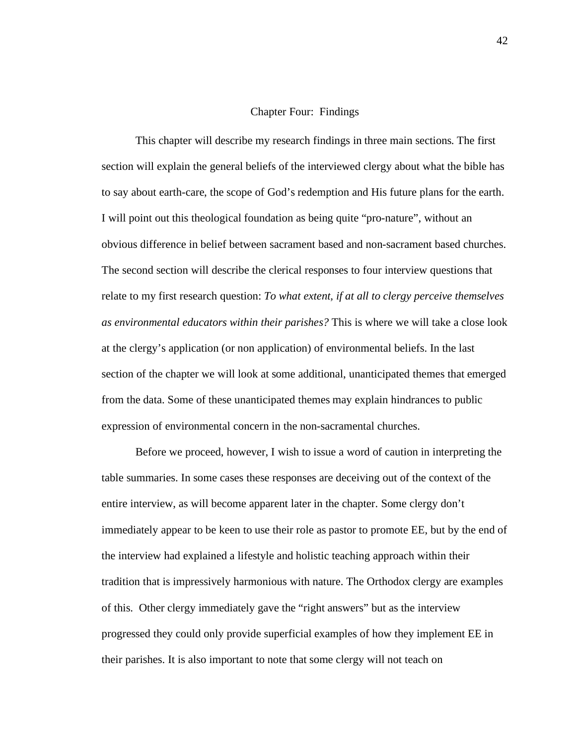#### Chapter Four: Findings

This chapter will describe my research findings in three main sections. The first section will explain the general beliefs of the interviewed clergy about what the bible has to say about earth-care, the scope of God's redemption and His future plans for the earth. I will point out this theological foundation as being quite "pro-nature", without an obvious difference in belief between sacrament based and non-sacrament based churches. The second section will describe the clerical responses to four interview questions that relate to my first research question: *To what extent, if at all to clergy perceive themselves as environmental educators within their parishes?* This is where we will take a close look at the clergy's application (or non application) of environmental beliefs. In the last section of the chapter we will look at some additional, unanticipated themes that emerged from the data. Some of these unanticipated themes may explain hindrances to public expression of environmental concern in the non-sacramental churches.

Before we proceed, however, I wish to issue a word of caution in interpreting the table summaries. In some cases these responses are deceiving out of the context of the entire interview, as will become apparent later in the chapter. Some clergy don't immediately appear to be keen to use their role as pastor to promote EE, but by the end of the interview had explained a lifestyle and holistic teaching approach within their tradition that is impressively harmonious with nature. The Orthodox clergy are examples of this. Other clergy immediately gave the "right answers" but as the interview progressed they could only provide superficial examples of how they implement EE in their parishes. It is also important to note that some clergy will not teach on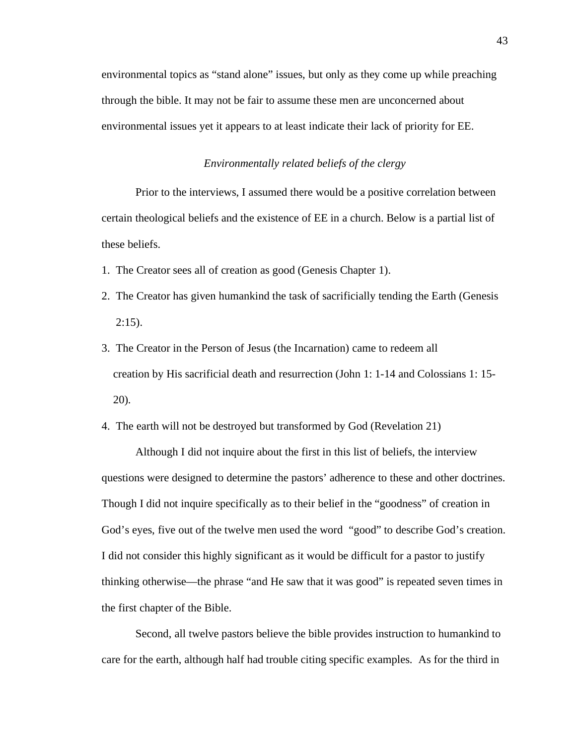environmental topics as "stand alone" issues, but only as they come up while preaching through the bible. It may not be fair to assume these men are unconcerned about environmental issues yet it appears to at least indicate their lack of priority for EE.

#### *Environmentally related beliefs of the clergy*

Prior to the interviews, I assumed there would be a positive correlation between certain theological beliefs and the existence of EE in a church. Below is a partial list of these beliefs.

- 1. The Creator sees all of creation as good (Genesis Chapter 1).
- 2. The Creator has given humankind the task of sacrificially tending the Earth (Genesis  $2:15$ ).
- 3. The Creator in the Person of Jesus (the Incarnation) came to redeem all creation by His sacrificial death and resurrection (John 1: 1-14 and Colossians 1: 15- 20).

4. The earth will not be destroyed but transformed by God (Revelation 21)

Although I did not inquire about the first in this list of beliefs, the interview questions were designed to determine the pastors' adherence to these and other doctrines. Though I did not inquire specifically as to their belief in the "goodness" of creation in God's eyes, five out of the twelve men used the word "good" to describe God's creation. I did not consider this highly significant as it would be difficult for a pastor to justify thinking otherwise—the phrase "and He saw that it was good" is repeated seven times in the first chapter of the Bible.

Second, all twelve pastors believe the bible provides instruction to humankind to care for the earth, although half had trouble citing specific examples. As for the third in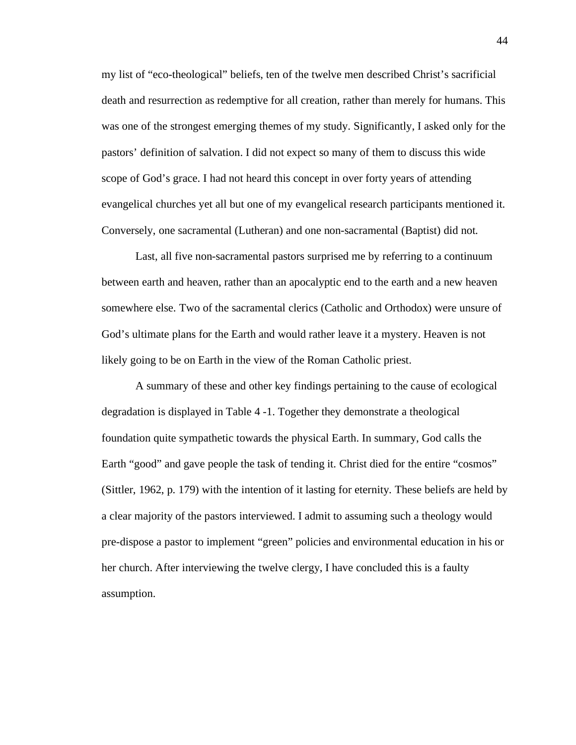my list of "eco-theological" beliefs, ten of the twelve men described Christ's sacrificial death and resurrection as redemptive for all creation, rather than merely for humans. This was one of the strongest emerging themes of my study. Significantly, I asked only for the pastors' definition of salvation. I did not expect so many of them to discuss this wide scope of God's grace. I had not heard this concept in over forty years of attending evangelical churches yet all but one of my evangelical research participants mentioned it. Conversely, one sacramental (Lutheran) and one non-sacramental (Baptist) did not.

Last, all five non-sacramental pastors surprised me by referring to a continuum between earth and heaven, rather than an apocalyptic end to the earth and a new heaven somewhere else. Two of the sacramental clerics (Catholic and Orthodox) were unsure of God's ultimate plans for the Earth and would rather leave it a mystery. Heaven is not likely going to be on Earth in the view of the Roman Catholic priest.

A summary of these and other key findings pertaining to the cause of ecological degradation is displayed in Table 4 -1. Together they demonstrate a theological foundation quite sympathetic towards the physical Earth. In summary, God calls the Earth "good" and gave people the task of tending it. Christ died for the entire "cosmos" (Sittler, 1962, p. 179) with the intention of it lasting for eternity. These beliefs are held by a clear majority of the pastors interviewed. I admit to assuming such a theology would pre-dispose a pastor to implement "green" policies and environmental education in his or her church. After interviewing the twelve clergy, I have concluded this is a faulty assumption.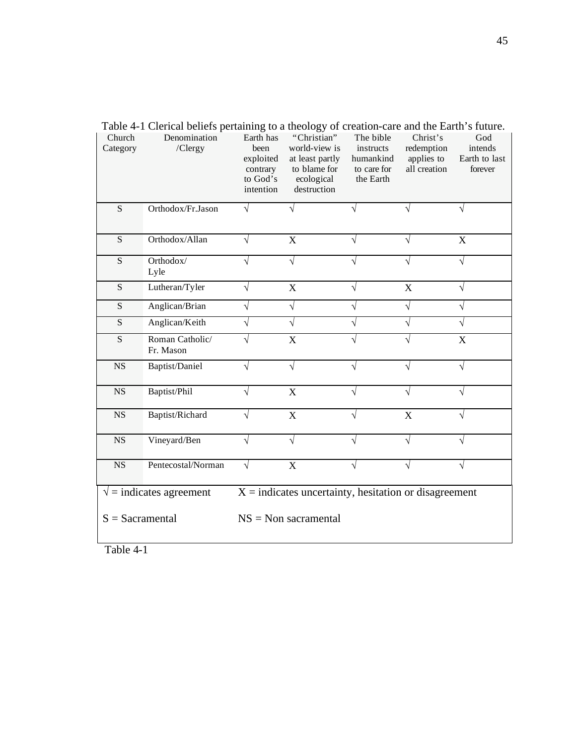| Church<br>Category | Denomination<br>/Clergy           | Earth has<br>been<br>exploited<br>contrary<br>to God's<br>intention | "Christian"<br>world-view is<br>at least partly<br>to blame for<br>ecological<br>destruction | The bible<br>instructs<br>humankind<br>to care for<br>the Earth | Christ's<br>redemption<br>applies to<br>all creation | God<br>intends<br>Earth to last<br>forever |
|--------------------|-----------------------------------|---------------------------------------------------------------------|----------------------------------------------------------------------------------------------|-----------------------------------------------------------------|------------------------------------------------------|--------------------------------------------|
| S                  | Orthodox/Fr.Jason                 |                                                                     |                                                                                              |                                                                 |                                                      |                                            |
| ${\bf S}$          | Orthodox/Allan                    | V                                                                   | $\mathbf X$                                                                                  | V                                                               | V                                                    | $\boldsymbol{\mathrm{X}}$                  |
| ${\bf S}$          | Orthodox/<br>Lyle                 |                                                                     | V                                                                                            | V                                                               |                                                      | V                                          |
| S                  | Lutheran/Tyler                    |                                                                     | X                                                                                            |                                                                 | $\boldsymbol{\mathrm{X}}$                            |                                            |
| S                  | Anglican/Brian                    |                                                                     | V                                                                                            |                                                                 | V                                                    |                                            |
| S                  | Anglican/Keith                    |                                                                     |                                                                                              |                                                                 | J                                                    |                                            |
| S                  | Roman Catholic/<br>Fr. Mason      |                                                                     | X                                                                                            |                                                                 |                                                      | X                                          |
| <b>NS</b>          | Baptist/Daniel                    |                                                                     | $\sqrt{}$                                                                                    | $\sqrt{}$                                                       |                                                      | V                                          |
| <b>NS</b>          | Baptist/Phil                      | V                                                                   | X                                                                                            | V                                                               |                                                      |                                            |
| <b>NS</b>          | Baptist/Richard                   |                                                                     | X                                                                                            | V                                                               | X                                                    |                                            |
| $_{\rm NS}$        | Vineyard/Ben                      |                                                                     |                                                                                              |                                                                 |                                                      |                                            |
| <b>NS</b>          | Pentecostal/Norman                | V                                                                   | X                                                                                            |                                                                 |                                                      |                                            |
|                    | $\sqrt{\ }$ = indicates agreement |                                                                     | $X =$ indicates uncertainty, hesitation or disagreement                                      |                                                                 |                                                      |                                            |
| $S =$ Sacramental  |                                   |                                                                     | $NS = Non \, sacramental$                                                                    |                                                                 |                                                      |                                            |

Table 4-1 Clerical beliefs pertaining to a theology of creation-care and the Earth's future.

Table 4-1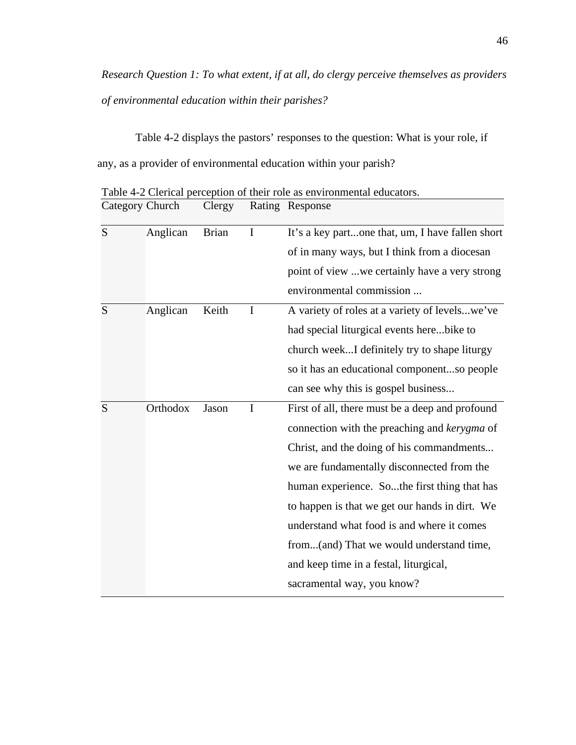*Research Question 1: To what extent, if at all, do clergy perceive themselves as providers of environmental education within their parishes?* 

Table 4-2 displays the pastors' responses to the question: What is your role, if any, as a provider of environmental education within your parish?

| S | Anglican | <b>Brian</b> | $\bf{I}$    | It's a key partone that, um, I have fallen short |
|---|----------|--------------|-------------|--------------------------------------------------|
|   |          |              |             | of in many ways, but I think from a diocesan     |
|   |          |              |             | point of view we certainly have a very strong    |
|   |          |              |             | environmental commission                         |
| S | Anglican | Keith        | I           | A variety of roles at a variety of levelswe've   |
|   |          |              |             | had special liturgical events herebike to        |
|   |          |              |             | church weekI definitely try to shape liturgy     |
|   |          |              |             | so it has an educational componentso people      |
|   |          |              |             | can see why this is gospel business              |
| S | Orthodox | Jason        | $\mathbf I$ | First of all, there must be a deep and profound  |
|   |          |              |             | connection with the preaching and kerygma of     |
|   |          |              |             | Christ, and the doing of his commandments        |
|   |          |              |             | we are fundamentally disconnected from the       |
|   |          |              |             | human experience. Sothe first thing that has     |
|   |          |              |             | to happen is that we get our hands in dirt. We   |
|   |          |              |             | understand what food is and where it comes       |
|   |          |              |             | from(and) That we would understand time,         |
|   |          |              |             | and keep time in a festal, liturgical,           |
|   |          |              |             | sacramental way, you know?                       |

Table 4-2 Clerical perception of their role as environmental educators. Category Church Clergy Rating Response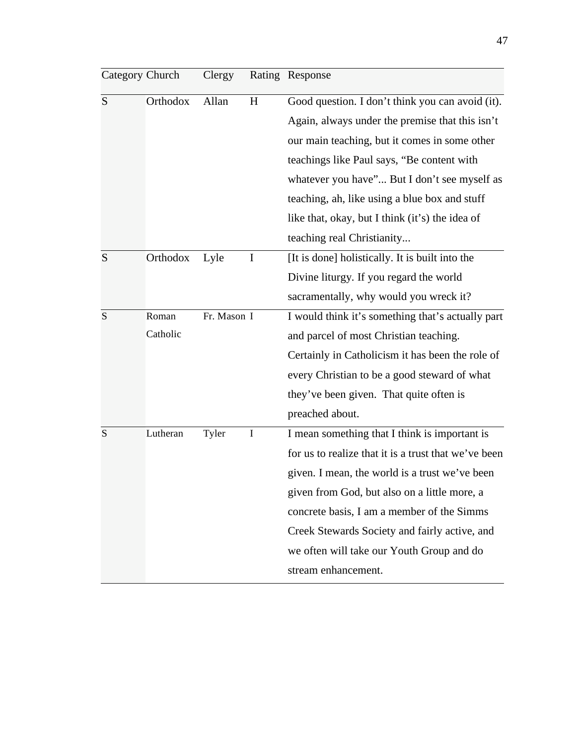| Category Church |          | Clergy      |   | Rating Response                                      |
|-----------------|----------|-------------|---|------------------------------------------------------|
| S               | Orthodox | Allan       | H | Good question. I don't think you can avoid (it).     |
|                 |          |             |   | Again, always under the premise that this isn't      |
|                 |          |             |   | our main teaching, but it comes in some other        |
|                 |          |             |   | teachings like Paul says, "Be content with           |
|                 |          |             |   | whatever you have" But I don't see myself as         |
|                 |          |             |   | teaching, ah, like using a blue box and stuff        |
|                 |          |             |   | like that, okay, but I think (it's) the idea of      |
|                 |          |             |   | teaching real Christianity                           |
| S               | Orthodox | Lyle        | I | [It is done] holistically. It is built into the      |
|                 |          |             |   | Divine liturgy. If you regard the world              |
|                 |          |             |   | sacramentally, why would you wreck it?               |
| S               | Roman    | Fr. Mason I |   | I would think it's something that's actually part    |
|                 | Catholic |             |   | and parcel of most Christian teaching.               |
|                 |          |             |   | Certainly in Catholicism it has been the role of     |
|                 |          |             |   | every Christian to be a good steward of what         |
|                 |          |             |   | they've been given. That quite often is              |
|                 |          |             |   | preached about.                                      |
| S               | Lutheran | Tyler       | Ι | I mean something that I think is important is        |
|                 |          |             |   | for us to realize that it is a trust that we've been |
|                 |          |             |   | given. I mean, the world is a trust we've been       |
|                 |          |             |   | given from God, but also on a little more, a         |
|                 |          |             |   | concrete basis, I am a member of the Simms           |
|                 |          |             |   | Creek Stewards Society and fairly active, and        |
|                 |          |             |   | we often will take our Youth Group and do            |
|                 |          |             |   | stream enhancement.                                  |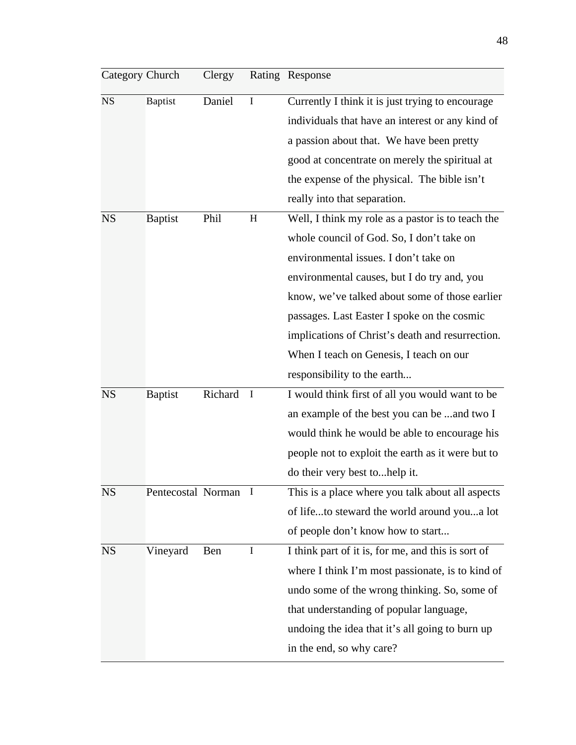| Category Church |                    | Clergy  |              | Rating Response                                    |
|-----------------|--------------------|---------|--------------|----------------------------------------------------|
| <b>NS</b>       | <b>Baptist</b>     | Daniel  | I            | Currently I think it is just trying to encourage   |
|                 |                    |         |              | individuals that have an interest or any kind of   |
|                 |                    |         |              | a passion about that. We have been pretty          |
|                 |                    |         |              | good at concentrate on merely the spiritual at     |
|                 |                    |         |              | the expense of the physical. The bible isn't       |
|                 |                    |         |              | really into that separation.                       |
| <b>NS</b>       | <b>Baptist</b>     | Phil    | H            | Well, I think my role as a pastor is to teach the  |
|                 |                    |         |              | whole council of God. So, I don't take on          |
|                 |                    |         |              | environmental issues. I don't take on              |
|                 |                    |         |              | environmental causes, but I do try and, you        |
|                 |                    |         |              | know, we've talked about some of those earlier     |
|                 |                    |         |              | passages. Last Easter I spoke on the cosmic        |
|                 |                    |         |              | implications of Christ's death and resurrection.   |
|                 |                    |         |              | When I teach on Genesis, I teach on our            |
|                 |                    |         |              | responsibility to the earth                        |
| <b>NS</b>       | <b>Baptist</b>     | Richard | $\mathbf{I}$ | I would think first of all you would want to be    |
|                 |                    |         |              | an example of the best you can be and two I        |
|                 |                    |         |              | would think he would be able to encourage his      |
|                 |                    |         |              | people not to exploit the earth as it were but to  |
|                 |                    |         |              | do their very best tohelp it.                      |
| NS              | Pentecostal Norman |         | $\mathbf{I}$ | This is a place where you talk about all aspects   |
|                 |                    |         |              | of lifeto steward the world around youa lot        |
|                 |                    |         |              | of people don't know how to start                  |
| <b>NS</b>       | Vineyard           | Ben     | I            | I think part of it is, for me, and this is sort of |
|                 |                    |         |              | where I think I'm most passionate, is to kind of   |
|                 |                    |         |              | undo some of the wrong thinking. So, some of       |
|                 |                    |         |              | that understanding of popular language,            |
|                 |                    |         |              | undoing the idea that it's all going to burn up    |
|                 |                    |         |              | in the end, so why care?                           |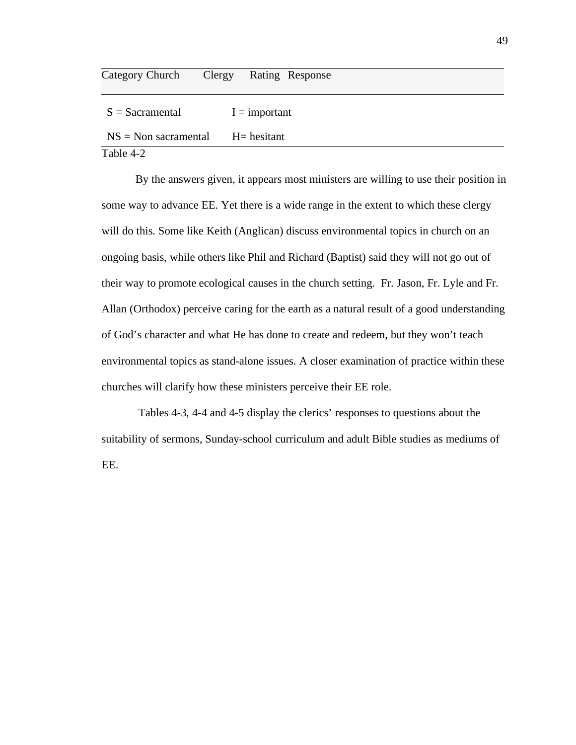| Category Church           | Clergy Rating Response |
|---------------------------|------------------------|
| $S =$ Sacramental         | $I =$ important        |
| $NS = Non \, sacramental$ | H = hesitant           |
| Table 4-2                 |                        |

By the answers given, it appears most ministers are willing to use their position in some way to advance EE. Yet there is a wide range in the extent to which these clergy will do this. Some like Keith (Anglican) discuss environmental topics in church on an ongoing basis, while others like Phil and Richard (Baptist) said they will not go out of their way to promote ecological causes in the church setting. Fr. Jason, Fr. Lyle and Fr. Allan (Orthodox) perceive caring for the earth as a natural result of a good understanding of God's character and what He has done to create and redeem, but they won't teach environmental topics as stand-alone issues. A closer examination of practice within these churches will clarify how these ministers perceive their EE role.

 Tables 4-3, 4-4 and 4-5 display the clerics' responses to questions about the suitability of sermons, Sunday-school curriculum and adult Bible studies as mediums of EE.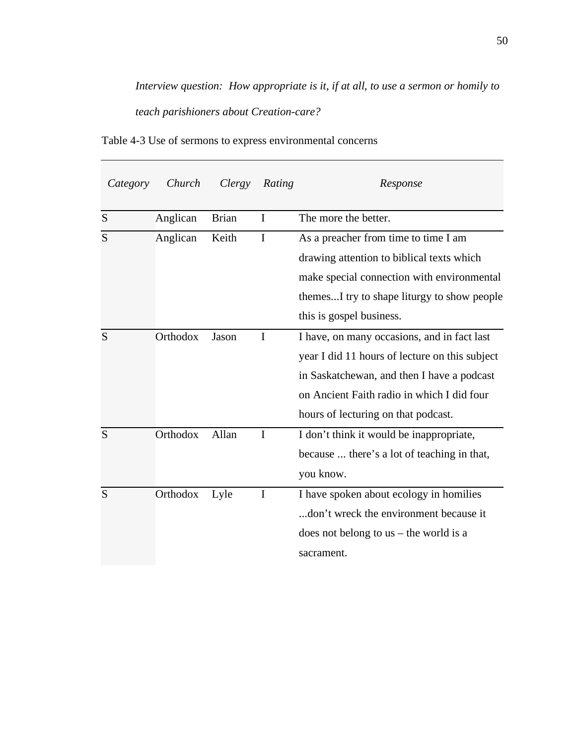*Interview question: How appropriate is it, if at all, to use a sermon or homily to teach parishioners about Creation-care?*

| Category | Church   | Clergy       | Rating       | Response                                       |
|----------|----------|--------------|--------------|------------------------------------------------|
| S        | Anglican | <b>Brian</b> | I            | The more the better.                           |
| S        | Anglican | Keith        | I            | As a preacher from time to time I am           |
|          |          |              |              | drawing attention to biblical texts which      |
|          |          |              |              | make special connection with environmental     |
|          |          |              |              | themesI try to shape liturgy to show people    |
|          |          |              |              | this is gospel business.                       |
| S        | Orthodox | Jason        | $\mathbf I$  | I have, on many occasions, and in fact last    |
|          |          |              |              | year I did 11 hours of lecture on this subject |
|          |          |              |              | in Saskatchewan, and then I have a podcast     |
|          |          |              |              | on Ancient Faith radio in which I did four     |
|          |          |              |              | hours of lecturing on that podcast.            |
| S        | Orthodox | Allan        | $\mathbf{I}$ | I don't think it would be inappropriate,       |
|          |          |              |              | because  there's a lot of teaching in that,    |
|          |          |              |              | you know.                                      |
| S        | Orthodox | Lyle         | $\mathbf I$  | I have spoken about ecology in homilies        |
|          |          |              |              | don't wreck the environment because it         |
|          |          |              |              | does not belong to $us$ – the world is a       |
|          |          |              |              | sacrament.                                     |

Table 4-3 Use of sermons to express environmental concerns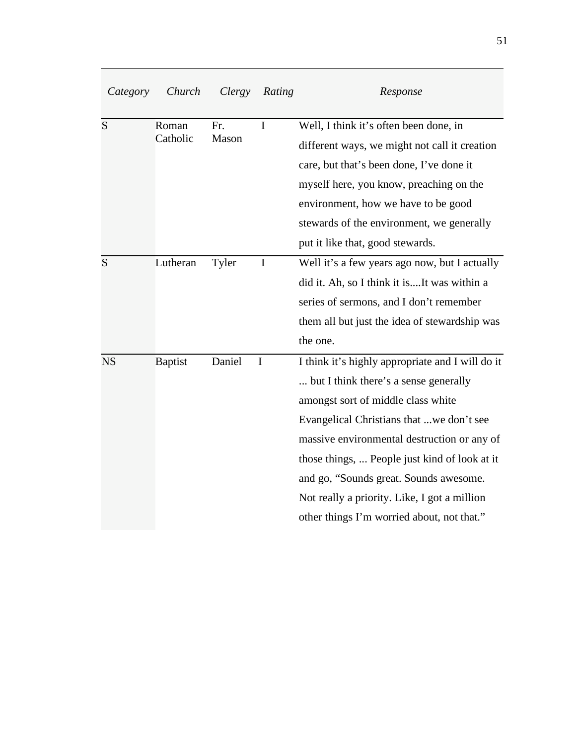| Category  | Church         | Clergy | Rating      | Response                                         |
|-----------|----------------|--------|-------------|--------------------------------------------------|
| S         | Roman          | Fr.    | $\mathbf I$ | Well, I think it's often been done, in           |
|           | Catholic       | Mason  |             | different ways, we might not call it creation    |
|           |                |        |             | care, but that's been done, I've done it         |
|           |                |        |             | myself here, you know, preaching on the          |
|           |                |        |             | environment, how we have to be good              |
|           |                |        |             | stewards of the environment, we generally        |
|           |                |        |             | put it like that, good stewards.                 |
| S         | Lutheran       | Tyler  | $\mathbf I$ | Well it's a few years ago now, but I actually    |
|           |                |        |             | did it. Ah, so I think it isIt was within a      |
|           |                |        |             | series of sermons, and I don't remember          |
|           |                |        |             | them all but just the idea of stewardship was    |
|           |                |        |             | the one.                                         |
| <b>NS</b> | <b>Baptist</b> | Daniel | I           | I think it's highly appropriate and I will do it |
|           |                |        |             | but I think there's a sense generally            |
|           |                |        |             | amongst sort of middle class white               |
|           |                |        |             | Evangelical Christians that we don't see         |
|           |                |        |             | massive environmental destruction or any of      |
|           |                |        |             | those things,  People just kind of look at it    |
|           |                |        |             | and go, "Sounds great. Sounds awesome.           |
|           |                |        |             | Not really a priority. Like, I got a million     |
|           |                |        |             | other things I'm worried about, not that."       |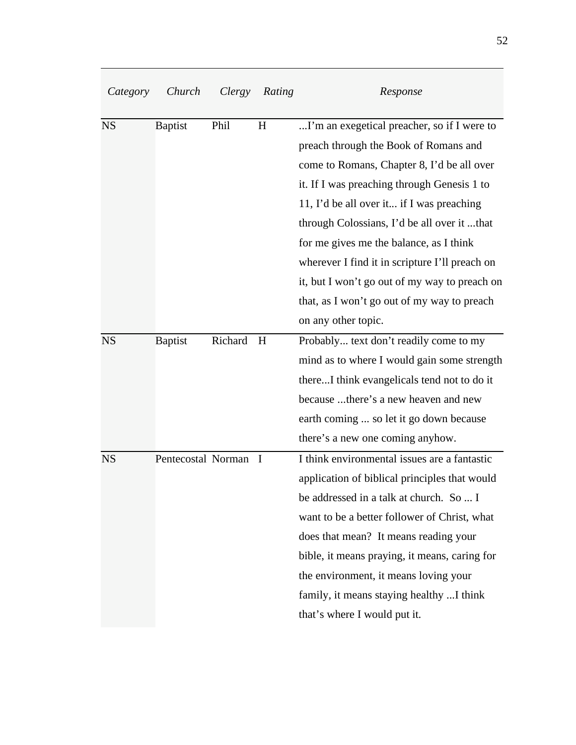| Category  | Church             | Clergy  | Rating      | Response                                       |
|-----------|--------------------|---------|-------------|------------------------------------------------|
| <b>NS</b> | <b>Baptist</b>     | Phil    | H           | I'm an exegetical preacher, so if I were to    |
|           |                    |         |             | preach through the Book of Romans and          |
|           |                    |         |             | come to Romans, Chapter 8, I'd be all over     |
|           |                    |         |             | it. If I was preaching through Genesis 1 to    |
|           |                    |         |             | 11, I'd be all over it if I was preaching      |
|           |                    |         |             | through Colossians, I'd be all over it that    |
|           |                    |         |             | for me gives me the balance, as I think        |
|           |                    |         |             | wherever I find it in scripture I'll preach on |
|           |                    |         |             | it, but I won't go out of my way to preach on  |
|           |                    |         |             | that, as I won't go out of my way to preach    |
|           |                    |         |             | on any other topic.                            |
| <b>NS</b> | <b>Baptist</b>     | Richard | H           | Probably text don't readily come to my         |
|           |                    |         |             | mind as to where I would gain some strength    |
|           |                    |         |             | thereI think evangelicals tend not to do it    |
|           |                    |         |             | because there's a new heaven and new           |
|           |                    |         |             | earth coming  so let it go down because        |
|           |                    |         |             | there's a new one coming anyhow.               |
| <b>NS</b> | Pentecostal Norman |         | $\mathbf I$ | I think environmental issues are a fantastic   |
|           |                    |         |             | application of biblical principles that would  |
|           |                    |         |             | be addressed in a talk at church. So  I        |
|           |                    |         |             | want to be a better follower of Christ, what   |
|           |                    |         |             | does that mean? It means reading your          |
|           |                    |         |             | bible, it means praying, it means, caring for  |
|           |                    |         |             | the environment, it means loving your          |
|           |                    |         |             | family, it means staying healthy  I think      |
|           |                    |         |             | that's where I would put it.                   |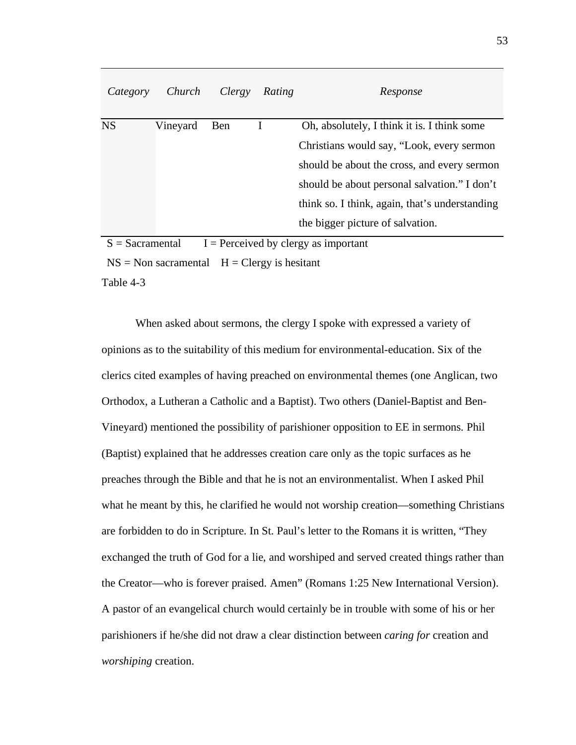| Category  | Church   | Clergy | Rating | Response                                       |
|-----------|----------|--------|--------|------------------------------------------------|
| <b>NS</b> | Vineyard | Ben    |        | Oh, absolutely, I think it is. I think some    |
|           |          |        |        | Christians would say, "Look, every sermon"     |
|           |          |        |        | should be about the cross, and every sermon    |
|           |          |        |        | should be about personal salvation." I don't   |
|           |          |        |        | think so. I think, again, that's understanding |
|           |          |        |        | the bigger picture of salvation.               |

 $S =$  Sacramental I = Perceived by clergy as important

 $NS = Non \,s$  sacramental  $H = C \,l \, \text{ergy}$  is hesitant

Table 4-3

When asked about sermons, the clergy I spoke with expressed a variety of opinions as to the suitability of this medium for environmental-education. Six of the clerics cited examples of having preached on environmental themes (one Anglican, two Orthodox, a Lutheran a Catholic and a Baptist). Two others (Daniel-Baptist and Ben-Vineyard) mentioned the possibility of parishioner opposition to EE in sermons. Phil (Baptist) explained that he addresses creation care only as the topic surfaces as he preaches through the Bible and that he is not an environmentalist. When I asked Phil what he meant by this, he clarified he would not worship creation—something Christians are forbidden to do in Scripture. In St. Paul's letter to the Romans it is written, "They exchanged the truth of God for a lie, and worshiped and served created things rather than the Creator—who is forever praised. Amen" (Romans 1:25 New International Version). A pastor of an evangelical church would certainly be in trouble with some of his or her parishioners if he/she did not draw a clear distinction between *caring for* creation and *worshiping* creation.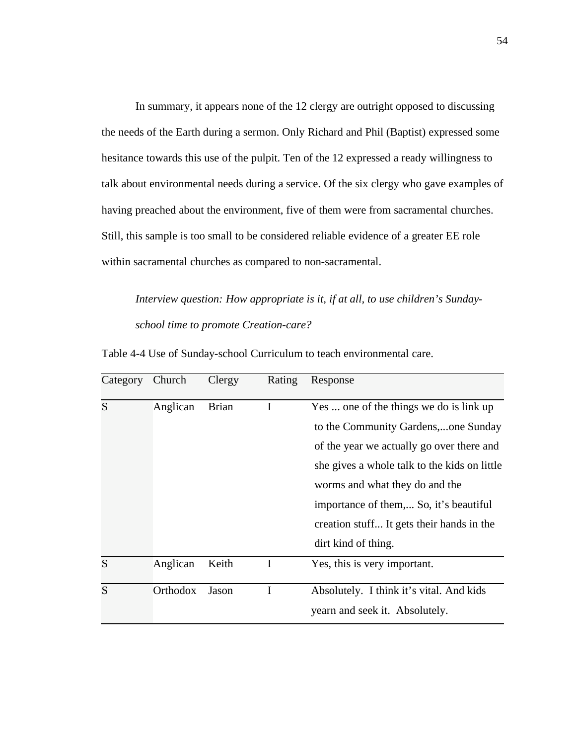In summary, it appears none of the 12 clergy are outright opposed to discussing the needs of the Earth during a sermon. Only Richard and Phil (Baptist) expressed some hesitance towards this use of the pulpit. Ten of the 12 expressed a ready willingness to talk about environmental needs during a service. Of the six clergy who gave examples of having preached about the environment, five of them were from sacramental churches. Still, this sample is too small to be considered reliable evidence of a greater EE role within sacramental churches as compared to non-sacramental.

*Interview question: How appropriate is it, if at all, to use children's Sundayschool time to promote Creation-care?*

| Category | Church   | Clergy       | Rating   | Response                                     |
|----------|----------|--------------|----------|----------------------------------------------|
| S        | Anglican | <b>Brian</b> | $\bf{l}$ | Yes  one of the things we do is link up      |
|          |          |              |          | to the Community Gardens,one Sunday          |
|          |          |              |          | of the year we actually go over there and    |
|          |          |              |          | she gives a whole talk to the kids on little |
|          |          |              |          | worms and what they do and the               |
|          |          |              |          | importance of them, So, it's beautiful       |
|          |          |              |          | creation stuff It gets their hands in the    |
|          |          |              |          | dirt kind of thing.                          |
| S        | Anglican | Keith        | I        | Yes, this is very important.                 |
| S        | Orthodox | Jason        |          | Absolutely. I think it's vital. And kids     |
|          |          |              |          | yearn and seek it. Absolutely.               |

Table 4-4 Use of Sunday-school Curriculum to teach environmental care.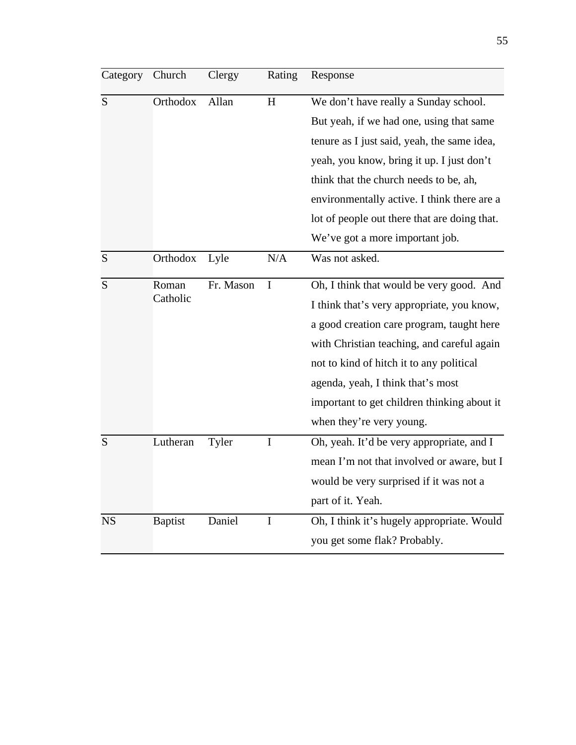| Category  | Church            | Clergy    | Rating      | Response                                     |
|-----------|-------------------|-----------|-------------|----------------------------------------------|
| S         | Orthodox          | Allan     | H           | We don't have really a Sunday school.        |
|           |                   |           |             | But yeah, if we had one, using that same     |
|           |                   |           |             | tenure as I just said, yeah, the same idea,  |
|           |                   |           |             | yeah, you know, bring it up. I just don't    |
|           |                   |           |             | think that the church needs to be, ah,       |
|           |                   |           |             | environmentally active. I think there are a  |
|           |                   |           |             | lot of people out there that are doing that. |
|           |                   |           |             | We've got a more important job.              |
| S         | Orthodox          | Lyle      | N/A         | Was not asked.                               |
| S         | Roman<br>Catholic | Fr. Mason | I           | Oh, I think that would be very good. And     |
|           |                   |           |             | I think that's very appropriate, you know,   |
|           |                   |           |             | a good creation care program, taught here    |
|           |                   |           |             | with Christian teaching, and careful again   |
|           |                   |           |             | not to kind of hitch it to any political     |
|           |                   |           |             | agenda, yeah, I think that's most            |
|           |                   |           |             | important to get children thinking about it  |
|           |                   |           |             | when they're very young.                     |
| S         | Lutheran          | Tyler     | $\mathbf I$ | Oh, yeah. It'd be very appropriate, and I    |
|           |                   |           |             | mean I'm not that involved or aware, but I   |
|           |                   |           |             | would be very surprised if it was not a      |
|           |                   |           |             | part of it. Yeah.                            |
| <b>NS</b> | <b>Baptist</b>    | Daniel    | $\mathbf I$ | Oh, I think it's hugely appropriate. Would   |
|           |                   |           |             | you get some flak? Probably.                 |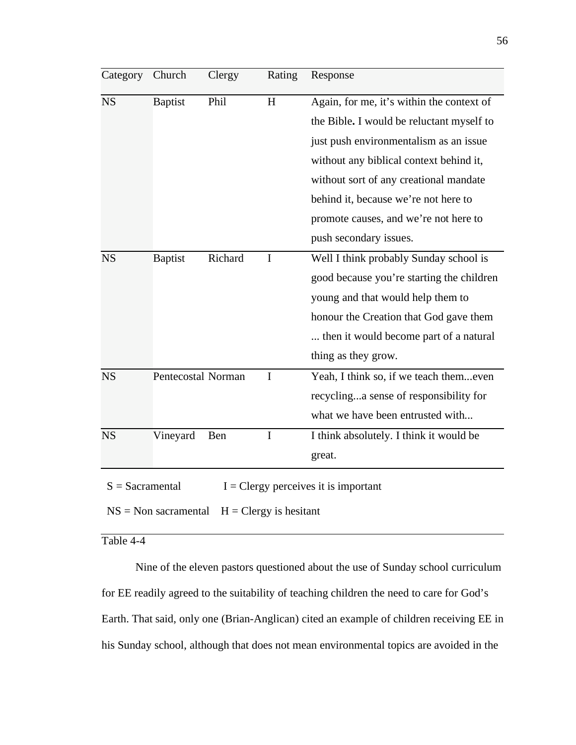| Category                                                      | Church             | Clergy  | Rating      | Response                                  |
|---------------------------------------------------------------|--------------------|---------|-------------|-------------------------------------------|
| <b>NS</b>                                                     | <b>Baptist</b>     | Phil    | H           | Again, for me, it's within the context of |
|                                                               |                    |         |             | the Bible. I would be reluctant myself to |
|                                                               |                    |         |             | just push environmentalism as an issue    |
|                                                               |                    |         |             | without any biblical context behind it,   |
|                                                               |                    |         |             | without sort of any creational mandate    |
|                                                               |                    |         |             | behind it, because we're not here to      |
|                                                               |                    |         |             | promote causes, and we're not here to     |
|                                                               |                    |         |             | push secondary issues.                    |
| <b>NS</b>                                                     | <b>Baptist</b>     | Richard | I           | Well I think probably Sunday school is    |
|                                                               |                    |         |             | good because you're starting the children |
|                                                               |                    |         |             | young and that would help them to         |
|                                                               |                    |         |             | honour the Creation that God gave them    |
|                                                               |                    |         |             | then it would become part of a natural    |
|                                                               |                    |         |             | thing as they grow.                       |
| <b>NS</b>                                                     | Pentecostal Norman |         | $\mathbf I$ | Yeah, I think so, if we teach themeven    |
|                                                               |                    |         |             | recyclinga sense of responsibility for    |
|                                                               |                    |         |             | what we have been entrusted with          |
| <b>NS</b>                                                     | Vineyard           | Ben     | $\mathbf I$ | I think absolutely. I think it would be   |
|                                                               |                    |         |             | great.                                    |
| $I = C \leq Y$ perceives it is important<br>$S =$ Sacramental |                    |         |             |                                           |

 $NS = Non \,s\$  Sacramental  $H = C \,l\$  Egy is hesitant

Table 4-4

Nine of the eleven pastors questioned about the use of Sunday school curriculum for EE readily agreed to the suitability of teaching children the need to care for God's Earth. That said, only one (Brian-Anglican) cited an example of children receiving EE in his Sunday school, although that does not mean environmental topics are avoided in the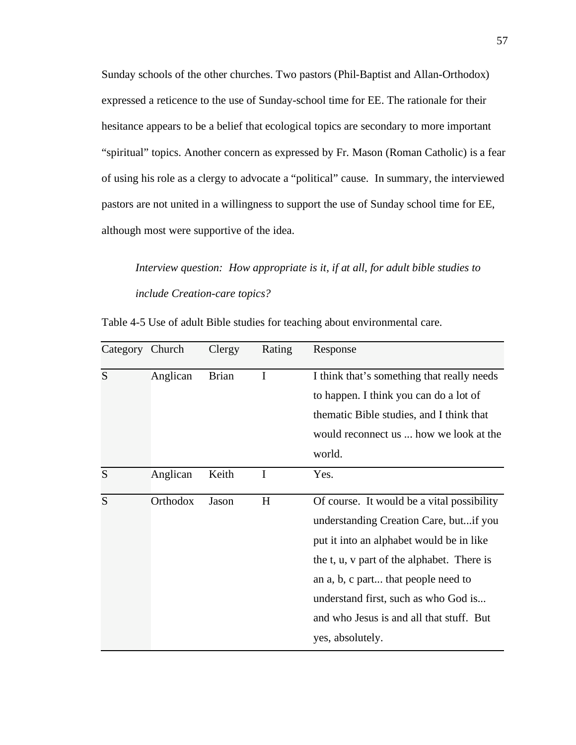Sunday schools of the other churches. Two pastors (Phil-Baptist and Allan-Orthodox) expressed a reticence to the use of Sunday-school time for EE. The rationale for their hesitance appears to be a belief that ecological topics are secondary to more important "spiritual" topics. Another concern as expressed by Fr. Mason (Roman Catholic) is a fear of using his role as a clergy to advocate a "political" cause. In summary, the interviewed pastors are not united in a willingness to support the use of Sunday school time for EE, although most were supportive of the idea.

*Interview question: How appropriate is it, if at all, for adult bible studies to include Creation-care topics?*

| Category | Church   | Clergy       | Rating | Response                                   |
|----------|----------|--------------|--------|--------------------------------------------|
| S        | Anglican | <b>Brian</b> | I      | I think that's something that really needs |
|          |          |              |        | to happen. I think you can do a lot of     |
|          |          |              |        | thematic Bible studies, and I think that   |
|          |          |              |        | would reconnect us  how we look at the     |
|          |          |              |        | world.                                     |
| S        | Anglican | Keith        | I      | Yes.                                       |
| S        | Orthodox | Jason        | H      | Of course. It would be a vital possibility |
|          |          |              |        | understanding Creation Care, butif you     |
|          |          |              |        | put it into an alphabet would be in like   |
|          |          |              |        | the t, u, v part of the alphabet. There is |
|          |          |              |        | an a, b, c part that people need to        |
|          |          |              |        | understand first, such as who God is       |
|          |          |              |        | and who Jesus is and all that stuff. But   |
|          |          |              |        | yes, absolutely.                           |

Table 4-5 Use of adult Bible studies for teaching about environmental care.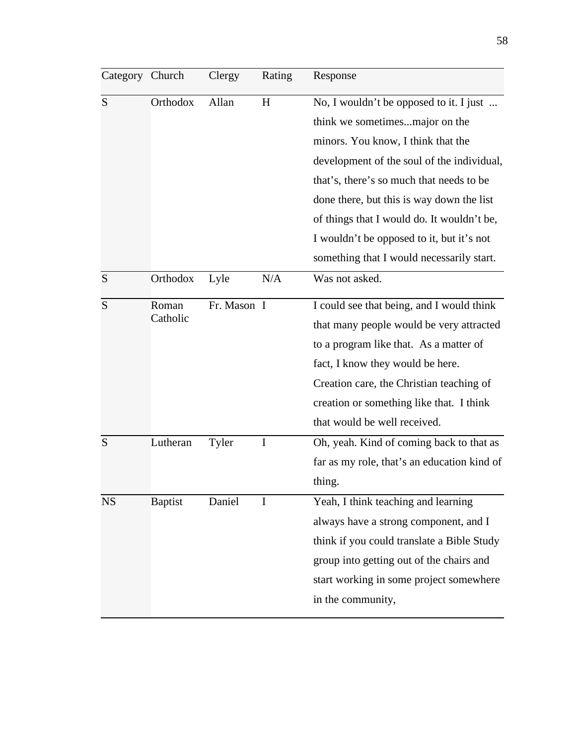| Category Church |                   | Clergy      | Rating | Response                                    |
|-----------------|-------------------|-------------|--------|---------------------------------------------|
| S               | Orthodox          | Allan       | H      | No, I wouldn't be opposed to it. I just     |
|                 |                   |             |        | think we sometimesmajor on the              |
|                 |                   |             |        | minors. You know, I think that the          |
|                 |                   |             |        | development of the soul of the individual,  |
|                 |                   |             |        | that's, there's so much that needs to be    |
|                 |                   |             |        | done there, but this is way down the list   |
|                 |                   |             |        | of things that I would do. It wouldn't be,  |
|                 |                   |             |        | I wouldn't be opposed to it, but it's not   |
|                 |                   |             |        | something that I would necessarily start.   |
| S               | Orthodox          | Lyle        | N/A    | Was not asked.                              |
| S               | Roman<br>Catholic | Fr. Mason I |        | I could see that being, and I would think   |
|                 |                   |             |        | that many people would be very attracted    |
|                 |                   |             |        | to a program like that. As a matter of      |
|                 |                   |             |        | fact, I know they would be here.            |
|                 |                   |             |        | Creation care, the Christian teaching of    |
|                 |                   |             |        | creation or something like that. I think    |
|                 |                   |             |        | that would be well received.                |
| S               | Lutheran          | Tyler       | I      | Oh, yeah. Kind of coming back to that as    |
|                 |                   |             |        | far as my role, that's an education kind of |
|                 |                   |             |        | thing.                                      |
| <b>NS</b>       | <b>Baptist</b>    | Daniel      | I      | Yeah, I think teaching and learning         |
|                 |                   |             |        | always have a strong component, and I       |
|                 |                   |             |        | think if you could translate a Bible Study  |
|                 |                   |             |        | group into getting out of the chairs and    |
|                 |                   |             |        | start working in some project somewhere     |
|                 |                   |             |        |                                             |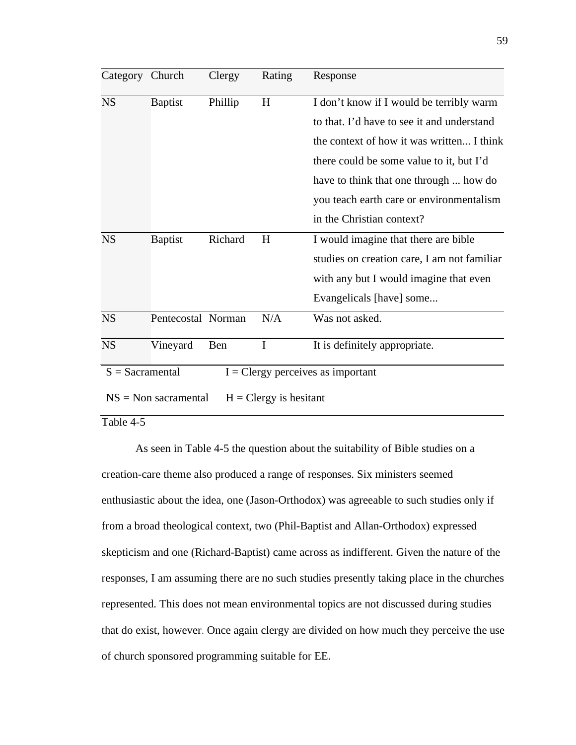| Category                                                         | Church             | Clergy  | Rating      | Response                                    |
|------------------------------------------------------------------|--------------------|---------|-------------|---------------------------------------------|
| <b>NS</b>                                                        | <b>Baptist</b>     | Phillip | H           | I don't know if I would be terribly warm    |
|                                                                  |                    |         |             | to that. I'd have to see it and understand  |
|                                                                  |                    |         |             | the context of how it was written I think   |
|                                                                  |                    |         |             | there could be some value to it, but I'd    |
|                                                                  |                    |         |             | have to think that one through  how do      |
|                                                                  |                    |         |             | you teach earth care or environmentalism    |
|                                                                  |                    |         |             | in the Christian context?                   |
| <b>NS</b>                                                        | <b>Baptist</b>     | Richard | H           | I would imagine that there are bible        |
|                                                                  |                    |         |             | studies on creation care, I am not familiar |
|                                                                  |                    |         |             | with any but I would imagine that even      |
|                                                                  |                    |         |             | Evangelicals [have] some                    |
| <b>NS</b>                                                        | Pentecostal Norman |         | N/A         | Was not asked.                              |
| <b>NS</b>                                                        | Vineyard           | Ben     | $\mathbf I$ | It is definitely appropriate.               |
| $S =$ Sacramental<br>$I = C \leq Y$ perceives as important       |                    |         |             |                                             |
| $NS = Non \, sacramental$<br>$H = C \, \text{lergy}$ is hesitant |                    |         |             |                                             |

# Table 4-5

As seen in Table 4-5 the question about the suitability of Bible studies on a creation-care theme also produced a range of responses. Six ministers seemed enthusiastic about the idea, one (Jason-Orthodox) was agreeable to such studies only if from a broad theological context, two (Phil-Baptist and Allan-Orthodox) expressed skepticism and one (Richard-Baptist) came across as indifferent. Given the nature of the responses, I am assuming there are no such studies presently taking place in the churches represented. This does not mean environmental topics are not discussed during studies that do exist, however. Once again clergy are divided on how much they perceive the use of church sponsored programming suitable for EE.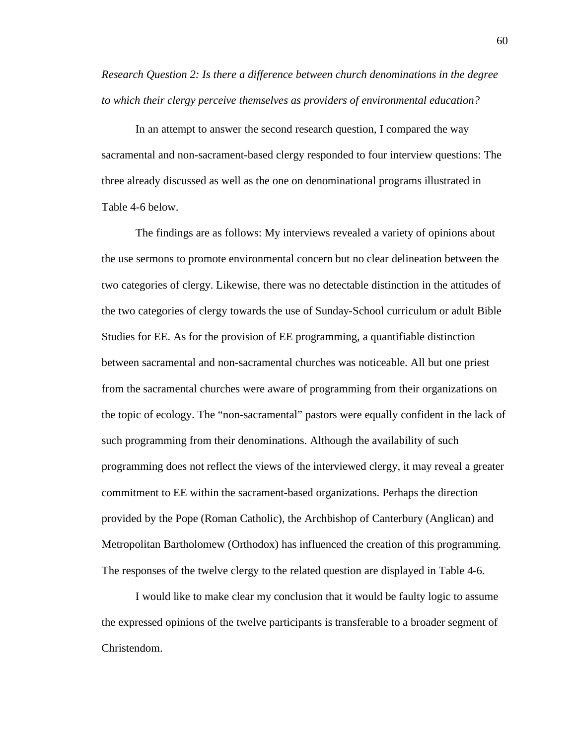*Research Question 2: Is there a difference between church denominations in the degree to which their clergy perceive themselves as providers of environmental education?*

 In an attempt to answer the second research question, I compared the way sacramental and non-sacrament-based clergy responded to four interview questions: The three already discussed as well as the one on denominational programs illustrated in Table 4-6 below.

The findings are as follows: My interviews revealed a variety of opinions about the use sermons to promote environmental concern but no clear delineation between the two categories of clergy. Likewise, there was no detectable distinction in the attitudes of the two categories of clergy towards the use of Sunday-School curriculum or adult Bible Studies for EE. As for the provision of EE programming, a quantifiable distinction between sacramental and non-sacramental churches was noticeable. All but one priest from the sacramental churches were aware of programming from their organizations on the topic of ecology. The "non-sacramental" pastors were equally confident in the lack of such programming from their denominations. Although the availability of such programming does not reflect the views of the interviewed clergy, it may reveal a greater commitment to EE within the sacrament-based organizations. Perhaps the direction provided by the Pope (Roman Catholic), the Archbishop of Canterbury (Anglican) and Metropolitan Bartholomew (Orthodox) has influenced the creation of this programming. The responses of the twelve clergy to the related question are displayed in Table 4-6.

I would like to make clear my conclusion that it would be faulty logic to assume the expressed opinions of the twelve participants is transferable to a broader segment of Christendom.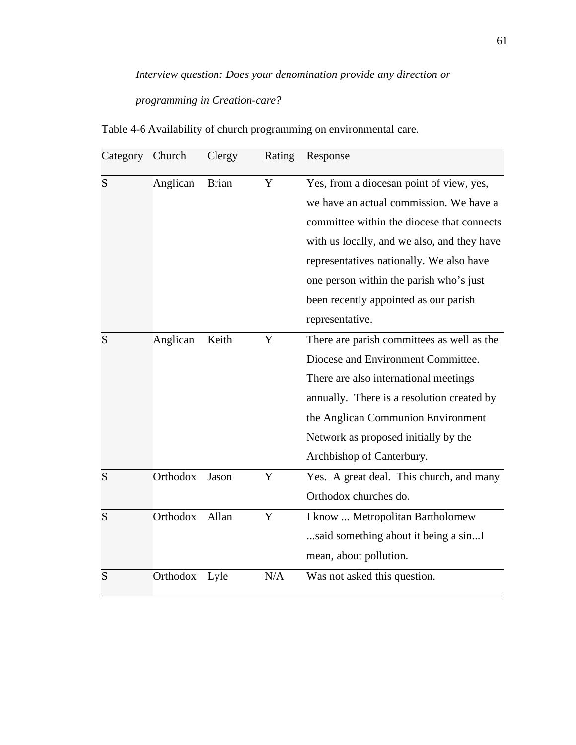# *Interview question: Does your denomination provide any direction or programming in Creation-care?*

Category Church Clergy Rating Response S Anglican Brian Y Yes, from a diocesan point of view, yes, we have an actual commission. We have a committee within the diocese that connects with us locally, and we also, and they have representatives nationally. We also have one person within the parish who's just been recently appointed as our parish representative. S Anglican Keith Y There are parish committees as well as the Diocese and Environment Committee. There are also international meetings annually. There is a resolution created by the Anglican Communion Environment Network as proposed initially by the Archbishop of Canterbury. S Orthodox Jason Y Yes. A great deal. This church, and many Orthodox churches do. S Orthodox Allan Y I know ... Metropolitan Bartholomew ...said something about it being a sin...I mean, about pollution. S Orthodox Lyle N/A Was not asked this question.

Table 4-6 Availability of church programming on environmental care.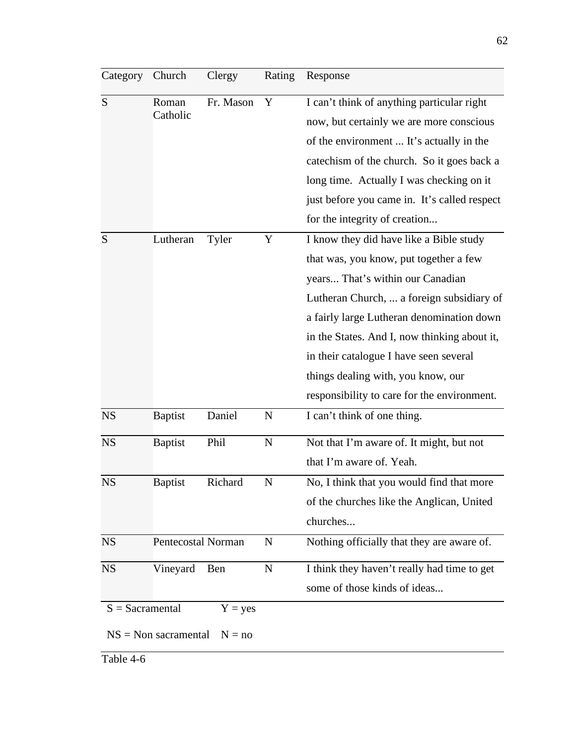| Category          | Church                    | Clergy    | Rating      | Response                                     |
|-------------------|---------------------------|-----------|-------------|----------------------------------------------|
| S                 | Roman                     | Fr. Mason | Y           | I can't think of anything particular right   |
|                   | Catholic                  |           |             | now, but certainly we are more conscious     |
|                   |                           |           |             | of the environment  It's actually in the     |
|                   |                           |           |             | catechism of the church. So it goes back a   |
|                   |                           |           |             | long time. Actually I was checking on it     |
|                   |                           |           |             | just before you came in. It's called respect |
|                   |                           |           |             | for the integrity of creation                |
| S                 | Lutheran                  | Tyler     | Y           | I know they did have like a Bible study      |
|                   |                           |           |             | that was, you know, put together a few       |
|                   |                           |           |             | years That's within our Canadian             |
|                   |                           |           |             | Lutheran Church,  a foreign subsidiary of    |
|                   |                           |           |             | a fairly large Lutheran denomination down    |
|                   |                           |           |             | in the States. And I, now thinking about it, |
|                   |                           |           |             | in their catalogue I have seen several       |
|                   |                           |           |             | things dealing with, you know, our           |
|                   |                           |           |             | responsibility to care for the environment.  |
| <b>NS</b>         | <b>Baptist</b>            | Daniel    | $\mathbf N$ | I can't think of one thing.                  |
| <b>NS</b>         | <b>Baptist</b>            | Phil      | $\mathbf N$ | Not that I'm aware of. It might, but not     |
|                   |                           |           |             | that I'm aware of. Yeah.                     |
| <b>NS</b>         | <b>Baptist</b>            | Richard   | $\mathbf N$ | No, I think that you would find that more    |
|                   |                           |           |             | of the churches like the Anglican, United    |
|                   |                           |           |             | churches                                     |
| <b>NS</b>         | Pentecostal Norman        |           | $\mathbf N$ | Nothing officially that they are aware of.   |
| <b>NS</b>         | Vineyard                  | Ben       | $\mathbf N$ | I think they haven't really had time to get  |
|                   |                           |           |             | some of those kinds of ideas                 |
| $S =$ Sacramental |                           | $Y = yes$ |             |                                              |
|                   | $NS = Non \, sacramental$ | $N = no$  |             |                                              |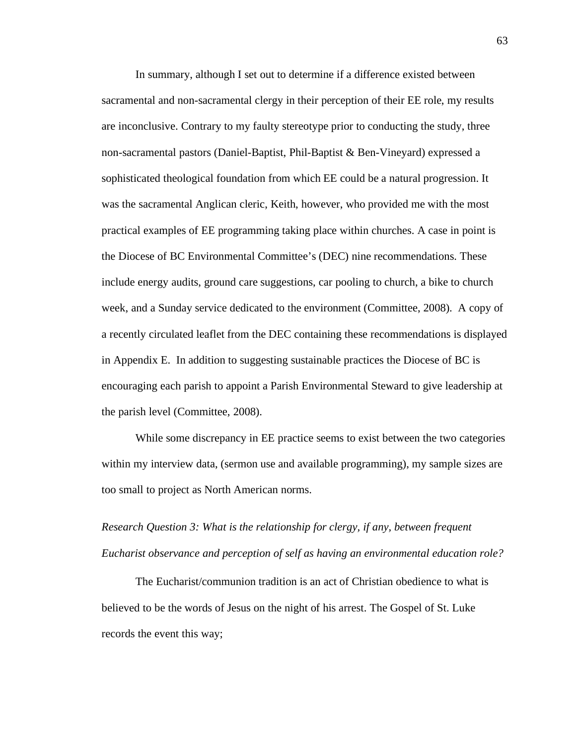In summary, although I set out to determine if a difference existed between sacramental and non-sacramental clergy in their perception of their EE role, my results are inconclusive. Contrary to my faulty stereotype prior to conducting the study, three non-sacramental pastors (Daniel-Baptist, Phil-Baptist & Ben-Vineyard) expressed a sophisticated theological foundation from which EE could be a natural progression. It was the sacramental Anglican cleric, Keith, however, who provided me with the most practical examples of EE programming taking place within churches. A case in point is the Diocese of BC Environmental Committee's (DEC) nine recommendations. These include energy audits, ground care suggestions, car pooling to church, a bike to church week, and a Sunday service dedicated to the environment (Committee, 2008). A copy of a recently circulated leaflet from the DEC containing these recommendations is displayed in Appendix E. In addition to suggesting sustainable practices the Diocese of BC is encouraging each parish to appoint a Parish Environmental Steward to give leadership at the parish level (Committee, 2008).

While some discrepancy in EE practice seems to exist between the two categories within my interview data, (sermon use and available programming), my sample sizes are too small to project as North American norms.

*Research Question 3: What is the relationship for clergy, if any, between frequent Eucharist observance and perception of self as having an environmental education role?*

The Eucharist/communion tradition is an act of Christian obedience to what is believed to be the words of Jesus on the night of his arrest. The Gospel of St. Luke records the event this way;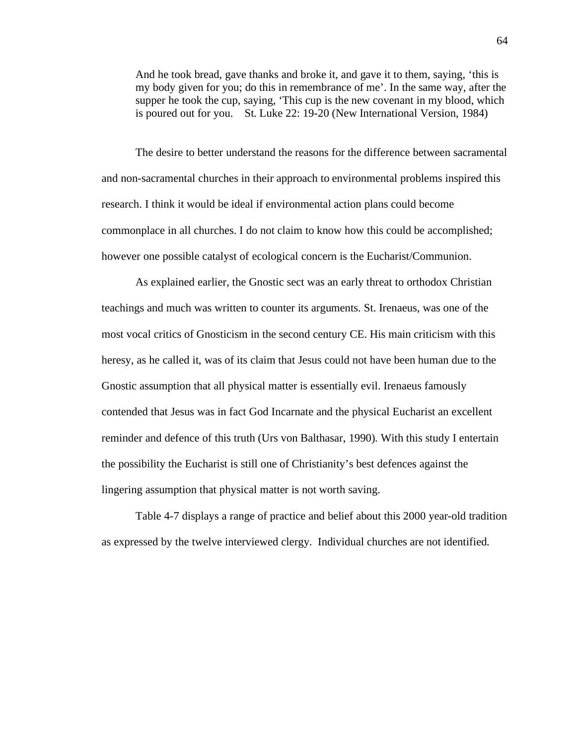And he took bread, gave thanks and broke it, and gave it to them, saying, 'this is my body given for you; do this in remembrance of me'. In the same way, after the supper he took the cup, saying, 'This cup is the new covenant in my blood, which is poured out for you. St. Luke 22: 19-20 (New International Version, 1984)

The desire to better understand the reasons for the difference between sacramental and non-sacramental churches in their approach to environmental problems inspired this research. I think it would be ideal if environmental action plans could become commonplace in all churches. I do not claim to know how this could be accomplished; however one possible catalyst of ecological concern is the Eucharist/Communion.

As explained earlier, the Gnostic sect was an early threat to orthodox Christian teachings and much was written to counter its arguments. St. Irenaeus, was one of the most vocal critics of Gnosticism in the second century CE. His main criticism with this heresy, as he called it, was of its claim that Jesus could not have been human due to the Gnostic assumption that all physical matter is essentially evil. Irenaeus famously contended that Jesus was in fact God Incarnate and the physical Eucharist an excellent reminder and defence of this truth (Urs von Balthasar, 1990). With this study I entertain the possibility the Eucharist is still one of Christianity's best defences against the lingering assumption that physical matter is not worth saving.

Table 4-7 displays a range of practice and belief about this 2000 year-old tradition as expressed by the twelve interviewed clergy. Individual churches are not identified.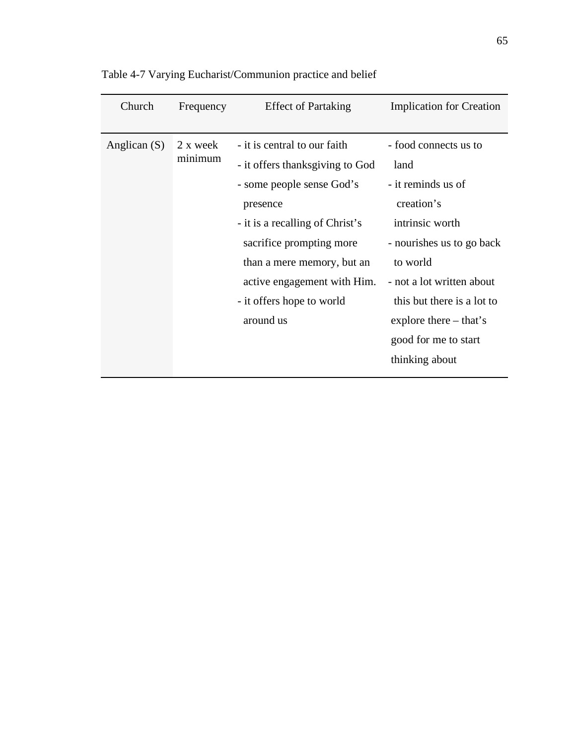| Church         | Frequency           | <b>Effect of Partaking</b>                                                                                                                                                                                                                                                     | <b>Implication for Creation</b>                                                                                                                                                                                                                                |
|----------------|---------------------|--------------------------------------------------------------------------------------------------------------------------------------------------------------------------------------------------------------------------------------------------------------------------------|----------------------------------------------------------------------------------------------------------------------------------------------------------------------------------------------------------------------------------------------------------------|
| Anglican $(S)$ | 2 x week<br>minimum | - it is central to our faith<br>- it offers thanksgiving to God<br>- some people sense God's<br>presence<br>- it is a recalling of Christ's<br>sacrifice prompting more<br>than a mere memory, but an<br>active engagement with Him.<br>- it offers hope to world<br>around us | - food connects us to<br>land<br>- it reminds us of<br>creation's<br>intrinsic worth<br>- nourishes us to go back<br>to world<br>- not a lot written about<br>this but there is a lot to<br>explore there $-$ that's<br>good for me to start<br>thinking about |

Table 4-7 Varying Eucharist/Communion practice and belief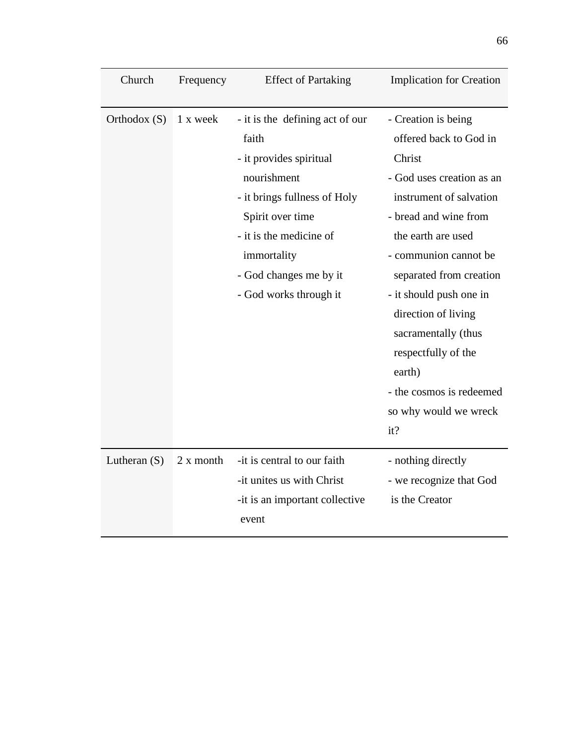| Church         | Frequency | <b>Effect of Partaking</b>                                                                                                                                                                                                           | <b>Implication for Creation</b>                                                                                                                                                                                                                                                                                                                                                          |
|----------------|-----------|--------------------------------------------------------------------------------------------------------------------------------------------------------------------------------------------------------------------------------------|------------------------------------------------------------------------------------------------------------------------------------------------------------------------------------------------------------------------------------------------------------------------------------------------------------------------------------------------------------------------------------------|
| Orthodox $(S)$ | 1 x week  | - it is the defining act of our<br>faith<br>- it provides spiritual<br>nourishment<br>- it brings fullness of Holy<br>Spirit over time<br>- it is the medicine of<br>immortality<br>- God changes me by it<br>- God works through it | - Creation is being<br>offered back to God in<br>Christ<br>- God uses creation as an<br>instrument of salvation<br>- bread and wine from<br>the earth are used<br>- communion cannot be<br>separated from creation<br>- it should push one in<br>direction of living<br>sacramentally (thus<br>respectfully of the<br>earth)<br>- the cosmos is redeemed<br>so why would we wreck<br>it? |
| Lutheran $(S)$ | 2 x month | -it is central to our faith<br>-it unites us with Christ<br>-it is an important collective<br>event                                                                                                                                  | - nothing directly<br>- we recognize that God<br>is the Creator                                                                                                                                                                                                                                                                                                                          |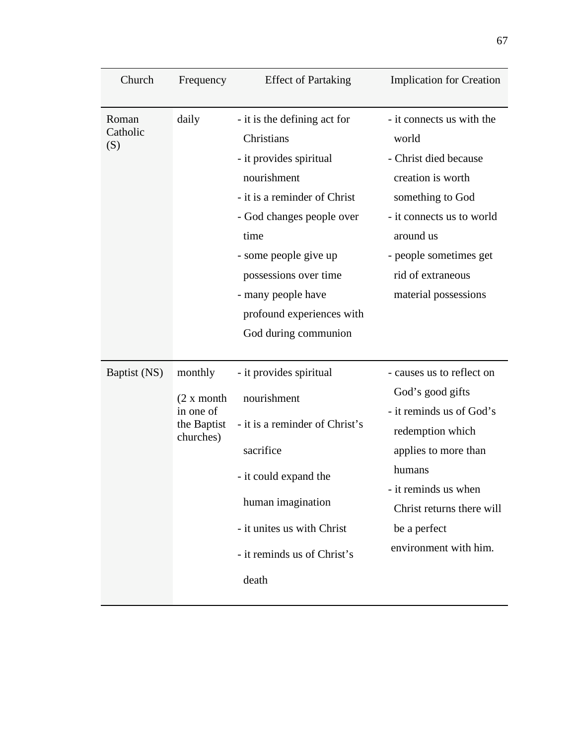| Church                   | Frequency                                                       | <b>Effect of Partaking</b>                                                                                                                                                                                                                                                             | <b>Implication for Creation</b>                                                                                                                                                                                               |
|--------------------------|-----------------------------------------------------------------|----------------------------------------------------------------------------------------------------------------------------------------------------------------------------------------------------------------------------------------------------------------------------------------|-------------------------------------------------------------------------------------------------------------------------------------------------------------------------------------------------------------------------------|
| Roman<br>Catholic<br>(S) | daily                                                           | - it is the defining act for<br>Christians<br>- it provides spiritual<br>nourishment<br>- it is a reminder of Christ<br>- God changes people over<br>time<br>- some people give up<br>possessions over time<br>- many people have<br>profound experiences with<br>God during communion | - it connects us with the<br>world<br>- Christ died because<br>creation is worth<br>something to God<br>- it connects us to world<br>around us<br>- people sometimes get<br>rid of extraneous<br>material possessions         |
| Baptist (NS)             | monthly<br>(2 x month)<br>in one of<br>the Baptist<br>churches) | - it provides spiritual<br>nourishment<br>- it is a reminder of Christ's<br>sacrifice<br>- it could expand the<br>human imagination<br>- it unites us with Christ<br>- it reminds us of Christ's<br>death                                                                              | - causes us to reflect on<br>God's good gifts<br>- it reminds us of God's<br>redemption which<br>applies to more than<br>humans<br>- it reminds us when<br>Christ returns there will<br>be a perfect<br>environment with him. |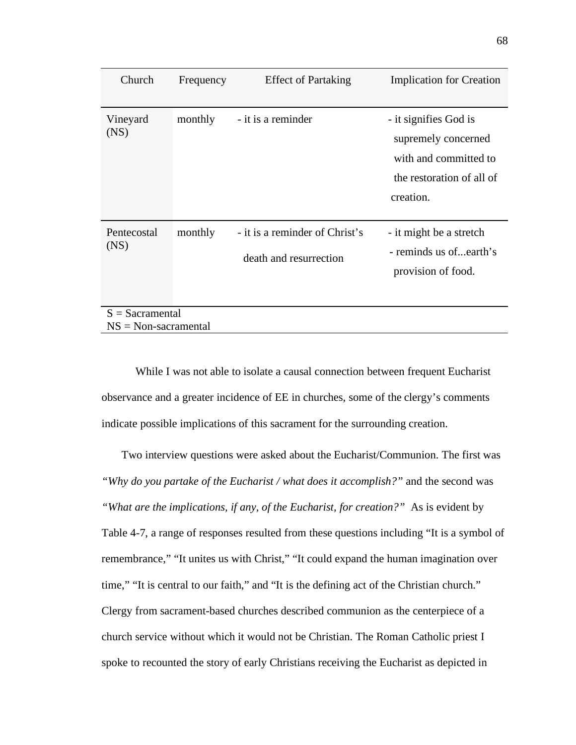| Church                                      | Frequency | <b>Effect of Partaking</b>                               | <b>Implication for Creation</b>                                                                                 |
|---------------------------------------------|-----------|----------------------------------------------------------|-----------------------------------------------------------------------------------------------------------------|
| Vineyard<br>(NS)                            | monthly   | - it is a reminder                                       | - it signifies God is<br>supremely concerned<br>with and committed to<br>the restoration of all of<br>creation. |
| Pentecostal<br>(NS)                         | monthly   | - it is a reminder of Christ's<br>death and resurrection | - it might be a stretch<br>- reminds us of earth's<br>provision of food.                                        |
| $S =$ Sacramental<br>$NS = Non-sacramental$ |           |                                                          |                                                                                                                 |

While I was not able to isolate a causal connection between frequent Eucharist observance and a greater incidence of EE in churches, some of the clergy's comments indicate possible implications of this sacrament for the surrounding creation.

 Two interview questions were asked about the Eucharist/Communion. The first was *"Why do you partake of the Eucharist / what does it accomplish?"* and the second was *"What are the implications, if any, of the Eucharist, for creation?"* As is evident by Table 4-7, a range of responses resulted from these questions including "It is a symbol of remembrance," "It unites us with Christ," "It could expand the human imagination over time," "It is central to our faith," and "It is the defining act of the Christian church." Clergy from sacrament-based churches described communion as the centerpiece of a church service without which it would not be Christian. The Roman Catholic priest I spoke to recounted the story of early Christians receiving the Eucharist as depicted in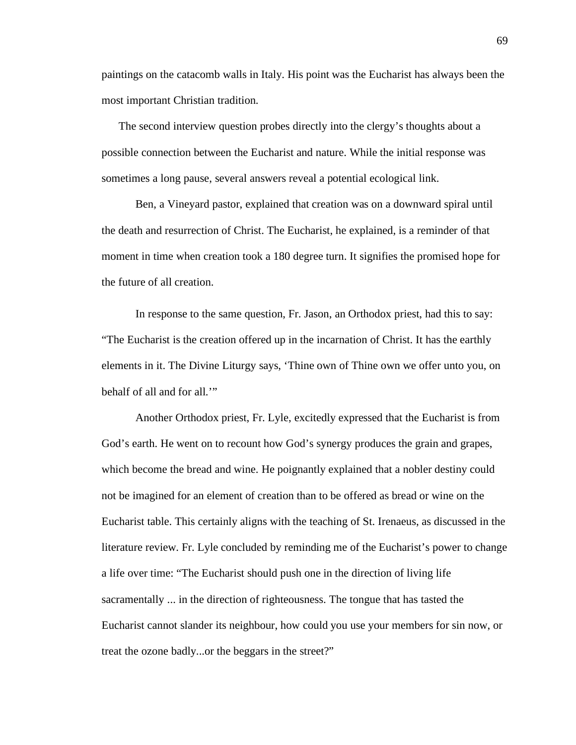paintings on the catacomb walls in Italy. His point was the Eucharist has always been the most important Christian tradition.

The second interview question probes directly into the clergy's thoughts about a possible connection between the Eucharist and nature. While the initial response was sometimes a long pause, several answers reveal a potential ecological link.

Ben, a Vineyard pastor, explained that creation was on a downward spiral until the death and resurrection of Christ. The Eucharist, he explained, is a reminder of that moment in time when creation took a 180 degree turn. It signifies the promised hope for the future of all creation.

In response to the same question, Fr. Jason, an Orthodox priest, had this to say: "The Eucharist is the creation offered up in the incarnation of Christ. It has the earthly elements in it. The Divine Liturgy says, 'Thine own of Thine own we offer unto you, on behalf of all and for all.'"

Another Orthodox priest, Fr. Lyle, excitedly expressed that the Eucharist is from God's earth. He went on to recount how God's synergy produces the grain and grapes, which become the bread and wine. He poignantly explained that a nobler destiny could not be imagined for an element of creation than to be offered as bread or wine on the Eucharist table. This certainly aligns with the teaching of St. Irenaeus, as discussed in the literature review. Fr. Lyle concluded by reminding me of the Eucharist's power to change a life over time: "The Eucharist should push one in the direction of living life sacramentally ... in the direction of righteousness. The tongue that has tasted the Eucharist cannot slander its neighbour, how could you use your members for sin now, or treat the ozone badly...or the beggars in the street?"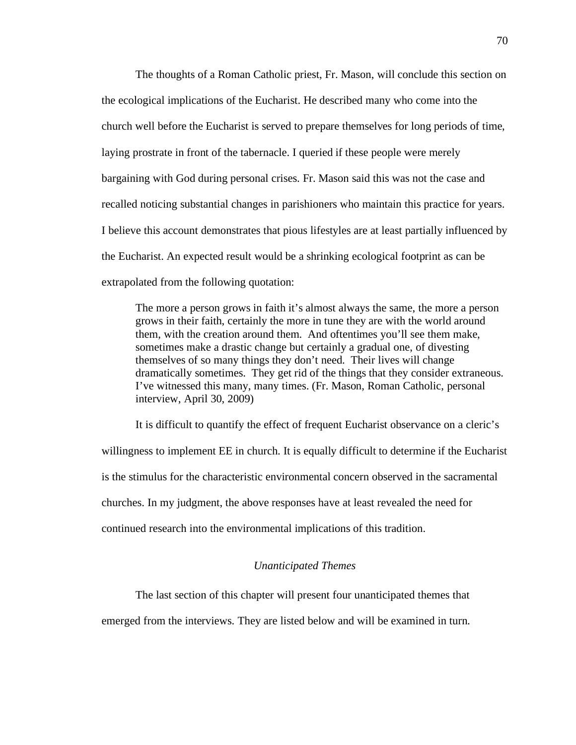The thoughts of a Roman Catholic priest, Fr. Mason, will conclude this section on the ecological implications of the Eucharist. He described many who come into the church well before the Eucharist is served to prepare themselves for long periods of time, laying prostrate in front of the tabernacle. I queried if these people were merely bargaining with God during personal crises. Fr. Mason said this was not the case and recalled noticing substantial changes in parishioners who maintain this practice for years. I believe this account demonstrates that pious lifestyles are at least partially influenced by the Eucharist. An expected result would be a shrinking ecological footprint as can be extrapolated from the following quotation:

The more a person grows in faith it's almost always the same, the more a person grows in their faith, certainly the more in tune they are with the world around them, with the creation around them. And oftentimes you'll see them make, sometimes make a drastic change but certainly a gradual one, of divesting themselves of so many things they don't need. Their lives will change dramatically sometimes. They get rid of the things that they consider extraneous. I've witnessed this many, many times. (Fr. Mason, Roman Catholic, personal interview, April 30, 2009)

It is difficult to quantify the effect of frequent Eucharist observance on a cleric's willingness to implement EE in church. It is equally difficult to determine if the Eucharist is the stimulus for the characteristic environmental concern observed in the sacramental churches. In my judgment, the above responses have at least revealed the need for continued research into the environmental implications of this tradition.

## *Unanticipated Themes*

The last section of this chapter will present four unanticipated themes that

emerged from the interviews. They are listed below and will be examined in turn.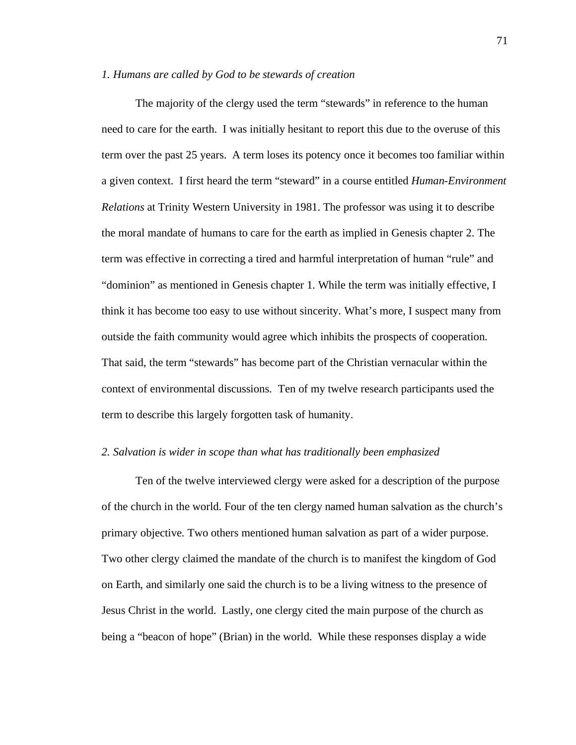#### *1. Humans are called by God to be stewards of creation*

The majority of the clergy used the term "stewards" in reference to the human need to care for the earth. I was initially hesitant to report this due to the overuse of this term over the past 25 years. A term loses its potency once it becomes too familiar within a given context. I first heard the term "steward" in a course entitled *Human-Environment Relations* at Trinity Western University in 1981. The professor was using it to describe the moral mandate of humans to care for the earth as implied in Genesis chapter 2. The term was effective in correcting a tired and harmful interpretation of human "rule" and "dominion" as mentioned in Genesis chapter 1. While the term was initially effective, I think it has become too easy to use without sincerity. What's more, I suspect many from outside the faith community would agree which inhibits the prospects of cooperation. That said, the term "stewards" has become part of the Christian vernacular within the context of environmental discussions. Ten of my twelve research participants used the term to describe this largely forgotten task of humanity.

#### *2. Salvation is wider in scope than what has traditionally been emphasized*

Ten of the twelve interviewed clergy were asked for a description of the purpose of the church in the world. Four of the ten clergy named human salvation as the church's primary objective. Two others mentioned human salvation as part of a wider purpose. Two other clergy claimed the mandate of the church is to manifest the kingdom of God on Earth, and similarly one said the church is to be a living witness to the presence of Jesus Christ in the world. Lastly, one clergy cited the main purpose of the church as being a "beacon of hope" (Brian) in the world. While these responses display a wide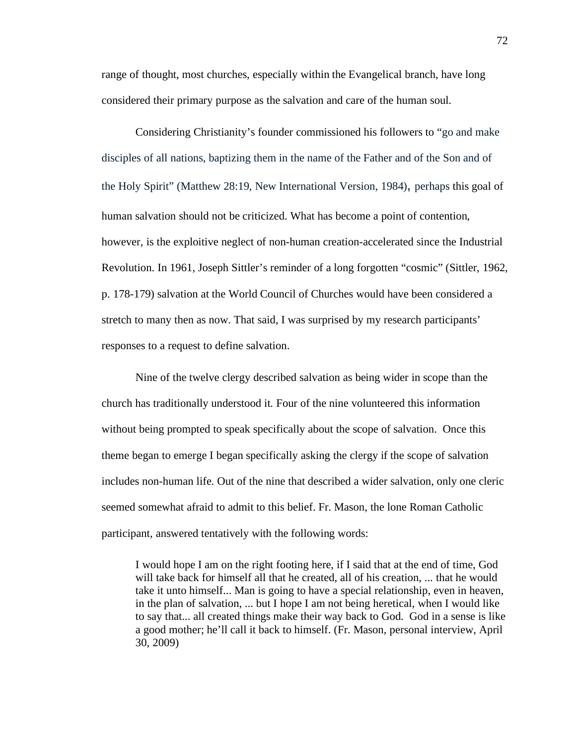range of thought, most churches, especially within the Evangelical branch, have long considered their primary purpose as the salvation and care of the human soul.

Considering Christianity's founder commissioned his followers to "go and make disciples of all nations, baptizing them in the name of the Father and of the Son and of the Holy Spirit" (Matthew 28:19, New International Version, 1984), perhaps this goal of human salvation should not be criticized. What has become a point of contention, however, is the exploitive neglect of non-human creation-accelerated since the Industrial Revolution. In 1961, Joseph Sittler's reminder of a long forgotten "cosmic" (Sittler, 1962, p. 178-179) salvation at the World Council of Churches would have been considered a stretch to many then as now. That said, I was surprised by my research participants' responses to a request to define salvation.

Nine of the twelve clergy described salvation as being wider in scope than the church has traditionally understood it. Four of the nine volunteered this information without being prompted to speak specifically about the scope of salvation. Once this theme began to emerge I began specifically asking the clergy if the scope of salvation includes non-human life. Out of the nine that described a wider salvation, only one cleric seemed somewhat afraid to admit to this belief. Fr. Mason, the lone Roman Catholic participant, answered tentatively with the following words:

I would hope I am on the right footing here, if I said that at the end of time, God will take back for himself all that he created, all of his creation, ... that he would take it unto himself... Man is going to have a special relationship, even in heaven, in the plan of salvation, ... but I hope I am not being heretical, when I would like to say that... all created things make their way back to God. God in a sense is like a good mother; he'll call it back to himself. (Fr. Mason, personal interview, April 30, 2009)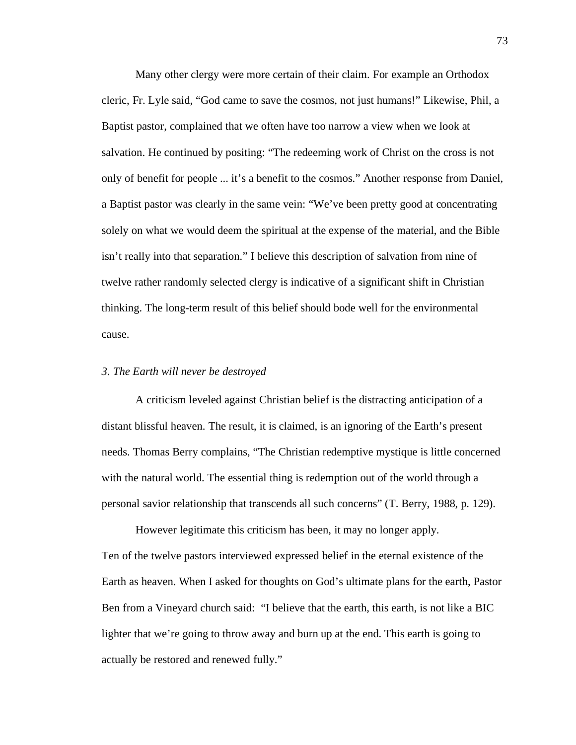Many other clergy were more certain of their claim. For example an Orthodox cleric, Fr. Lyle said, "God came to save the cosmos, not just humans!" Likewise, Phil, a Baptist pastor, complained that we often have too narrow a view when we look at salvation. He continued by positing: "The redeeming work of Christ on the cross is not only of benefit for people ... it's a benefit to the cosmos." Another response from Daniel, a Baptist pastor was clearly in the same vein: "We've been pretty good at concentrating solely on what we would deem the spiritual at the expense of the material, and the Bible isn't really into that separation." I believe this description of salvation from nine of twelve rather randomly selected clergy is indicative of a significant shift in Christian thinking. The long-term result of this belief should bode well for the environmental cause.

#### *3. The Earth will never be destroyed*

A criticism leveled against Christian belief is the distracting anticipation of a distant blissful heaven. The result, it is claimed, is an ignoring of the Earth's present needs. Thomas Berry complains, "The Christian redemptive mystique is little concerned with the natural world. The essential thing is redemption out of the world through a personal savior relationship that transcends all such concerns" (T. Berry, 1988, p. 129).

However legitimate this criticism has been, it may no longer apply. Ten of the twelve pastors interviewed expressed belief in the eternal existence of the Earth as heaven. When I asked for thoughts on God's ultimate plans for the earth, Pastor Ben from a Vineyard church said: "I believe that the earth, this earth, is not like a BIC lighter that we're going to throw away and burn up at the end. This earth is going to actually be restored and renewed fully."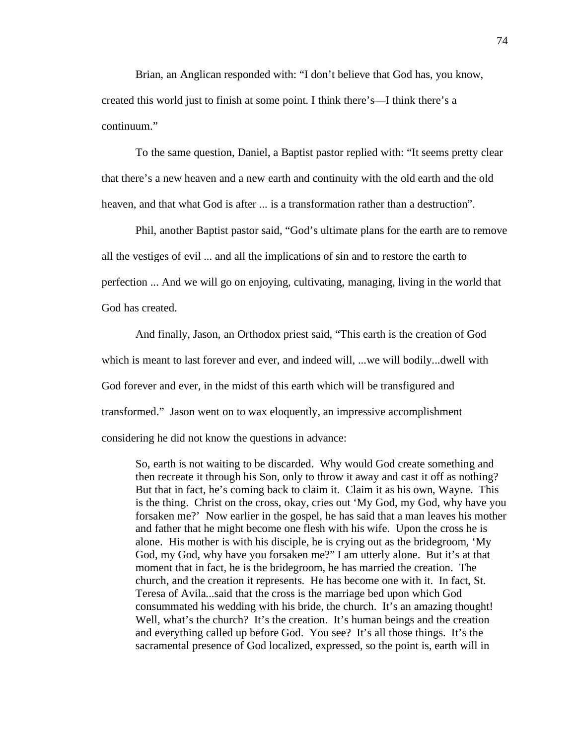Brian, an Anglican responded with: "I don't believe that God has, you know, created this world just to finish at some point. I think there's—I think there's a continuum."

To the same question, Daniel, a Baptist pastor replied with: "It seems pretty clear that there's a new heaven and a new earth and continuity with the old earth and the old heaven, and that what God is after ... is a transformation rather than a destruction".

Phil, another Baptist pastor said, "God's ultimate plans for the earth are to remove all the vestiges of evil ... and all the implications of sin and to restore the earth to perfection ... And we will go on enjoying, cultivating, managing, living in the world that God has created.

And finally, Jason, an Orthodox priest said, "This earth is the creation of God which is meant to last forever and ever, and indeed will, ...we will bodily...dwell with God forever and ever, in the midst of this earth which will be transfigured and transformed." Jason went on to wax eloquently, an impressive accomplishment considering he did not know the questions in advance:

So, earth is not waiting to be discarded. Why would God create something and then recreate it through his Son, only to throw it away and cast it off as nothing? But that in fact, he's coming back to claim it. Claim it as his own, Wayne. This is the thing. Christ on the cross, okay, cries out 'My God, my God, why have you forsaken me?' Now earlier in the gospel, he has said that a man leaves his mother and father that he might become one flesh with his wife. Upon the cross he is alone. His mother is with his disciple, he is crying out as the bridegroom, 'My God, my God, why have you forsaken me?" I am utterly alone. But it's at that moment that in fact, he is the bridegroom, he has married the creation. The church, and the creation it represents. He has become one with it. In fact, St. Teresa of Avila...said that the cross is the marriage bed upon which God consummated his wedding with his bride, the church. It's an amazing thought! Well, what's the church? It's the creation. It's human beings and the creation and everything called up before God. You see? It's all those things. It's the sacramental presence of God localized, expressed, so the point is, earth will in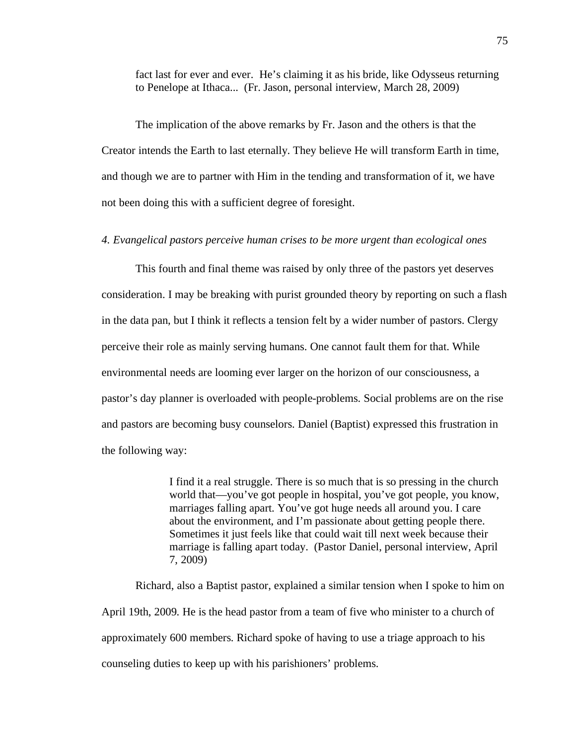fact last for ever and ever. He's claiming it as his bride, like Odysseus returning to Penelope at Ithaca... (Fr. Jason, personal interview, March 28, 2009)

The implication of the above remarks by Fr. Jason and the others is that the Creator intends the Earth to last eternally. They believe He will transform Earth in time, and though we are to partner with Him in the tending and transformation of it, we have not been doing this with a sufficient degree of foresight.

#### *4. Evangelical pastors perceive human crises to be more urgent than ecological ones*

This fourth and final theme was raised by only three of the pastors yet deserves consideration. I may be breaking with purist grounded theory by reporting on such a flash in the data pan, but I think it reflects a tension felt by a wider number of pastors. Clergy perceive their role as mainly serving humans. One cannot fault them for that. While environmental needs are looming ever larger on the horizon of our consciousness, a pastor's day planner is overloaded with people-problems. Social problems are on the rise and pastors are becoming busy counselors. Daniel (Baptist) expressed this frustration in the following way:

> I find it a real struggle. There is so much that is so pressing in the church world that—you've got people in hospital, you've got people, you know, marriages falling apart. You've got huge needs all around you. I care about the environment, and I'm passionate about getting people there. Sometimes it just feels like that could wait till next week because their marriage is falling apart today. (Pastor Daniel, personal interview, April 7, 2009)

Richard, also a Baptist pastor, explained a similar tension when I spoke to him on April 19th, 2009. He is the head pastor from a team of five who minister to a church of approximately 600 members. Richard spoke of having to use a triage approach to his counseling duties to keep up with his parishioners' problems.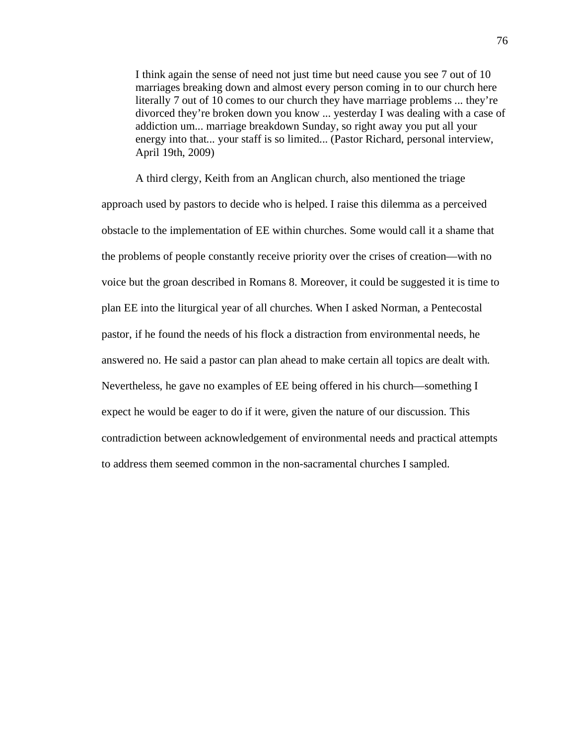I think again the sense of need not just time but need cause you see 7 out of 10 marriages breaking down and almost every person coming in to our church here literally 7 out of 10 comes to our church they have marriage problems ... they're divorced they're broken down you know ... yesterday I was dealing with a case of addiction um... marriage breakdown Sunday, so right away you put all your energy into that... your staff is so limited... (Pastor Richard, personal interview, April 19th, 2009)

A third clergy, Keith from an Anglican church, also mentioned the triage approach used by pastors to decide who is helped. I raise this dilemma as a perceived obstacle to the implementation of EE within churches. Some would call it a shame that the problems of people constantly receive priority over the crises of creation—with no voice but the groan described in Romans 8. Moreover, it could be suggested it is time to plan EE into the liturgical year of all churches. When I asked Norman, a Pentecostal pastor, if he found the needs of his flock a distraction from environmental needs, he answered no. He said a pastor can plan ahead to make certain all topics are dealt with. Nevertheless, he gave no examples of EE being offered in his church—something I expect he would be eager to do if it were, given the nature of our discussion. This contradiction between acknowledgement of environmental needs and practical attempts to address them seemed common in the non-sacramental churches I sampled.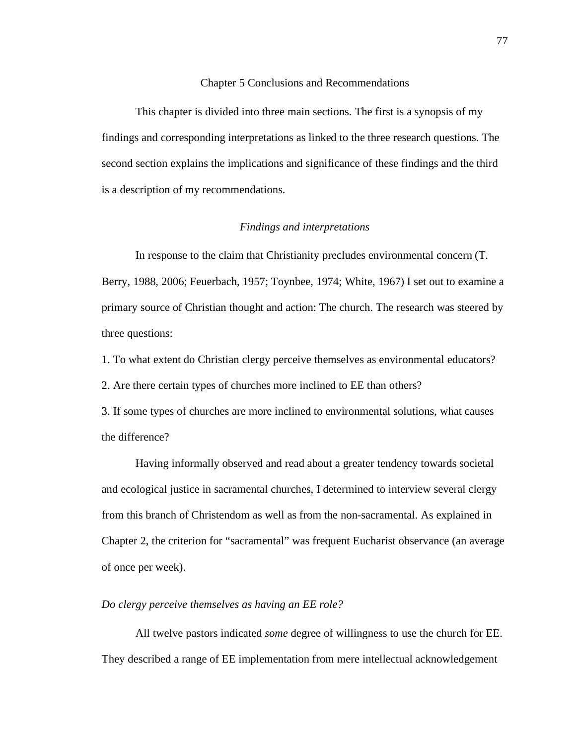#### Chapter 5 Conclusions and Recommendations

This chapter is divided into three main sections. The first is a synopsis of my findings and corresponding interpretations as linked to the three research questions. The second section explains the implications and significance of these findings and the third is a description of my recommendations.

## *Findings and interpretations*

In response to the claim that Christianity precludes environmental concern (T. Berry, 1988, 2006; Feuerbach, 1957; Toynbee, 1974; White, 1967) I set out to examine a primary source of Christian thought and action: The church. The research was steered by three questions:

1. To what extent do Christian clergy perceive themselves as environmental educators?

2. Are there certain types of churches more inclined to EE than others?

3. If some types of churches are more inclined to environmental solutions, what causes the difference?

Having informally observed and read about a greater tendency towards societal and ecological justice in sacramental churches, I determined to interview several clergy from this branch of Christendom as well as from the non-sacramental. As explained in Chapter 2, the criterion for "sacramental" was frequent Eucharist observance (an average of once per week).

#### *Do clergy perceive themselves as having an EE role?*

All twelve pastors indicated *some* degree of willingness to use the church for EE. They described a range of EE implementation from mere intellectual acknowledgement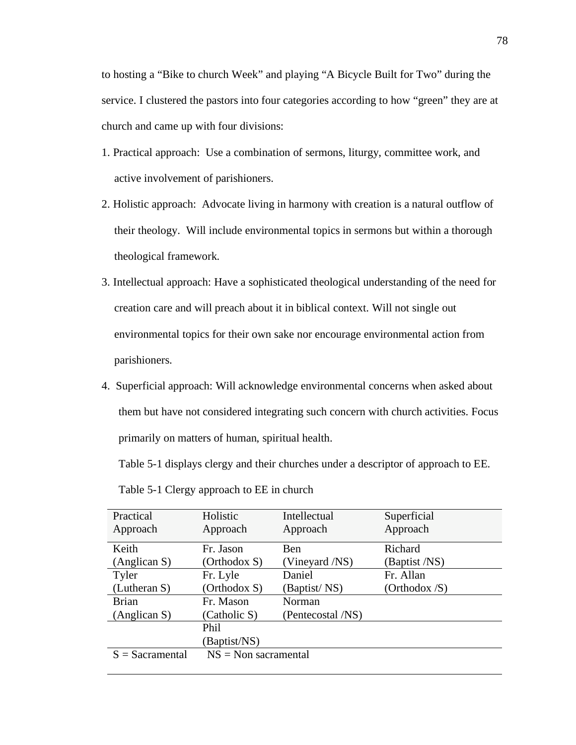to hosting a "Bike to church Week" and playing "A Bicycle Built for Two" during the service. I clustered the pastors into four categories according to how "green" they are at church and came up with four divisions:

- 1. Practical approach: Use a combination of sermons, liturgy, committee work, and active involvement of parishioners.
- 2. Holistic approach: Advocate living in harmony with creation is a natural outflow of their theology. Will include environmental topics in sermons but within a thorough theological framework.
- 3. Intellectual approach: Have a sophisticated theological understanding of the need for creation care and will preach about it in biblical context. Will not single out environmental topics for their own sake nor encourage environmental action from parishioners.
- 4. Superficial approach: Will acknowledge environmental concerns when asked about them but have not considered integrating such concern with church activities. Focus primarily on matters of human, spiritual health.

Table 5-1 displays clergy and their churches under a descriptor of approach to EE.

| Practical         | Holistic                  | Intellectual      | Superficial                     |
|-------------------|---------------------------|-------------------|---------------------------------|
| Approach          | Approach                  | Approach          | Approach                        |
| Keith             | Fr. Jason                 | Ben               | Richard                         |
| (Anglican S)      | (Orthodox S)              | (Vineyard /NS)    | (Baptist /NS)                   |
| Tyler             | Fr. Lyle                  | Daniel            | Fr. Allan                       |
| (Lutheran S)      | (Orthodox S)              | (Baptist/NS)      | (Orthodox $\langle S \rangle$ ) |
| <b>Brian</b>      | Fr. Mason                 | Norman            |                                 |
| (Anglican S)      | (Catholic S)              | (Pentecostal /NS) |                                 |
|                   | Phil                      |                   |                                 |
|                   | Baptist/NS)               |                   |                                 |
| $S =$ Sacramental | $NS = Non \, sacramental$ |                   |                                 |
|                   |                           |                   |                                 |

Table 5-1 Clergy approach to EE in church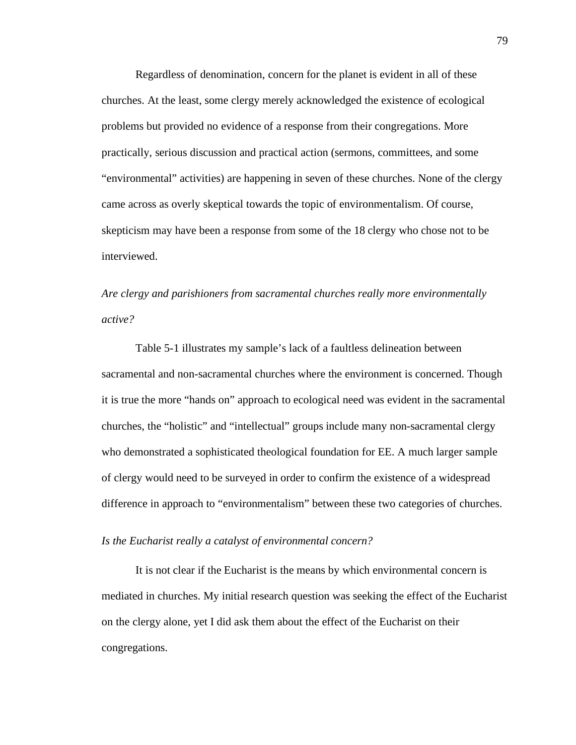Regardless of denomination, concern for the planet is evident in all of these churches. At the least, some clergy merely acknowledged the existence of ecological problems but provided no evidence of a response from their congregations. More practically, serious discussion and practical action (sermons, committees, and some "environmental" activities) are happening in seven of these churches. None of the clergy came across as overly skeptical towards the topic of environmentalism. Of course, skepticism may have been a response from some of the 18 clergy who chose not to be interviewed.

*Are clergy and parishioners from sacramental churches really more environmentally active?*

Table 5-1 illustrates my sample's lack of a faultless delineation between sacramental and non-sacramental churches where the environment is concerned. Though it is true the more "hands on" approach to ecological need was evident in the sacramental churches, the "holistic" and "intellectual" groups include many non-sacramental clergy who demonstrated a sophisticated theological foundation for EE. A much larger sample of clergy would need to be surveyed in order to confirm the existence of a widespread difference in approach to "environmentalism" between these two categories of churches.

#### *Is the Eucharist really a catalyst of environmental concern?*

It is not clear if the Eucharist is the means by which environmental concern is mediated in churches. My initial research question was seeking the effect of the Eucharist on the clergy alone, yet I did ask them about the effect of the Eucharist on their congregations.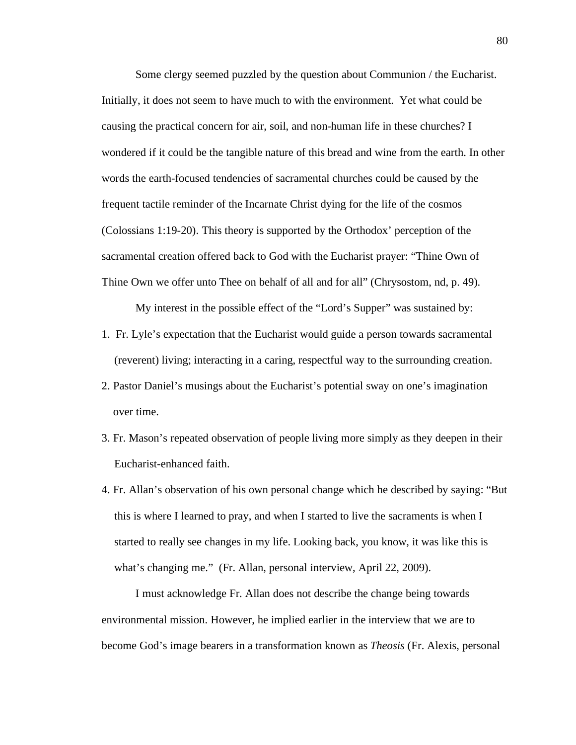Some clergy seemed puzzled by the question about Communion / the Eucharist. Initially, it does not seem to have much to with the environment. Yet what could be causing the practical concern for air, soil, and non-human life in these churches? I wondered if it could be the tangible nature of this bread and wine from the earth. In other words the earth-focused tendencies of sacramental churches could be caused by the frequent tactile reminder of the Incarnate Christ dying for the life of the cosmos (Colossians 1:19-20). This theory is supported by the Orthodox' perception of the sacramental creation offered back to God with the Eucharist prayer: "Thine Own of Thine Own we offer unto Thee on behalf of all and for all" (Chrysostom, nd, p. 49).

My interest in the possible effect of the "Lord's Supper" was sustained by:

- 1. Fr. Lyle's expectation that the Eucharist would guide a person towards sacramental (reverent) living; interacting in a caring, respectful way to the surrounding creation.
- 2. Pastor Daniel's musings about the Eucharist's potential sway on one's imagination over time.
- 3. Fr. Mason's repeated observation of people living more simply as they deepen in their Eucharist-enhanced faith.
- 4. Fr. Allan's observation of his own personal change which he described by saying: "But this is where I learned to pray, and when I started to live the sacraments is when I started to really see changes in my life. Looking back, you know, it was like this is what's changing me." (Fr. Allan, personal interview, April 22, 2009).

I must acknowledge Fr. Allan does not describe the change being towards environmental mission. However, he implied earlier in the interview that we are to become God's image bearers in a transformation known as *Theosis* (Fr. Alexis, personal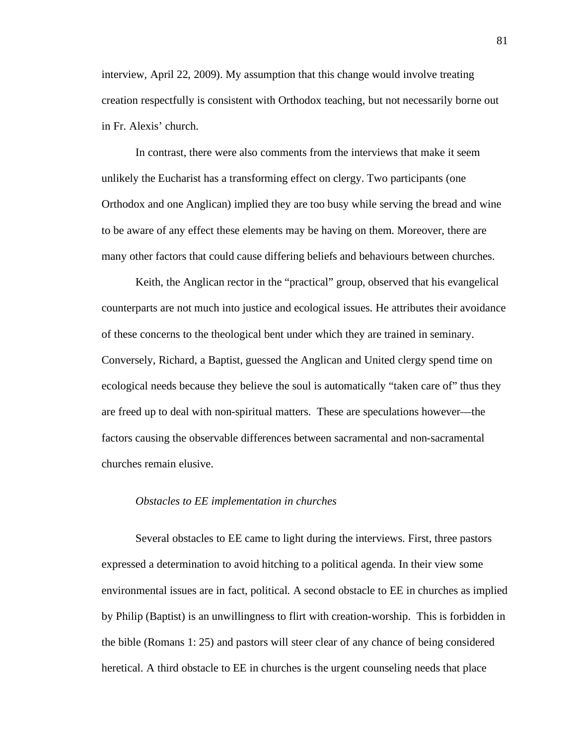interview, April 22, 2009). My assumption that this change would involve treating creation respectfully is consistent with Orthodox teaching, but not necessarily borne out in Fr. Alexis' church.

In contrast, there were also comments from the interviews that make it seem unlikely the Eucharist has a transforming effect on clergy. Two participants (one Orthodox and one Anglican) implied they are too busy while serving the bread and wine to be aware of any effect these elements may be having on them. Moreover, there are many other factors that could cause differing beliefs and behaviours between churches.

Keith, the Anglican rector in the "practical" group, observed that his evangelical counterparts are not much into justice and ecological issues. He attributes their avoidance of these concerns to the theological bent under which they are trained in seminary. Conversely, Richard, a Baptist, guessed the Anglican and United clergy spend time on ecological needs because they believe the soul is automatically "taken care of" thus they are freed up to deal with non-spiritual matters. These are speculations however—the factors causing the observable differences between sacramental and non-sacramental churches remain elusive.

## *Obstacles to EE implementation in churches*

Several obstacles to EE came to light during the interviews. First, three pastors expressed a determination to avoid hitching to a political agenda. In their view some environmental issues are in fact, political. A second obstacle to EE in churches as implied by Philip (Baptist) is an unwillingness to flirt with creation-worship. This is forbidden in the bible (Romans 1: 25) and pastors will steer clear of any chance of being considered heretical. A third obstacle to EE in churches is the urgent counseling needs that place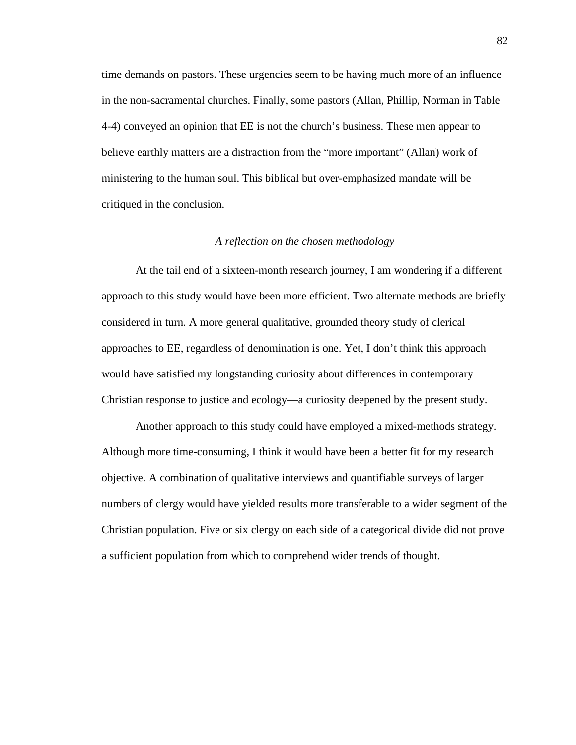time demands on pastors. These urgencies seem to be having much more of an influence in the non-sacramental churches. Finally, some pastors (Allan, Phillip, Norman in Table 4-4) conveyed an opinion that EE is not the church's business. These men appear to believe earthly matters are a distraction from the "more important" (Allan) work of ministering to the human soul. This biblical but over-emphasized mandate will be critiqued in the conclusion.

#### *A reflection on the chosen methodology*

At the tail end of a sixteen-month research journey, I am wondering if a different approach to this study would have been more efficient. Two alternate methods are briefly considered in turn. A more general qualitative, grounded theory study of clerical approaches to EE, regardless of denomination is one. Yet, I don't think this approach would have satisfied my longstanding curiosity about differences in contemporary Christian response to justice and ecology—a curiosity deepened by the present study.

Another approach to this study could have employed a mixed-methods strategy. Although more time-consuming, I think it would have been a better fit for my research objective. A combination of qualitative interviews and quantifiable surveys of larger numbers of clergy would have yielded results more transferable to a wider segment of the Christian population. Five or six clergy on each side of a categorical divide did not prove a sufficient population from which to comprehend wider trends of thought.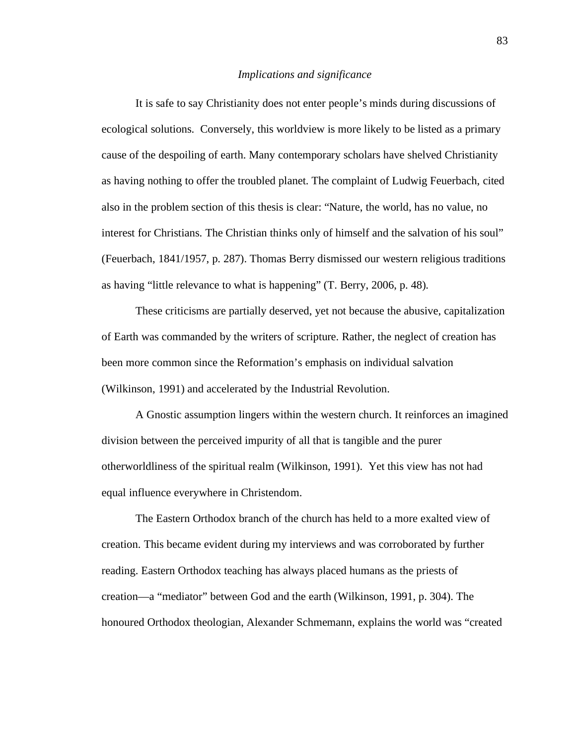#### *Implications and significance*

It is safe to say Christianity does not enter people's minds during discussions of ecological solutions. Conversely, this worldview is more likely to be listed as a primary cause of the despoiling of earth. Many contemporary scholars have shelved Christianity as having nothing to offer the troubled planet. The complaint of Ludwig Feuerbach, cited also in the problem section of this thesis is clear: "Nature, the world, has no value, no interest for Christians. The Christian thinks only of himself and the salvation of his soul" (Feuerbach, 1841/1957, p. 287). Thomas Berry dismissed our western religious traditions as having "little relevance to what is happening" (T. Berry, 2006, p. 48).

These criticisms are partially deserved, yet not because the abusive, capitalization of Earth was commanded by the writers of scripture. Rather, the neglect of creation has been more common since the Reformation's emphasis on individual salvation (Wilkinson, 1991) and accelerated by the Industrial Revolution.

A Gnostic assumption lingers within the western church. It reinforces an imagined division between the perceived impurity of all that is tangible and the purer otherworldliness of the spiritual realm (Wilkinson, 1991). Yet this view has not had equal influence everywhere in Christendom.

The Eastern Orthodox branch of the church has held to a more exalted view of creation. This became evident during my interviews and was corroborated by further reading. Eastern Orthodox teaching has always placed humans as the priests of creation—a "mediator" between God and the earth (Wilkinson, 1991, p. 304). The honoured Orthodox theologian, Alexander Schmemann, explains the world was "created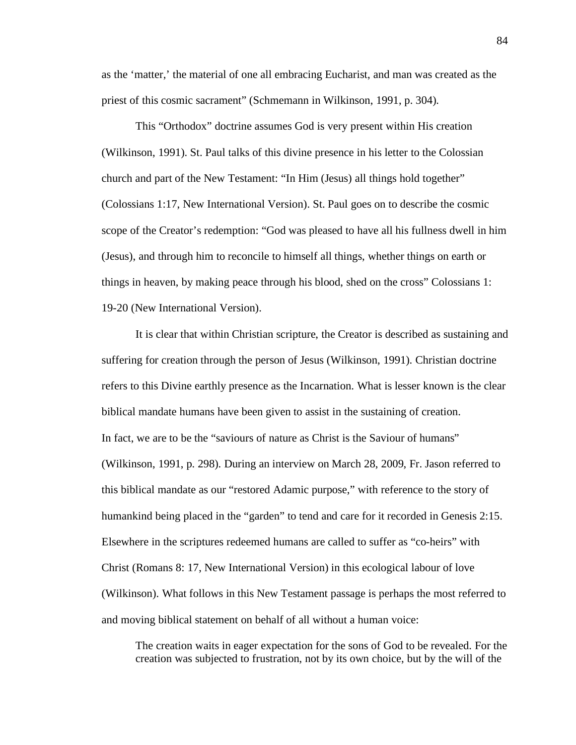as the 'matter,' the material of one all embracing Eucharist, and man was created as the priest of this cosmic sacrament" (Schmemann in Wilkinson, 1991, p. 304).

This "Orthodox" doctrine assumes God is very present within His creation (Wilkinson, 1991). St. Paul talks of this divine presence in his letter to the Colossian church and part of the New Testament: "In Him (Jesus) all things hold together" (Colossians 1:17, New International Version). St. Paul goes on to describe the cosmic scope of the Creator's redemption: "God was pleased to have all his fullness dwell in him (Jesus), and through him to reconcile to himself all things, whether things on earth or things in heaven, by making peace through his blood, shed on the cross" Colossians 1: 19-20 (New International Version).

It is clear that within Christian scripture, the Creator is described as sustaining and suffering for creation through the person of Jesus (Wilkinson, 1991). Christian doctrine refers to this Divine earthly presence as the Incarnation. What is lesser known is the clear biblical mandate humans have been given to assist in the sustaining of creation. In fact, we are to be the "saviours of nature as Christ is the Saviour of humans" (Wilkinson, 1991, p. 298). During an interview on March 28, 2009, Fr. Jason referred to this biblical mandate as our "restored Adamic purpose," with reference to the story of humankind being placed in the "garden" to tend and care for it recorded in Genesis 2:15. Elsewhere in the scriptures redeemed humans are called to suffer as "co-heirs" with Christ (Romans 8: 17, New International Version) in this ecological labour of love (Wilkinson). What follows in this New Testament passage is perhaps the most referred to and moving biblical statement on behalf of all without a human voice:

The creation waits in eager expectation for the sons of God to be revealed. For the creation was subjected to frustration, not by its own choice, but by the will of the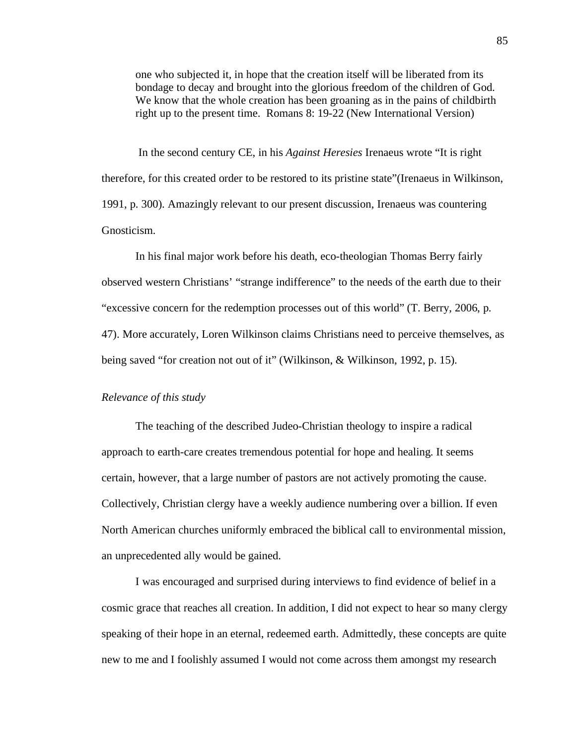one who subjected it, in hope that the creation itself will be liberated from its bondage to decay and brought into the glorious freedom of the children of God. We know that the whole creation has been groaning as in the pains of childbirth right up to the present time. Romans 8: 19-22 (New International Version)

 In the second century CE, in his *Against Heresies* Irenaeus wrote "It is right therefore, for this created order to be restored to its pristine state"(Irenaeus in Wilkinson, 1991, p. 300). Amazingly relevant to our present discussion, Irenaeus was countering Gnosticism.

In his final major work before his death, eco-theologian Thomas Berry fairly observed western Christians' "strange indifference" to the needs of the earth due to their "excessive concern for the redemption processes out of this world" (T. Berry, 2006, p. 47). More accurately, Loren Wilkinson claims Christians need to perceive themselves, as being saved "for creation not out of it" (Wilkinson, & Wilkinson, 1992, p. 15).

#### *Relevance of this study*

The teaching of the described Judeo-Christian theology to inspire a radical approach to earth-care creates tremendous potential for hope and healing. It seems certain, however, that a large number of pastors are not actively promoting the cause. Collectively, Christian clergy have a weekly audience numbering over a billion. If even North American churches uniformly embraced the biblical call to environmental mission, an unprecedented ally would be gained.

I was encouraged and surprised during interviews to find evidence of belief in a cosmic grace that reaches all creation. In addition, I did not expect to hear so many clergy speaking of their hope in an eternal, redeemed earth. Admittedly, these concepts are quite new to me and I foolishly assumed I would not come across them amongst my research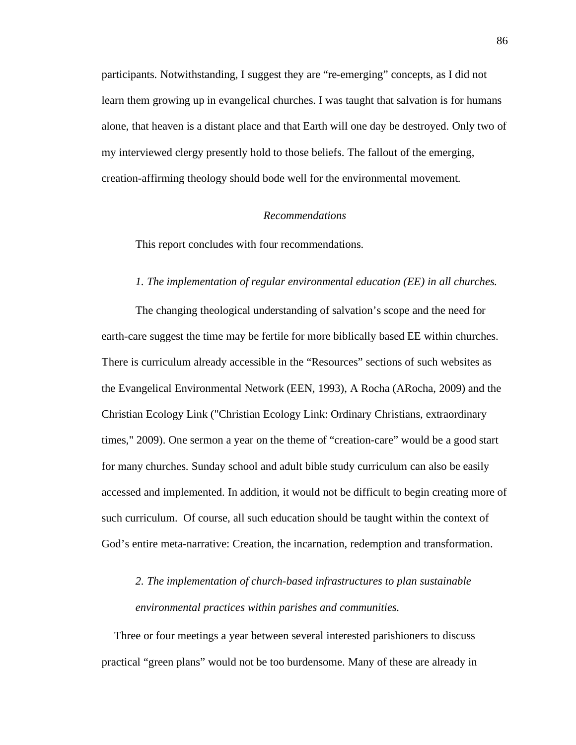participants. Notwithstanding, I suggest they are "re-emerging" concepts, as I did not learn them growing up in evangelical churches. I was taught that salvation is for humans alone, that heaven is a distant place and that Earth will one day be destroyed. Only two of my interviewed clergy presently hold to those beliefs. The fallout of the emerging, creation-affirming theology should bode well for the environmental movement.

#### *Recommendations*

This report concludes with four recommendations.

#### *1. The implementation of regular environmental education (EE) in all churches.*

The changing theological understanding of salvation's scope and the need for earth-care suggest the time may be fertile for more biblically based EE within churches. There is curriculum already accessible in the "Resources" sections of such websites as the Evangelical Environmental Network (EEN, 1993), A Rocha (ARocha, 2009) and the Christian Ecology Link ("Christian Ecology Link: Ordinary Christians, extraordinary times," 2009). One sermon a year on the theme of "creation-care" would be a good start for many churches. Sunday school and adult bible study curriculum can also be easily accessed and implemented. In addition, it would not be difficult to begin creating more of such curriculum. Of course, all such education should be taught within the context of God's entire meta-narrative: Creation, the incarnation, redemption and transformation.

# *2. The implementation of church-based infrastructures to plan sustainable environmental practices within parishes and communities.*

Three or four meetings a year between several interested parishioners to discuss practical "green plans" would not be too burdensome. Many of these are already in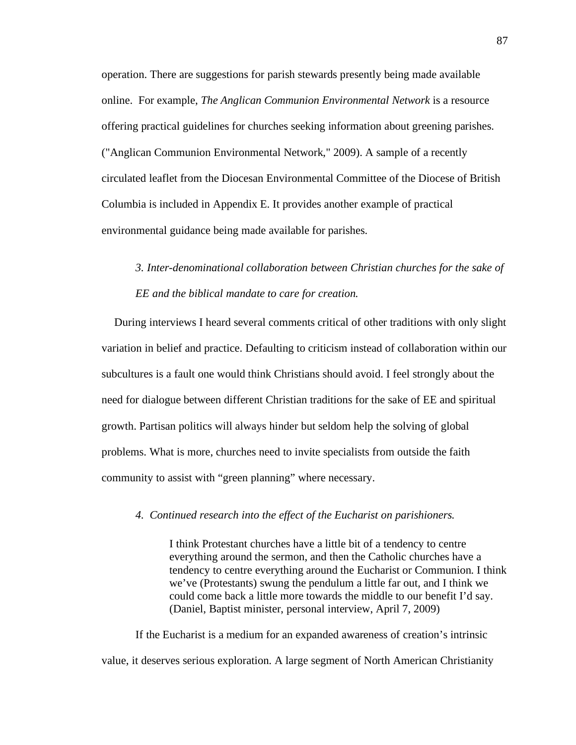operation. There are suggestions for parish stewards presently being made available online. For example, *The Anglican Communion Environmental Network* is a resource offering practical guidelines for churches seeking information about greening parishes. ("Anglican Communion Environmental Network," 2009). A sample of a recently circulated leaflet from the Diocesan Environmental Committee of the Diocese of British Columbia is included in Appendix E. It provides another example of practical environmental guidance being made available for parishes.

## *3. Inter-denominational collaboration between Christian churches for the sake of EE and the biblical mandate to care for creation.*

During interviews I heard several comments critical of other traditions with only slight variation in belief and practice. Defaulting to criticism instead of collaboration within our subcultures is a fault one would think Christians should avoid. I feel strongly about the need for dialogue between different Christian traditions for the sake of EE and spiritual growth. Partisan politics will always hinder but seldom help the solving of global problems. What is more, churches need to invite specialists from outside the faith community to assist with "green planning" where necessary.

## *4. Continued research into the effect of the Eucharist on parishioners.*

I think Protestant churches have a little bit of a tendency to centre everything around the sermon, and then the Catholic churches have a tendency to centre everything around the Eucharist or Communion. I think we've (Protestants) swung the pendulum a little far out, and I think we could come back a little more towards the middle to our benefit I'd say. (Daniel, Baptist minister, personal interview, April 7, 2009)

If the Eucharist is a medium for an expanded awareness of creation's intrinsic value, it deserves serious exploration. A large segment of North American Christianity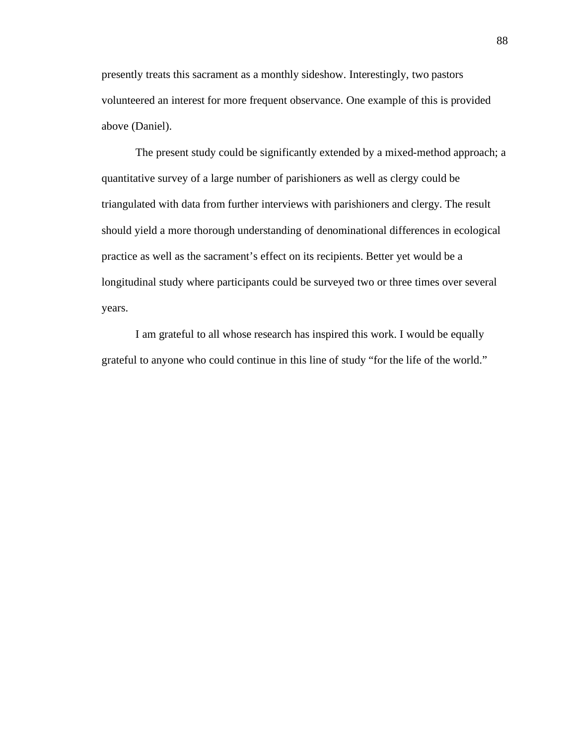presently treats this sacrament as a monthly sideshow. Interestingly, two pastors volunteered an interest for more frequent observance. One example of this is provided above (Daniel).

The present study could be significantly extended by a mixed-method approach; a quantitative survey of a large number of parishioners as well as clergy could be triangulated with data from further interviews with parishioners and clergy. The result should yield a more thorough understanding of denominational differences in ecological practice as well as the sacrament's effect on its recipients. Better yet would be a longitudinal study where participants could be surveyed two or three times over several years.

I am grateful to all whose research has inspired this work. I would be equally grateful to anyone who could continue in this line of study "for the life of the world."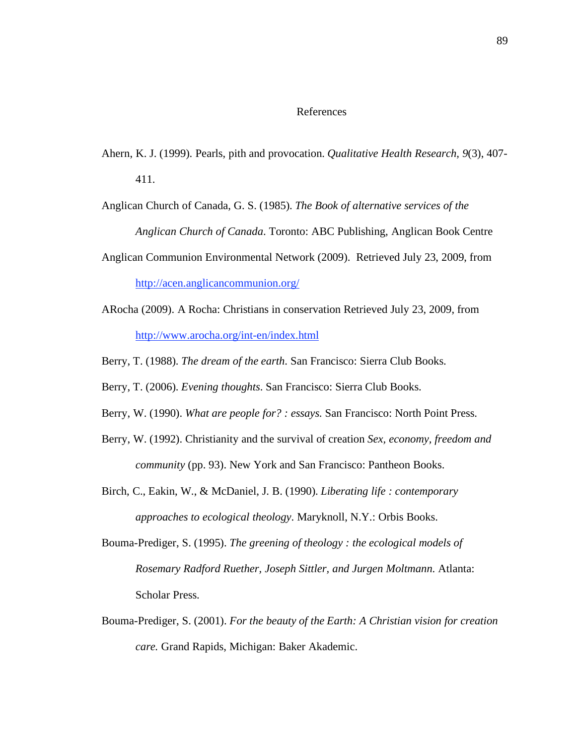### References

- Ahern, K. J. (1999). Pearls, pith and provocation. *Qualitative Health Research, 9*(3), 407- 411.
- Anglican Church of Canada, G. S. (1985). *The Book of alternative services of the Anglican Church of Canada*. Toronto: ABC Publishing, Anglican Book Centre
- Anglican Communion Environmental Network (2009). Retrieved July 23, 2009, from http://acen.anglicancommunion.org/
- ARocha (2009). A Rocha: Christians in conservation Retrieved July 23, 2009, from http://www.arocha.org/int-en/index.html
- Berry, T. (1988). *The dream of the earth*. San Francisco: Sierra Club Books.
- Berry, T. (2006). *Evening thoughts*. San Francisco: Sierra Club Books.
- Berry, W. (1990). *What are people for? : essays*. San Francisco: North Point Press.
- Berry, W. (1992). Christianity and the survival of creation *Sex, economy, freedom and community* (pp. 93). New York and San Francisco: Pantheon Books.
- Birch, C., Eakin, W., & McDaniel, J. B. (1990). *Liberating life : contemporary approaches to ecological theology*. Maryknoll, N.Y.: Orbis Books.
- Bouma-Prediger, S. (1995). *The greening of theology : the ecological models of Rosemary Radford Ruether, Joseph Sittler, and Jurgen Moltmann*. Atlanta: Scholar Press.
- Bouma-Prediger, S. (2001). *For the beauty of the Earth: A Christian vision for creation care.* Grand Rapids, Michigan: Baker Akademic.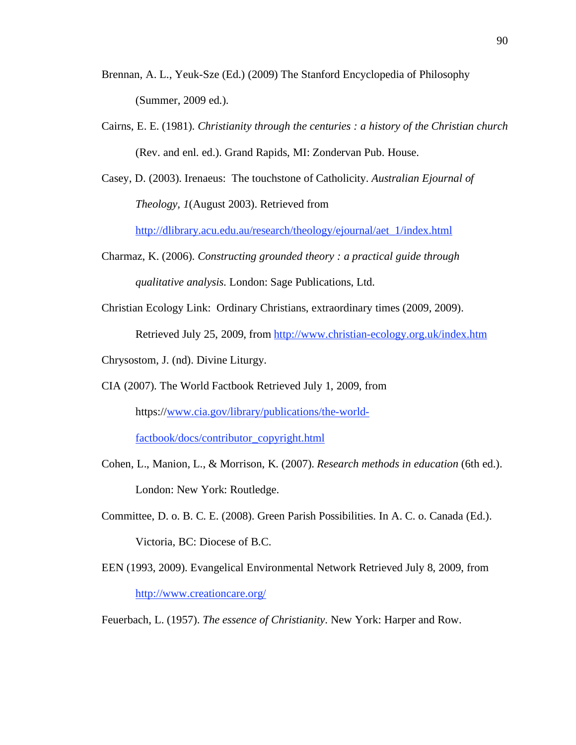- Brennan, A. L., Yeuk-Sze (Ed.) (2009) The Stanford Encyclopedia of Philosophy (Summer, 2009 ed.).
- Cairns, E. E. (1981). *Christianity through the centuries : a history of the Christian church* (Rev. and enl. ed.). Grand Rapids, MI: Zondervan Pub. House.
- Casey, D. (2003). Irenaeus: The touchstone of Catholicity. *Australian Ejournal of Theology, 1*(August 2003). Retrieved from

http://dlibrary.acu.edu.au/research/theology/ejournal/aet\_1/index.html

- Charmaz, K. (2006). *Constructing grounded theory : a practical guide through qualitative analysis*. London: Sage Publications, Ltd.
- Christian Ecology Link: Ordinary Christians, extraordinary times (2009, 2009). Retrieved July 25, 2009, from http://www.christian-ecology.org.uk/index.htm

Chrysostom, J. (nd). Divine Liturgy.

- CIA (2007). The World Factbook Retrieved July 1, 2009, from https://www.cia.gov/library/publications/the-worldfactbook/docs/contributor\_copyright.html
- Cohen, L., Manion, L., & Morrison, K. (2007). *Research methods in education* (6th ed.). London: New York: Routledge.
- Committee, D. o. B. C. E. (2008). Green Parish Possibilities. In A. C. o. Canada (Ed.). Victoria, BC: Diocese of B.C.
- EEN (1993, 2009). Evangelical Environmental Network Retrieved July 8, 2009, from http://www.creationcare.org/

Feuerbach, L. (1957). *The essence of Christianity*. New York: Harper and Row.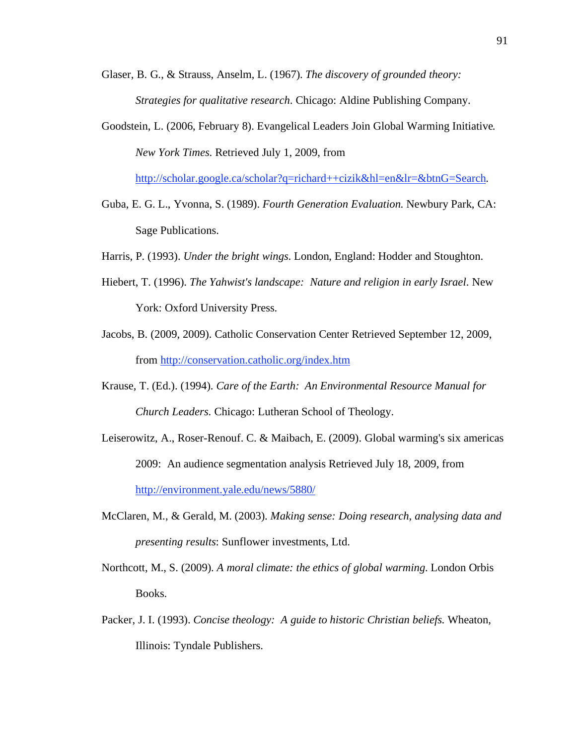- Glaser, B. G., & Strauss, Anselm, L. (1967). *The discovery of grounded theory: Strategies for qualitative research*. Chicago: Aldine Publishing Company.
- Goodstein, L. (2006, February 8). Evangelical Leaders Join Global Warming Initiative*. New York Times*. Retrieved July 1, 2009, from

http://scholar.google.ca/scholar?q=richard++cizik&hl=en&lr=&btnG=Search.

- Guba, E. G. L., Yvonna, S. (1989). *Fourth Generation Evaluation*. Newbury Park, CA: Sage Publications.
- Harris, P. (1993). *Under the bright wings*. London, England: Hodder and Stoughton.
- Hiebert, T. (1996). *The Yahwist's landscape: Nature and religion in early Israel*. New York: Oxford University Press.
- Jacobs, B. (2009, 2009). Catholic Conservation Center Retrieved September 12, 2009, from http://conservation.catholic.org/index.htm
- Krause, T. (Ed.). (1994). *Care of the Earth: An Environmental Resource Manual for Church Leaders*. Chicago: Lutheran School of Theology.
- Leiserowitz, A., Roser-Renouf. C. & Maibach, E. (2009). Global warming's six americas 2009: An audience segmentation analysis Retrieved July 18, 2009, from http://environment.yale.edu/news/5880/
- McClaren, M., & Gerald, M. (2003). *Making sense: Doing research, analysing data and presenting results*: Sunflower investments, Ltd.
- Northcott, M., S. (2009). *A moral climate: the ethics of global warming*. London Orbis Books.
- Packer, J. I. (1993). *Concise theology: A guide to historic Christian beliefs*. Wheaton, Illinois: Tyndale Publishers.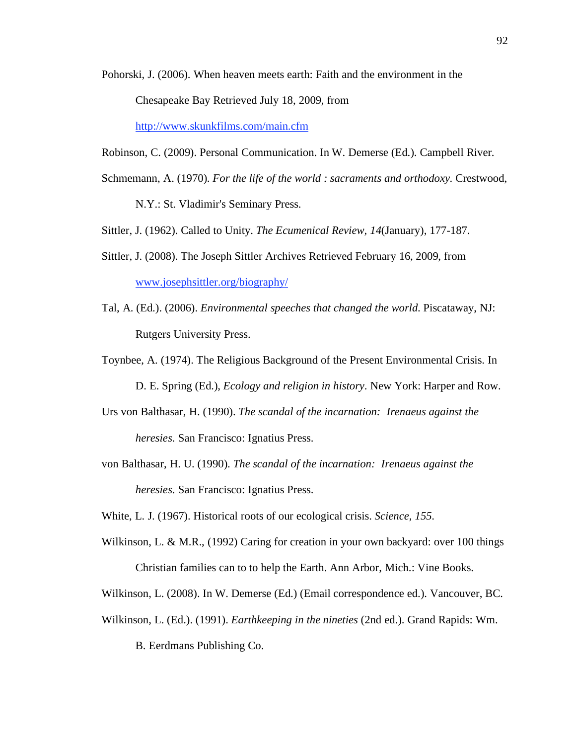- Pohorski, J. (2006). When heaven meets earth: Faith and the environment in the Chesapeake Bay Retrieved July 18, 2009, from http://www.skunkfilms.com/main.cfm
- Robinson, C. (2009). Personal Communication. In W. Demerse (Ed.). Campbell River.
- Schmemann, A. (1970). *For the life of the world : sacraments and orthodoxy*. Crestwood,

N.Y.: St. Vladimir's Seminary Press.

- Sittler, J. (1962). Called to Unity. *The Ecumenical Review, 14*(January), 177-187.
- Sittler, J. (2008). The Joseph Sittler Archives Retrieved February 16, 2009, from www.josephsittler.org/biography/
- Tal, A. (Ed.). (2006). *Environmental speeches that changed the world*. Piscataway, NJ: Rutgers University Press.
- Toynbee, A. (1974). The Religious Background of the Present Environmental Crisis. In D. E. Spring (Ed.), *Ecology and religion in history*. New York: Harper and Row.
- Urs von Balthasar, H. (1990). *The scandal of the incarnation: Irenaeus against the heresies*. San Francisco: Ignatius Press.
- von Balthasar, H. U. (1990). *The scandal of the incarnation: Irenaeus against the heresies*. San Francisco: Ignatius Press.

White, L. J. (1967). Historical roots of our ecological crisis. *Science, 155*.

- Wilkinson, L. & M.R., (1992) Caring for creation in your own backyard: over 100 things Christian families can to to help the Earth. Ann Arbor, Mich.: Vine Books.
- Wilkinson, L. (2008). In W. Demerse (Ed.) (Email correspondence ed.). Vancouver, BC.
- Wilkinson, L. (Ed.). (1991). *Earthkeeping in the nineties* (2nd ed.). Grand Rapids: Wm.

B. Eerdmans Publishing Co.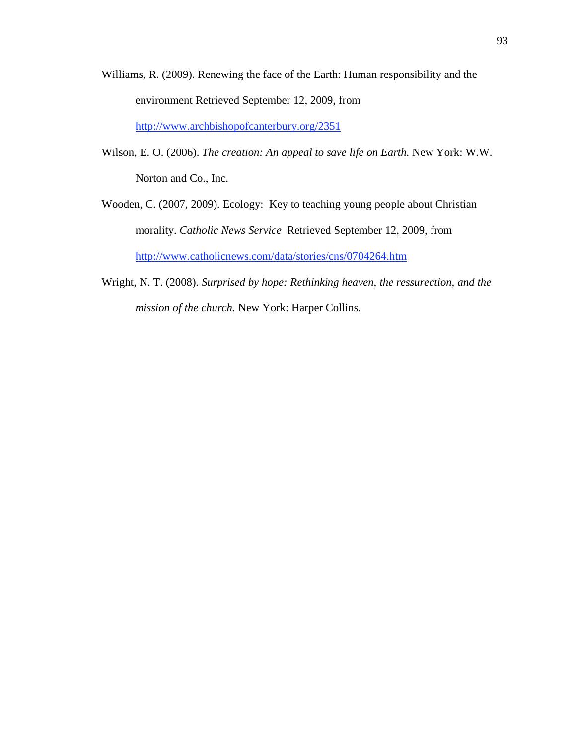- Williams, R. (2009). Renewing the face of the Earth: Human responsibility and the environment Retrieved September 12, 2009, from http://www.archbishopofcanterbury.org/2351
- Wilson, E. O. (2006). *The creation: An appeal to save life on Earth*. New York: W.W. Norton and Co., Inc.
- Wooden, C. (2007, 2009). Ecology: Key to teaching young people about Christian morality. *Catholic News Service* Retrieved September 12, 2009, from http://www.catholicnews.com/data/stories/cns/0704264.htm
- Wright, N. T. (2008). *Surprised by hope: Rethinking heaven, the ressurection, and the mission of the church*. New York: Harper Collins.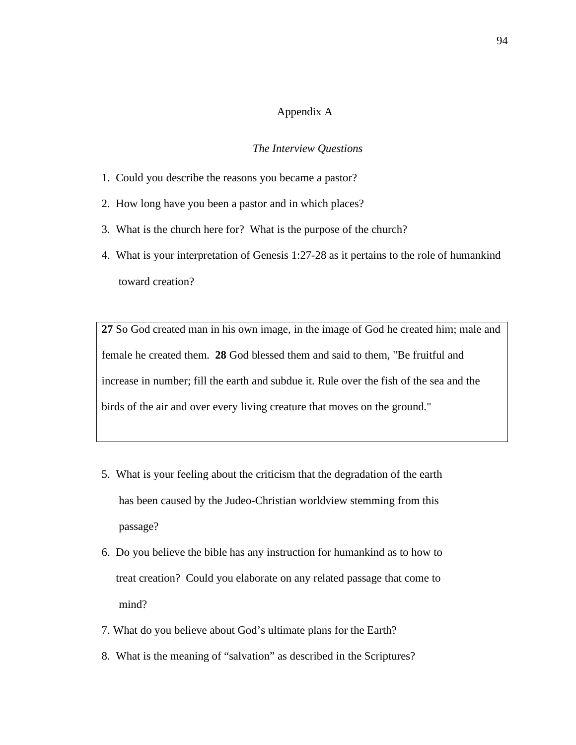#### Appendix A

#### *The Interview Questions*

- 1. Could you describe the reasons you became a pastor?
- 2. How long have you been a pastor and in which places?
- 3. What is the church here for? What is the purpose of the church?
- 4. What is your interpretation of Genesis 1:27-28 as it pertains to the role of humankind toward creation?

**27** So God created man in his own image, in the image of God he created him; male and female he created them. **28** God blessed them and said to them, "Be fruitful and increase in number; fill the earth and subdue it. Rule over the fish of the sea and the birds of the air and over every living creature that moves on the ground."

- 5. What is your feeling about the criticism that the degradation of the earth has been caused by the Judeo-Christian worldview stemming from this passage?
- 6. Do you believe the bible has any instruction for humankind as to how to treat creation? Could you elaborate on any related passage that come to mind?
- 7. What do you believe about God's ultimate plans for the Earth?
- 8. What is the meaning of "salvation" as described in the Scriptures?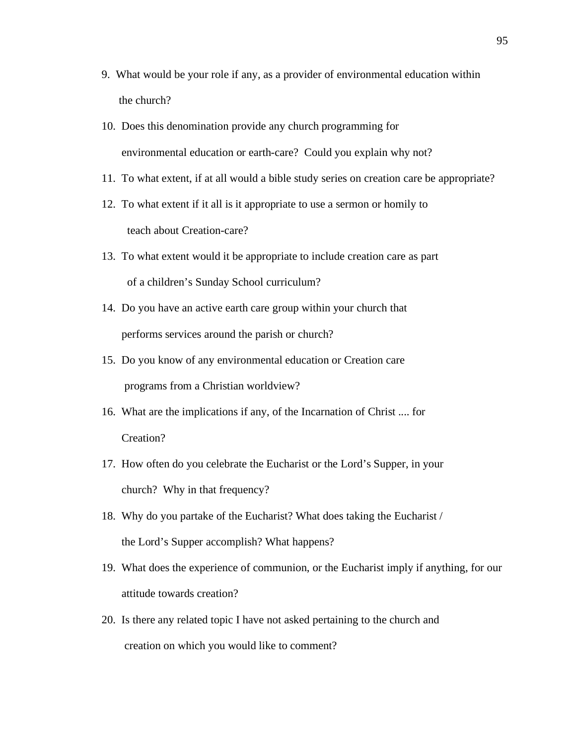- 9. What would be your role if any, as a provider of environmental education within the church?
- 10. Does this denomination provide any church programming for environmental education or earth-care? Could you explain why not?
- 11. To what extent, if at all would a bible study series on creation care be appropriate?
- 12. To what extent if it all is it appropriate to use a sermon or homily to teach about Creation-care?
- 13. To what extent would it be appropriate to include creation care as part of a children's Sunday School curriculum?
- 14. Do you have an active earth care group within your church that performs services around the parish or church?
- 15. Do you know of any environmental education or Creation care programs from a Christian worldview?
- 16. What are the implications if any, of the Incarnation of Christ .... for Creation?
- 17. How often do you celebrate the Eucharist or the Lord's Supper, in your church? Why in that frequency?
- 18. Why do you partake of the Eucharist? What does taking the Eucharist / the Lord's Supper accomplish? What happens?
- 19. What does the experience of communion, or the Eucharist imply if anything, for our attitude towards creation?
- 20. Is there any related topic I have not asked pertaining to the church and creation on which you would like to comment?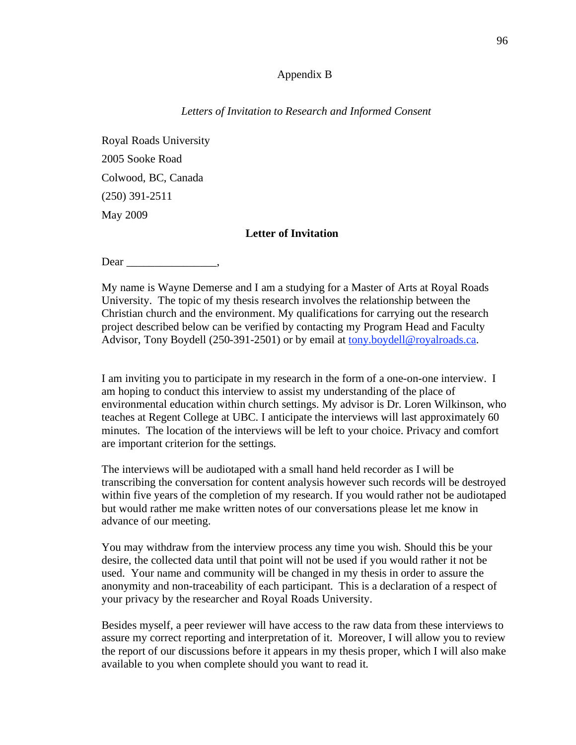## Appendix B

### *Letters of Invitation to Research and Informed Consent*

Royal Roads University 2005 Sooke Road Colwood, BC, Canada (250) 391-2511 May 2009

## **Letter of Invitation**

Dear \_\_\_\_\_\_\_\_\_\_\_\_\_\_\_\_,

My name is Wayne Demerse and I am a studying for a Master of Arts at Royal Roads University. The topic of my thesis research involves the relationship between the Christian church and the environment. My qualifications for carrying out the research project described below can be verified by contacting my Program Head and Faculty Advisor, Tony Boydell (250-391-2501) or by email at tony.boydell@royalroads.ca.

I am inviting you to participate in my research in the form of a one-on-one interview. I am hoping to conduct this interview to assist my understanding of the place of environmental education within church settings. My advisor is Dr. Loren Wilkinson, who teaches at Regent College at UBC. I anticipate the interviews will last approximately 60 minutes. The location of the interviews will be left to your choice. Privacy and comfort are important criterion for the settings.

The interviews will be audiotaped with a small hand held recorder as I will be transcribing the conversation for content analysis however such records will be destroyed within five years of the completion of my research. If you would rather not be audiotaped but would rather me make written notes of our conversations please let me know in advance of our meeting.

You may withdraw from the interview process any time you wish. Should this be your desire, the collected data until that point will not be used if you would rather it not be used. Your name and community will be changed in my thesis in order to assure the anonymity and non-traceability of each participant. This is a declaration of a respect of your privacy by the researcher and Royal Roads University.

Besides myself, a peer reviewer will have access to the raw data from these interviews to assure my correct reporting and interpretation of it. Moreover, I will allow you to review the report of our discussions before it appears in my thesis proper, which I will also make available to you when complete should you want to read it.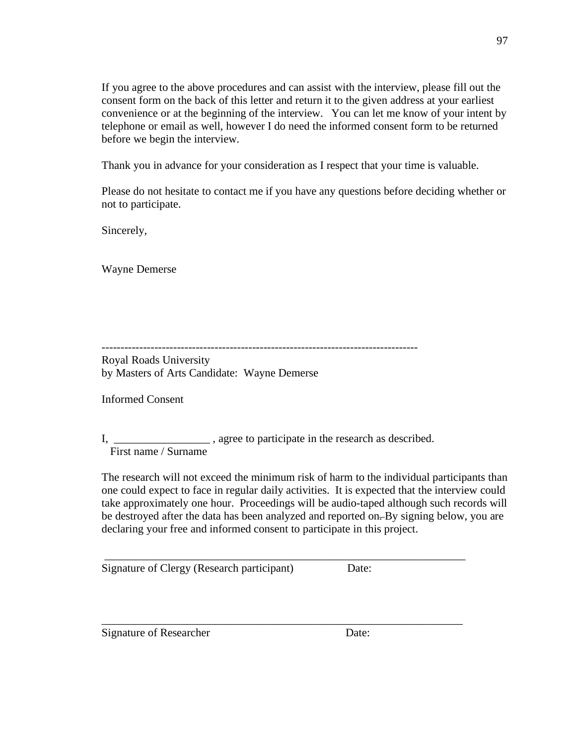If you agree to the above procedures and can assist with the interview, please fill out the consent form on the back of this letter and return it to the given address at your earliest convenience or at the beginning of the interview. You can let me know of your intent by telephone or email as well, however I do need the informed consent form to be returned before we begin the interview.

97

Thank you in advance for your consideration as I respect that your time is valuable.

Please do not hesitate to contact me if you have any questions before deciding whether or not to participate.

Sincerely,

Wayne Demerse

------------------------------------------------------------------------------------

Royal Roads University by Masters of Arts Candidate: Wayne Demerse

Informed Consent

I, \_\_\_\_\_\_\_\_\_\_\_\_\_\_\_\_\_\_\_\_\_, agree to participate in the research as described. First name / Surname

The research will not exceed the minimum risk of harm to the individual participants than one could expect to face in regular daily activities. It is expected that the interview could take approximately one hour. Proceedings will be audio-taped although such records will be destroyed after the data has been analyzed and reported on. By signing below, you are declaring your free and informed consent to participate in this project.

\_\_\_\_\_\_\_\_\_\_\_\_\_\_\_\_\_\_\_\_\_\_\_\_\_\_\_\_\_\_\_\_\_\_\_\_\_\_\_\_\_\_\_\_\_\_\_\_\_\_\_\_\_\_\_\_\_\_\_\_\_\_\_\_

Signature of Clergy (Research participant) Date:

\_\_\_\_\_\_\_\_\_\_\_\_\_\_\_\_\_\_\_\_\_\_\_\_\_\_\_\_\_\_\_\_\_\_\_\_\_\_\_\_\_\_\_\_\_\_\_\_\_\_\_\_\_\_\_\_\_\_\_\_\_\_\_\_

Signature of Researcher Date: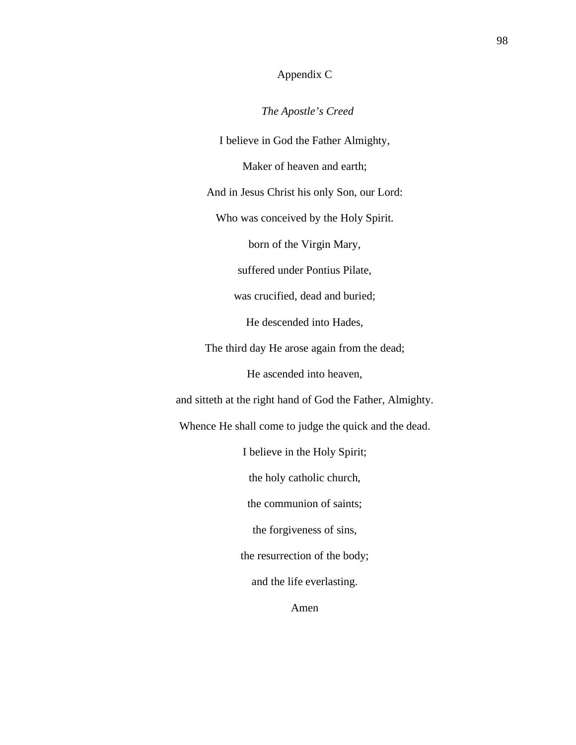## Appendix C

 *The Apostle's Creed*

I believe in God the Father Almighty,

Maker of heaven and earth;

And in Jesus Christ his only Son, our Lord:

Who was conceived by the Holy Spirit.

born of the Virgin Mary,

suffered under Pontius Pilate,

was crucified, dead and buried;

He descended into Hades,

The third day He arose again from the dead;

He ascended into heaven,

and sitteth at the right hand of God the Father, Almighty.

Whence He shall come to judge the quick and the dead.

I believe in the Holy Spirit;

the holy catholic church,

the communion of saints;

the forgiveness of sins,

the resurrection of the body;

and the life everlasting.

Amen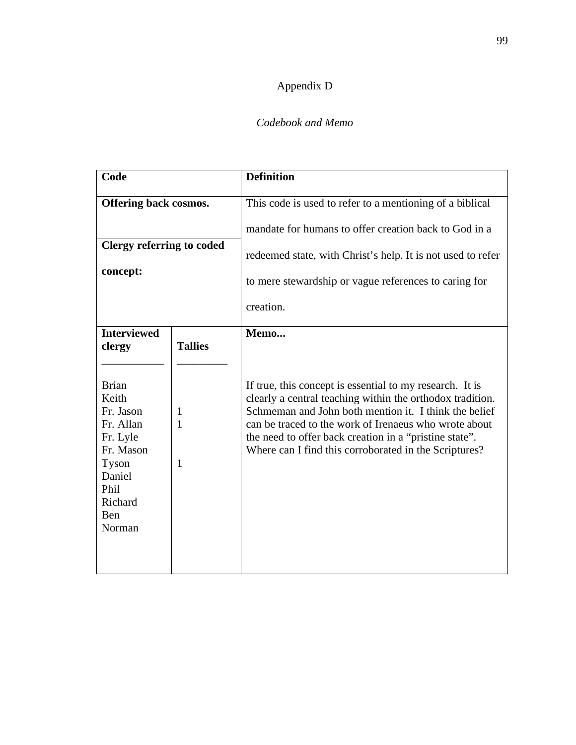## Appendix D

## *Codebook and Memo*

| Code                                                                                                     |                          | <b>Definition</b>                                                                                                                                                                                                                                                                                                                                                  |
|----------------------------------------------------------------------------------------------------------|--------------------------|--------------------------------------------------------------------------------------------------------------------------------------------------------------------------------------------------------------------------------------------------------------------------------------------------------------------------------------------------------------------|
| Offering back cosmos.                                                                                    |                          | This code is used to refer to a mentioning of a biblical                                                                                                                                                                                                                                                                                                           |
|                                                                                                          |                          | mandate for humans to offer creation back to God in a                                                                                                                                                                                                                                                                                                              |
| <b>Clergy referring to coded</b>                                                                         |                          | redeemed state, with Christ's help. It is not used to refer                                                                                                                                                                                                                                                                                                        |
| concept:                                                                                                 |                          | to mere stewardship or vague references to caring for                                                                                                                                                                                                                                                                                                              |
|                                                                                                          |                          | creation.                                                                                                                                                                                                                                                                                                                                                          |
| <b>Interviewed</b><br>clergy<br><b>Brian</b><br>Keith<br>Fr. Jason<br>Fr. Allan<br>Fr. Lyle<br>Fr. Mason | <b>Tallies</b><br>1<br>1 | Memo<br>If true, this concept is essential to my research. It is<br>clearly a central teaching within the orthodox tradition.<br>Schmeman and John both mention it. I think the belief<br>can be traced to the work of Irenaeus who wrote about<br>the need to offer back creation in a "pristine state".<br>Where can I find this corroborated in the Scriptures? |
| Tyson<br>Daniel<br>Phil<br>Richard<br>Ben<br>Norman                                                      | 1                        |                                                                                                                                                                                                                                                                                                                                                                    |